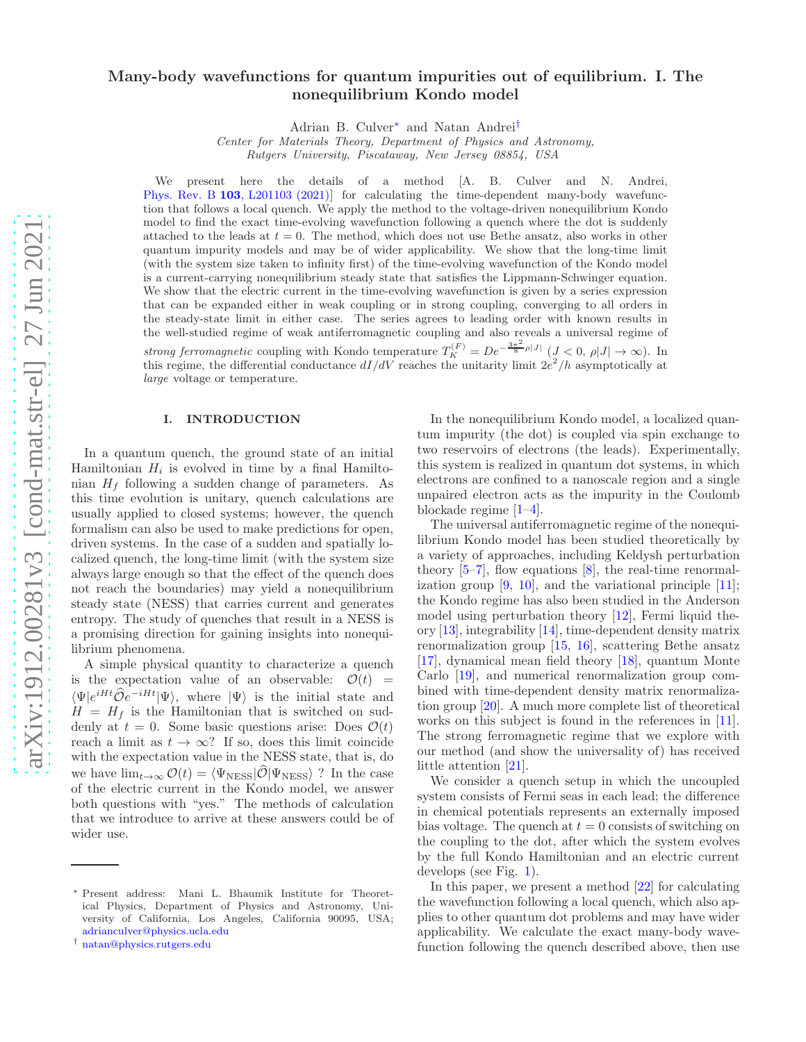# Many-body wavefunctions for quantum impurities out of equilibrium. I. The nonequilibrium Kondo model

Adrian B. Culver[∗](#page-0-0) and Natan Andrei[†](#page-0-1)

Center for Materials Theory, Department of Physics and Astronomy, Rutgers University, Piscataway, New Jersey 08854, USA

We present here the details of a method [A. B. Culver and N. Andrei, Phys. Rev. B 103[, L201103 \(2021\)\]](https://doi.org/10.1103/PhysRevB.103.L201103) for calculating the time-dependent many-body wavefunction that follows a local quench. We apply the method to the voltage-driven nonequilibrium Kondo model to find the exact time-evolving wavefunction following a quench where the dot is suddenly attached to the leads at  $t = 0$ . The method, which does not use Bethe ansatz, also works in other quantum impurity models and may be of wider applicability. We show that the long-time limit (with the system size taken to infinity first) of the time-evolving wavefunction of the Kondo model is a current-carrying nonequilibrium steady state that satisfies the Lippmann-Schwinger equation. We show that the electric current in the time-evolving wavefunction is given by a series expression that can be expanded either in weak coupling or in strong coupling, converging to all orders in the steady-state limit in either case. The series agrees to leading order with known results in the well-studied regime of weak antiferromagnetic coupling and also reveals a universal regime of strong ferromagnetic coupling with Kondo temperature  $T_K^{(F)} = De^{-\frac{3\pi^2}{8}\rho|J|}$   $(J < 0, \rho|J| \to \infty)$ . In this regime, the differential conductance  $dI/dV$  reaches the unitarity limit  $2e^2/h$  asymptotically at large voltage or temperature.

# I. INTRODUCTION

In a quantum quench, the ground state of an initial Hamiltonian  $H_i$  is evolved in time by a final Hamiltonian  $H_f$  following a sudden change of parameters. As this time evolution is unitary, quench calculations are usually applied to closed systems; however, the quench formalism can also be used to make predictions for open, driven systems. In the case of a sudden and spatially localized quench, the long-time limit (with the system size always large enough so that the effect of the quench does not reach the boundaries) may yield a nonequilibrium steady state (NESS) that carries current and generates entropy. The study of quenches that result in a NESS is a promising direction for gaining insights into nonequilibrium phenomena.

A simple physical quantity to characterize a quench is the expectation value of an observable:  $\mathcal{O}(t)$  =  $\langle \Psi | e^{iHt} \hat{\mathcal{O}} e^{-iHt} | \Psi \rangle$ , where  $|\Psi \rangle$  is the initial state and  $H = H_f$  is the Hamiltonian that is switched on suddenly at  $t = 0$ . Some basic questions arise: Does  $\mathcal{O}(t)$ reach a limit as  $t \to \infty$ ? If so, does this limit coincide with the expectation value in the NESS state, that is, do we have  $\lim_{t\to\infty} \mathcal{O}(t) = \langle \Psi_{\text{NESS}} | \widehat{\mathcal{O}} | \Psi_{\text{NESS}} \rangle$  ? In the case of the electric current in the Kondo model, we answer both questions with "yes." The methods of calculation that we introduce to arrive at these answers could be of wider use.

In the nonequilibrium Kondo model, a localized quantum impurity (the dot) is coupled via spin exchange to two reservoirs of electrons (the leads). Experimentally, this system is realized in quantum dot systems, in which electrons are confined to a nanoscale region and a single unpaired electron acts as the impurity in the Coulomb blockade regime [\[1](#page-41-0)[–4\]](#page-41-1).

The universal antiferromagnetic regime of the nonequilibrium Kondo model has been studied theoretically by a variety of approaches, including Keldysh perturbation theory  $[5-7]$ , flow equations  $[8]$ , the real-time renormalization group  $[9, 10]$  $[9, 10]$ , and the variational principle  $[11]$ ; the Kondo regime has also been studied in the Anderson model using perturbation theory [\[12\]](#page-41-8), Fermi liquid theory [\[13](#page-41-9)], integrability [\[14\]](#page-41-10), time-dependent density matrix renormalization group [\[15](#page-41-11), [16](#page-42-0)], scattering Bethe ansatz [\[17\]](#page-42-1), dynamical mean field theory [\[18](#page-42-2)], quantum Monte Carlo [\[19\]](#page-42-3), and numerical renormalization group combined with time-dependent density matrix renormalization group [\[20\]](#page-42-4). A much more complete list of theoretical works on this subject is found in the references in [\[11\]](#page-41-7). The strong ferromagnetic regime that we explore with our method (and show the universality of) has received little attention [\[21\]](#page-42-5).

We consider a quench setup in which the uncoupled system consists of Fermi seas in each lead; the difference in chemical potentials represents an externally imposed bias voltage. The quench at  $t = 0$  consists of switching on the coupling to the dot, after which the system evolves by the full Kondo Hamiltonian and an electric current develops (see Fig. [1\)](#page-1-0).

In this paper, we present a method [\[22](#page-42-6)] for calculating the wavefunction following a local quench, which also applies to other quantum dot problems and may have wider applicability. We calculate the exact many-body wavefunction following the quench described above, then use

<span id="page-0-0"></span><sup>∗</sup> Present address: Mani L. Bhaumik Institute for Theoretical Physics, Department of Physics and Astronomy, University of California, Los Angeles, California 90095, USA; [adrianculver@physics.ucla.edu](mailto:adrianculver@physics.ucla.edu)

<span id="page-0-1"></span><sup>†</sup> [natan@physics.rutgers.edu](mailto:natan@physics.rutgers.edu)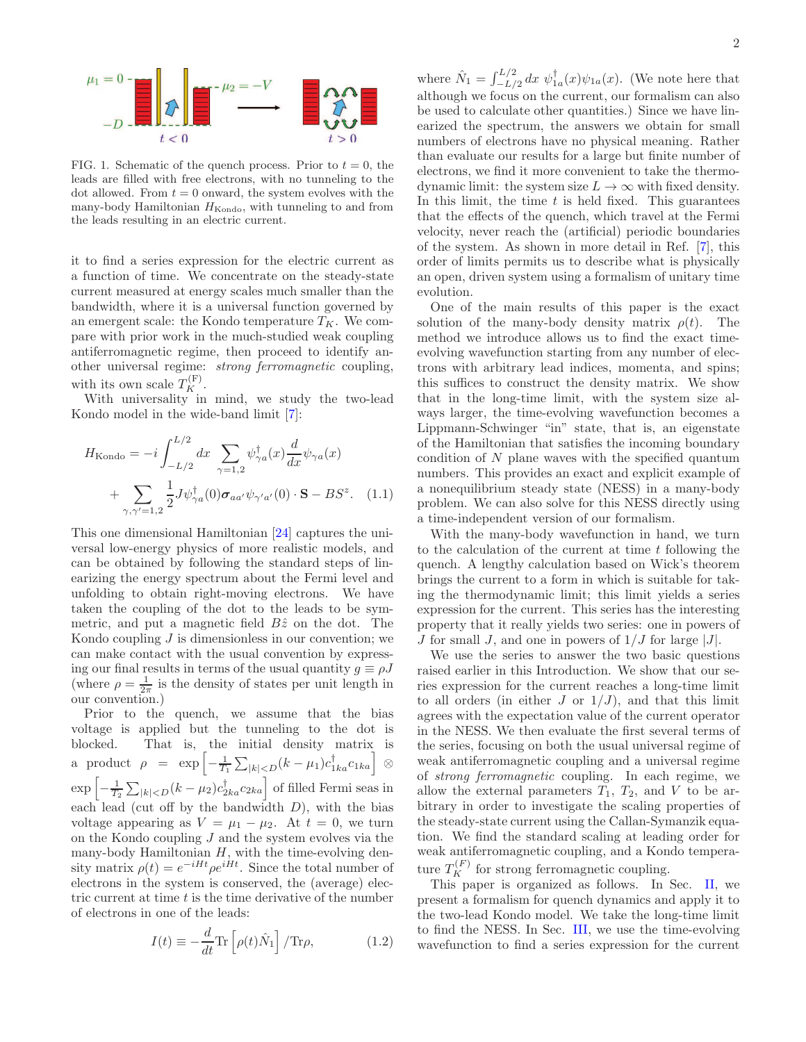

<span id="page-1-0"></span>FIG. 1. Schematic of the quench process. Prior to  $t = 0$ , the leads are filled with free electrons, with no tunneling to the dot allowed. From  $t = 0$  onward, the system evolves with the many-body Hamiltonian  $H_{\text{Kondo}}$ , with tunneling to and from the leads resulting in an electric current.

it to find a series expression for the electric current as a function of time. We concentrate on the steady-state current measured at energy scales much smaller than the bandwidth, where it is a universal function governed by an emergent scale: the Kondo temperature  $T_K$ . We compare with prior work in the much-studied weak coupling antiferromagnetic regime, then proceed to identify another universal regime: strong ferromagnetic coupling, with its own scale  $T_K^{(F)}$ .

With universality in mind, we study the two-lead Kondo model in the wide-band limit [\[7](#page-41-3)]:

$$
H_{\text{Kondo}} = -i \int_{-L/2}^{L/2} dx \sum_{\gamma=1,2} \psi_{\gamma a}^{\dagger}(x) \frac{d}{dx} \psi_{\gamma a}(x)
$$

$$
+ \sum_{\gamma,\gamma'=1,2} \frac{1}{2} J \psi_{\gamma a}^{\dagger}(0) \sigma_{a a'} \psi_{\gamma' a'}(0) \cdot \mathbf{S} - BS^z. \quad (1.1)
$$

This one dimensional Hamiltonian [\[24](#page-42-7)] captures the universal low-energy physics of more realistic models, and can be obtained by following the standard steps of linearizing the energy spectrum about the Fermi level and unfolding to obtain right-moving electrons. We have taken the coupling of the dot to the leads to be symmetric, and put a magnetic field  $B\hat{z}$  on the dot. The Kondo coupling  $J$  is dimensionless in our convention; we can make contact with the usual convention by expressing our final results in terms of the usual quantity  $g \equiv \rho J$ (where  $\rho = \frac{1}{2\pi}$  is the density of states per unit length in our convention.)

Prior to the quench, we assume that the bias voltage is applied but the tunneling to the dot is blocked. That is, the initial density matrix is a product  $\rho = \exp \left[-\frac{1}{T_1} \sum_{|k|$  $\exp\left[-\frac{1}{T_2}\sum_{|k| of filled Fermi seas in$ each lead (cut off by the bandwidth  $D$ ), with the bias voltage appearing as  $V = \mu_1 - \mu_2$ . At  $t = 0$ , we turn on the Kondo coupling  $J$  and the system evolves via the many-body Hamiltonian  $H$ , with the time-evolving density matrix  $\rho(t) = e^{-iHt} \rho e^{iHt}$ . Since the total number of electrons in the system is conserved, the (average) electric current at time  $t$  is the time derivative of the number of electrons in one of the leads:

<span id="page-1-2"></span>
$$
I(t) \equiv -\frac{d}{dt} \text{Tr} \left[ \rho(t) \hat{N}_1 \right] / \text{Tr} \rho, \qquad (1.2)
$$

where  $\hat{N}_1 = \int_{-L/2}^{L/2} dx \psi_{1a}^{\dagger}(x) \psi_{1a}(x)$ . (We note here that although we focus on the current, our formalism can also be used to calculate other quantities.) Since we have linearized the spectrum, the answers we obtain for small numbers of electrons have no physical meaning. Rather than evaluate our results for a large but finite number of electrons, we find it more convenient to take the thermodynamic limit: the system size  $L \to \infty$  with fixed density. In this limit, the time  $t$  is held fixed. This guarantees that the effects of the quench, which travel at the Fermi velocity, never reach the (artificial) periodic boundaries of the system. As shown in more detail in Ref. [\[7\]](#page-41-3), this order of limits permits us to describe what is physically an open, driven system using a formalism of unitary time evolution.

One of the main results of this paper is the exact solution of the many-body density matrix  $\rho(t)$ . The method we introduce allows us to find the exact timeevolving wavefunction starting from any number of electrons with arbitrary lead indices, momenta, and spins; this suffices to construct the density matrix. We show that in the long-time limit, with the system size always larger, the time-evolving wavefunction becomes a Lippmann-Schwinger "in" state, that is, an eigenstate of the Hamiltonian that satisfies the incoming boundary condition of  $N$  plane waves with the specified quantum numbers. This provides an exact and explicit example of a nonequilibrium steady state (NESS) in a many-body problem. We can also solve for this NESS directly using a time-independent version of our formalism.

<span id="page-1-1"></span>With the many-body wavefunction in hand, we turn to the calculation of the current at time  $t$  following the quench. A lengthy calculation based on Wick's theorem brings the current to a form in which is suitable for taking the thermodynamic limit; this limit yields a series expression for the current. This series has the interesting property that it really yields two series: one in powers of J for small J, and one in powers of  $1/J$  for large  $|J|$ .

We use the series to answer the two basic questions raised earlier in this Introduction. We show that our series expression for the current reaches a long-time limit to all orders (in either  $J$  or  $1/J$ ), and that this limit agrees with the expectation value of the current operator in the NESS. We then evaluate the first several terms of the series, focusing on both the usual universal regime of weak antiferromagnetic coupling and a universal regime of strong ferromagnetic coupling. In each regime, we allow the external parameters  $T_1$ ,  $T_2$ , and V to be arbitrary in order to investigate the scaling properties of the steady-state current using the Callan-Symanzik equation. We find the standard scaling at leading order for weak antiferromagnetic coupling, and a Kondo temperature  $T_K^{(F)}$  for strong ferromagnetic coupling.

This paper is organized as follows. In Sec. [II,](#page-2-0) we present a formalism for quench dynamics and apply it to the two-lead Kondo model. We take the long-time limit to find the NESS. In Sec. [III,](#page-10-0) we use the time-evolving wavefunction to find a series expression for the current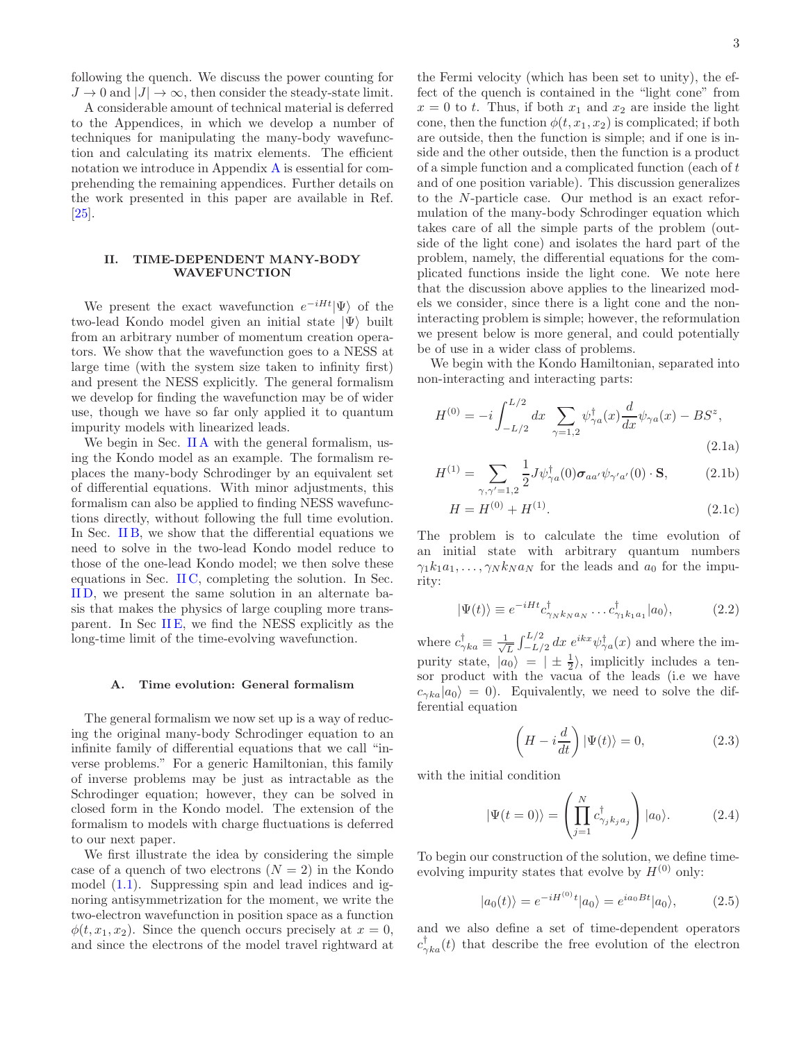following the quench. We discuss the power counting for  $J \to 0$  and  $|J| \to \infty$ , then consider the steady-state limit.

A considerable amount of technical material is deferred to the Appendices, in which we develop a number of techniques for manipulating the many-body wavefunction and calculating its matrix elements. The efficient notation we introduce in Appendix [A](#page-25-0) is essential for comprehending the remaining appendices. Further details on the work presented in this paper are available in Ref.  $|25|$ .

# <span id="page-2-0"></span>II. TIME-DEPENDENT MANY-BODY WAVEFUNCTION

We present the exact wavefunction  $e^{-iHt}|\Psi\rangle$  of the two-lead Kondo model given an initial state  $|\Psi\rangle$  built from an arbitrary number of momentum creation operators. We show that the wavefunction goes to a NESS at large time (with the system size taken to infinity first) and present the NESS explicitly. The general formalism we develop for finding the wavefunction may be of wider use, though we have so far only applied it to quantum impurity models with linearized leads.

We begin in Sec. IIA with the general formalism, using the Kondo model as an example. The formalism replaces the many-body Schrodinger by an equivalent set of differential equations. With minor adjustments, this formalism can also be applied to finding NESS wavefunctions directly, without following the full time evolution. In Sec. [II B,](#page-6-0) we show that the differential equations we need to solve in the two-lead Kondo model reduce to those of the one-lead Kondo model; we then solve these equations in Sec. [II C,](#page-7-0) completing the solution. In Sec. [II D,](#page-8-0) we present the same solution in an alternate basis that makes the physics of large coupling more transparent. In Sec [II E,](#page-9-0) we find the NESS explicitly as the long-time limit of the time-evolving wavefunction.

### <span id="page-2-1"></span>A. Time evolution: General formalism

The general formalism we now set up is a way of reducing the original many-body Schrodinger equation to an infinite family of differential equations that we call "inverse problems." For a generic Hamiltonian, this family of inverse problems may be just as intractable as the Schrodinger equation; however, they can be solved in closed form in the Kondo model. The extension of the formalism to models with charge fluctuations is deferred to our next paper.

We first illustrate the idea by considering the simple case of a quench of two electrons  $(N = 2)$  in the Kondo model  $(1.1)$ . Suppressing spin and lead indices and ignoring antisymmetrization for the moment, we write the two-electron wavefunction in position space as a function  $\phi(t, x_1, x_2)$ . Since the quench occurs precisely at  $x = 0$ , and since the electrons of the model travel rightward at

the Fermi velocity (which has been set to unity), the effect of the quench is contained in the "light cone" from  $x = 0$  to t. Thus, if both  $x_1$  and  $x_2$  are inside the light cone, then the function  $\phi(t, x_1, x_2)$  is complicated; if both are outside, then the function is simple; and if one is inside and the other outside, then the function is a product of a simple function and a complicated function (each of t and of one position variable). This discussion generalizes to the N-particle case. Our method is an exact reformulation of the many-body Schrodinger equation which takes care of all the simple parts of the problem (outside of the light cone) and isolates the hard part of the problem, namely, the differential equations for the complicated functions inside the light cone. We note here that the discussion above applies to the linearized models we consider, since there is a light cone and the noninteracting problem is simple; however, the reformulation we present below is more general, and could potentially be of use in a wider class of problems.

We begin with the Kondo Hamiltonian, separated into non-interacting and interacting parts:

$$
H^{(0)} = -i \int_{-L/2}^{L/2} dx \sum_{\gamma=1,2} \psi_{\gamma a}^{\dagger}(x) \frac{d}{dx} \psi_{\gamma a}(x) - BS^{z},
$$
\n(2.1a)

$$
H^{(1)} = \sum_{\gamma,\gamma'=1,2} \frac{1}{2} J \psi_{\gamma a}^{\dagger}(0) \sigma_{aa'} \psi_{\gamma' a'}(0) \cdot \mathbf{S},\tag{2.1b}
$$

<span id="page-2-3"></span><span id="page-2-2"></span>
$$
H = H^{(0)} + H^{(1)}.
$$
\n(2.1c)

The problem is to calculate the time evolution of an initial state with arbitrary quantum numbers  $\gamma_1 k_1 a_1, \ldots, \gamma_N k_N a_N$  for the leads and  $a_0$  for the impurity:

$$
|\Psi(t)\rangle \equiv e^{-iHt}c_{\gamma_Nk_Na_N}^{\dagger} \dots c_{\gamma_1k_1a_1}^{\dagger}|a_0\rangle, \tag{2.2}
$$

where  $c_{\gamma k a}^{\dagger} \equiv \frac{1}{\sqrt{2}}$  $\frac{1}{L} \int_{-L/2}^{L/2} dx \, e^{ikx} \psi_{\gamma a}^{\dagger}(x)$  and where the impurity state,  $|a_0\rangle = |\pm \frac{1}{2}\rangle$ , implicitly includes a tensor product with the vacua of the leads (i.e we have  $c_{\gamma ka}|a_0\rangle = 0$ . Equivalently, we need to solve the differential equation

$$
\left(H - i\frac{d}{dt}\right)|\Psi(t)\rangle = 0,
$$
\n(2.3)

with the initial condition

$$
|\Psi(t=0)\rangle = \left(\prod_{j=1}^{N} c_{\gamma_j k_j a_j}^{\dagger}\right) |a_0\rangle. \tag{2.4}
$$

To begin our construction of the solution, we define timeevolving impurity states that evolve by  $H^{(0)}$  only:

$$
|a_0(t)\rangle = e^{-iH^{(0)}t}|a_0\rangle = e^{ia_0Bt}|a_0\rangle, \qquad (2.5)
$$

and we also define a set of time-dependent operators  $c_{\gamma ka}^{\dagger}(t)$  that describe the free evolution of the electron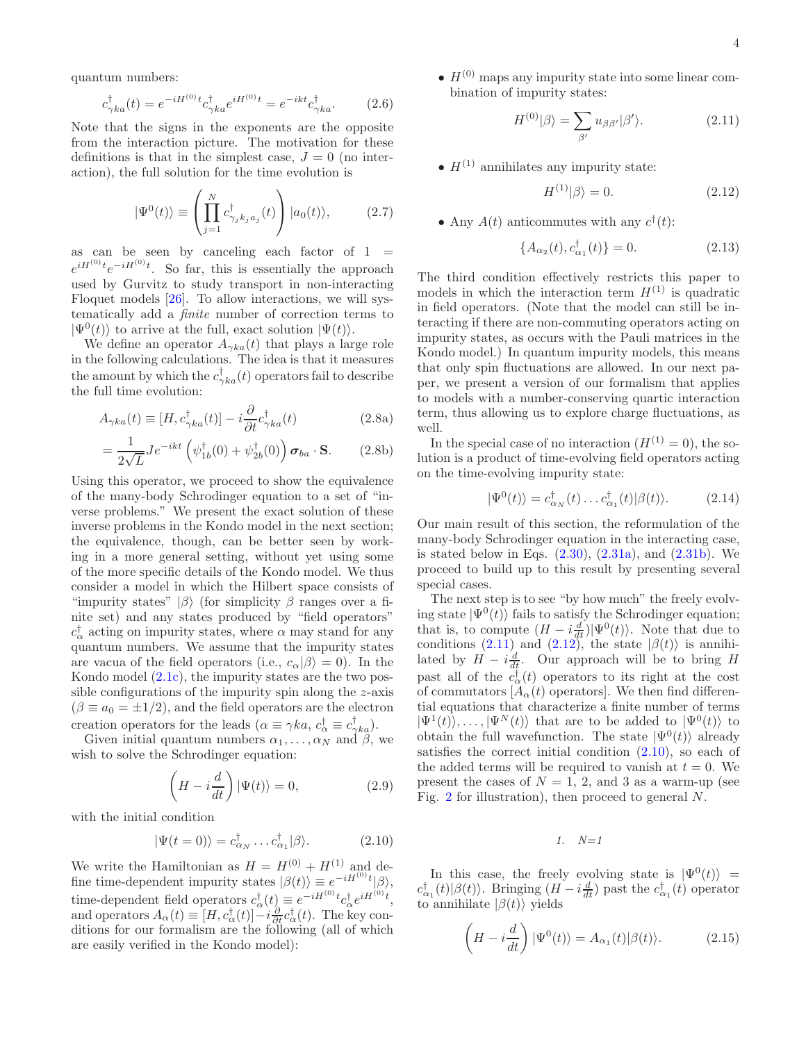quantum numbers:

$$
c_{\gamma ka}^{\dagger}(t) = e^{-iH^{(0)}t}c_{\gamma ka}^{\dagger}e^{iH^{(0)}t} = e^{-ikt}c_{\gamma ka}^{\dagger}.
$$
 (2.6)

Note that the signs in the exponents are the opposite from the interaction picture. The motivation for these definitions is that in the simplest case,  $J = 0$  (no interaction), the full solution for the time evolution is

$$
|\Psi^{0}(t)\rangle \equiv \left(\prod_{j=1}^{N} c_{\gamma_{j}k_{j}a_{j}}^{\dagger}(t)\right)|a_{0}(t)\rangle, \qquad (2.7)
$$

as can be seen by canceling each factor of  $1 =$  $e^{iH^{(0)}t}e^{-iH^{(0)}t}$ . So far, this is essentially the approach used by Gurvitz to study transport in non-interacting Floquet models [\[26](#page-42-9)]. To allow interactions, we will systematically add a finite number of correction terms to  $|\Psi^0(t)\rangle$  to arrive at the full, exact solution  $|\Psi(t)\rangle$ .

We define an operator  $A_{\gamma ka}(t)$  that plays a large role in the following calculations. The idea is that it measures the amount by which the  $c_{\gamma ka}^{\dagger}(t)$  operators fail to describe the full time evolution:

$$
A_{\gamma ka}(t) \equiv [H, c_{\gamma ka}^{\dagger}(t)] - i \frac{\partial}{\partial t} c_{\gamma ka}^{\dagger}(t)
$$
\n(2.8a)

$$
=\frac{1}{2\sqrt{L}}Je^{-ikt}\left(\psi_{1b}^{\dagger}(0)+\psi_{2b}^{\dagger}(0)\right)\boldsymbol{\sigma}_{ba}\cdot\mathbf{S}.
$$
 (2.8b)

Using this operator, we proceed to show the equivalence of the many-body Schrodinger equation to a set of "inverse problems." We present the exact solution of these inverse problems in the Kondo model in the next section; the equivalence, though, can be better seen by working in a more general setting, without yet using some of the more specific details of the Kondo model. We thus consider a model in which the Hilbert space consists of "impurity states"  $|\beta\rangle$  (for simplicity  $\beta$  ranges over a finite set) and any states produced by "field operators"  $c_{\alpha}^{\dagger}$  acting on impurity states, where  $\alpha$  may stand for any quantum numbers. We assume that the impurity states are vacua of the field operators (i.e.,  $c_{\alpha}|\beta\rangle = 0$ ). In the Kondo model [\(2.1c\)](#page-2-2), the impurity states are the two possible configurations of the impurity spin along the z-axis  $(\beta \equiv a_0 = \pm 1/2)$ , and the field operators are the electron creation operators for the leads  $(\alpha \equiv \gamma k a, c^{\dagger}_{\alpha} \equiv c^{\dagger}_{\gamma} k a).$ 

Given initial quantum numbers  $\alpha_1, \ldots, \alpha_N$  and  $\beta$ , we wish to solve the Schrodinger equation:

$$
\left(H - i\frac{d}{dt}\right)|\Psi(t)\rangle = 0, \tag{2.9}
$$

with the initial condition

<span id="page-3-2"></span>
$$
|\Psi(t=0)\rangle = c_{\alpha_N}^{\dagger} \dots c_{\alpha_1}^{\dagger} |\beta\rangle. \tag{2.10}
$$

We write the Hamiltonian as  $H = H^{(0)} + H^{(1)}$  and define time-dependent impurity states  $|\beta(t)\rangle \equiv e^{-iH^{(0)}t} |\beta\rangle,$ time-dependent field operators  $c^{\dagger}_{\alpha}(t) \equiv e^{-iH^{(0)}t}c^{\dagger}_{\alpha}e^{iH^{(0)}t}$ , and operators  $A_{\alpha}(t) \equiv [H, c_{\alpha}^{\dagger}(t)] - i \frac{\partial}{\partial t} c_{\alpha}^{\dagger}(t)$ . The key conditions for our formalism are the following (all of which are easily verified in the Kondo model):

•  $H^{(0)}$  maps any impurity state into some linear combination of impurity states:

<span id="page-3-0"></span>
$$
H^{(0)}|\beta\rangle = \sum_{\beta'} u_{\beta\beta'}|\beta'\rangle.
$$
 (2.11)

•  $H^{(1)}$  annihilates any impurity state:

<span id="page-3-1"></span>
$$
H^{(1)}|\beta\rangle = 0.\t(2.12)
$$

• Any  $A(t)$  anticommutes with any  $c^{\dagger}(t)$ :

<span id="page-3-3"></span>
$$
\{A_{\alpha_2}(t), c_{\alpha_1}^\dagger(t)\} = 0. \tag{2.13}
$$

The third condition effectively restricts this paper to models in which the interaction term  $H^{(1)}$  is quadratic in field operators. (Note that the model can still be interacting if there are non-commuting operators acting on impurity states, as occurs with the Pauli matrices in the Kondo model.) In quantum impurity models, this means that only spin fluctuations are allowed. In our next paper, we present a version of our formalism that applies to models with a number-conserving quartic interaction term, thus allowing us to explore charge fluctuations, as well.

In the special case of no interaction  $(H^{(1)} = 0)$ , the solution is a product of time-evolving field operators acting on the time-evolving impurity state:

$$
|\Psi^{0}(t)\rangle = c_{\alpha_{N}}^{\dagger}(t)\dots c_{\alpha_{1}}^{\dagger}(t)|\beta(t)\rangle.
$$
 (2.14)

Our main result of this section, the reformulation of the many-body Schrodinger equation in the interacting case, is stated below in Eqs.  $(2.30)$ ,  $(2.31a)$ , and  $(2.31b)$ . We proceed to build up to this result by presenting several special cases.

The next step is to see "by how much" the freely evolving state  $|\Psi^0(t)\rangle$  fails to satisfy the Schrodinger equation; that is, to compute  $(H - i\frac{d}{dt})|\Psi^0(t)\rangle$ . Note that due to conditions [\(2.11\)](#page-3-0) and [\(2.12\)](#page-3-1), the state  $|\beta(t)\rangle$  is annihilated by  $H - i\frac{d}{dt}$ . Our approach will be to bring H past all of the  $c_{\alpha}^{\dagger}(t)$  operators to its right at the cost of commutators  $[A_{\alpha}(t)$  operators]. We then find differential equations that characterize a finite number of terms  $|\Psi^1(t)\rangle, \ldots, |\Psi^N(t)\rangle$  that are to be added to  $|\Psi^0(t)\rangle$  to obtain the full wavefunction. The state  $|\Psi^0(t)\rangle$  already satisfies the correct initial condition [\(2.10\)](#page-3-2), so each of the added terms will be required to vanish at  $t = 0$ . We present the cases of  $N = 1, 2,$  and 3 as a warm-up (see Fig. [2](#page-4-0) for illustration), then proceed to general  $N$ .

1. N=1

In this case, the freely evolving state is  $|\Psi^0(t)\rangle$  =  $c_{\alpha_1}^{\dagger}(t)|\beta(t)\rangle$ . Bringing  $(H - i\frac{d}{dt})$  past the  $c_{\alpha_1}^{\dagger}(t)$  operator to annihilate  $|\beta(t)\rangle$  yields

$$
\left(H - i\frac{d}{dt}\right)|\Psi^{0}(t)\rangle = A_{\alpha_{1}}(t)|\beta(t)\rangle.
$$
 (2.15)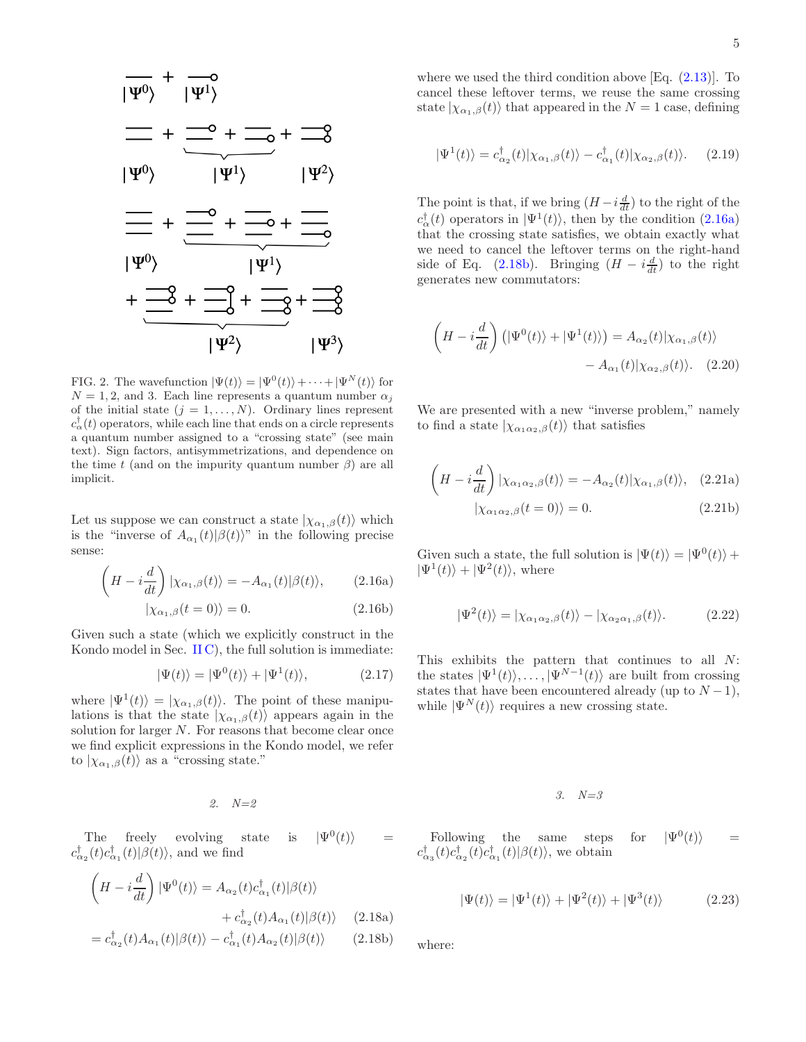

<span id="page-4-0"></span>FIG. 2. The wavefunction  $|\Psi(t)\rangle = |\Psi^{0}(t)\rangle + \cdots + |\Psi^{N}(t)\rangle$  for  $N = 1, 2$ , and 3. Each line represents a quantum number  $\alpha_i$ of the initial state  $(j = 1, ..., N)$ . Ordinary lines represent  $c_{\alpha}^{\dagger}(t)$  operators, while each line that ends on a circle represents a quantum number assigned to a "crossing state" (see main text). Sign factors, antisymmetrizations, and dependence on the time t (and on the impurity quantum number  $\beta$ ) are all implicit.

Let us suppose we can construct a state  $|\chi_{\alpha_1,\beta}(t)\rangle$  which is the "inverse of  $A_{\alpha_1}(t)|\beta(t)\rangle$ " in the following precise sense:

$$
\left(H - i\frac{d}{dt}\right)|\chi_{\alpha_1,\beta}(t)\rangle = -A_{\alpha_1}(t)|\beta(t)\rangle, \qquad (2.16a)
$$

$$
|\chi_{\alpha_1,\beta}(t=0)\rangle = 0. \tag{2.16b}
$$

Given such a state (which we explicitly construct in the Kondo model in Sec.  $\text{II} \text{C}$ ), the full solution is immediate:

$$
|\Psi(t)\rangle = |\Psi^{0}(t)\rangle + |\Psi^{1}(t)\rangle, \qquad (2.17)
$$

where  $|\Psi^1(t)\rangle = |\chi_{\alpha_1,\beta}(t)\rangle$ . The point of these manipulations is that the state  $|\chi_{\alpha_1,\beta}(t)\rangle$  appears again in the solution for larger  $N$ . For reasons that become clear once we find explicit expressions in the Kondo model, we refer to  $|\chi_{\alpha_1,\beta}(t)\rangle$  as a "crossing state."

2. N=2

The freely evolving state is  $|\Psi^{0}(t)\rangle$  =  $c_{\alpha_2}^{\dagger}(t)c_{\alpha_1}^{\dagger}(t)|\beta(t)\rangle$ , and we find

$$
\left(H - i\frac{d}{dt}\right)|\Psi^{0}(t)\rangle = A_{\alpha_{2}}(t)c_{\alpha_{1}}^{\dagger}(t)|\beta(t)\rangle
$$
  
+  $c_{\alpha_{2}}^{\dagger}(t)A_{\alpha_{1}}(t)|\beta(t)\rangle$  (2.18a)  
=  $c_{\alpha_{2}}^{\dagger}(t)A_{\alpha_{1}}(t)|\beta(t)\rangle - c_{\alpha_{1}}^{\dagger}(t)A_{\alpha_{2}}(t)|\beta(t)\rangle$  (2.18b)

where we used the third condition above [Eq. [\(2.13\)](#page-3-3)]. To cancel these leftover terms, we reuse the same crossing state  $|\chi_{\alpha_1,\beta}(t)\rangle$  that appeared in the  $N=1$  case, defining

$$
|\Psi^{1}(t)\rangle = c_{\alpha_{2}}^{\dagger}(t)|\chi_{\alpha_{1},\beta}(t)\rangle - c_{\alpha_{1}}^{\dagger}(t)|\chi_{\alpha_{2},\beta}(t)\rangle. \tag{2.19}
$$

The point is that, if we bring  $(H - i\frac{d}{dt})$  to the right of the  $c_{\alpha}^{\dagger}(t)$  operators in  $|\Psi^{1}(t)\rangle$ , then by the condition [\(2.16a\)](#page-4-1) that the crossing state satisfies, we obtain exactly what we need to cancel the leftover terms on the right-hand side of Eq. [\(2.18b\)](#page-4-2). Bringing  $(H - i\frac{d}{dt})$  to the right generates new commutators:

$$
\left(H - i\frac{d}{dt}\right) \left(|\Psi^{0}(t)\rangle + |\Psi^{1}(t)\rangle\right) = A_{\alpha_{2}}(t)|\chi_{\alpha_{1},\beta}(t)\rangle
$$

$$
- A_{\alpha_{1}}(t)|\chi_{\alpha_{2},\beta}(t)\rangle. \quad (2.20)
$$

We are presented with a new "inverse problem," namely to find a state  $|\chi_{\alpha_1\alpha_2,\beta}(t)\rangle$  that satisfies

$$
\left(H - i\frac{d}{dt}\right)|\chi_{\alpha_1\alpha_2,\beta}(t)\rangle = -A_{\alpha_2}(t)|\chi_{\alpha_1,\beta}(t)\rangle, \quad (2.21a)
$$

$$
|\chi_{\alpha_1\alpha_2,\beta}(t=0)\rangle = 0. \quad (2.21b)
$$

<span id="page-4-1"></span>Given such a state, the full solution is  $|\Psi(t)\rangle = |\Psi^0(t)\rangle +$  $|\Psi^1(t)\rangle + |\Psi^2(t)\rangle$ , where

$$
|\Psi^2(t)\rangle = |\chi_{\alpha_1\alpha_2,\beta}(t)\rangle - |\chi_{\alpha_2\alpha_1,\beta}(t)\rangle. \tag{2.22}
$$

This exhibits the pattern that continues to all N: the states  $|\Psi^1(t)\rangle, \ldots, |\Psi^{N-1}(t)\rangle$  are built from crossing states that have been encountered already (up to  $N-1$ ), while  $|\Psi^N(t)\rangle$  requires a new crossing state.

3. N=3

Following the same steps for  $|\Psi^{0}(t)\rangle$  =  $c_{\alpha_3}^{\dagger}(t)c_{\alpha_2}^{\dagger}(t)c_{\alpha_1}^{\dagger}(t)|\beta(t)\rangle$ , we obtain

$$
|\Psi(t)\rangle = |\Psi^1(t)\rangle + |\Psi^2(t)\rangle + |\Psi^3(t)\rangle
$$
 (2.23)

<span id="page-4-2"></span>where: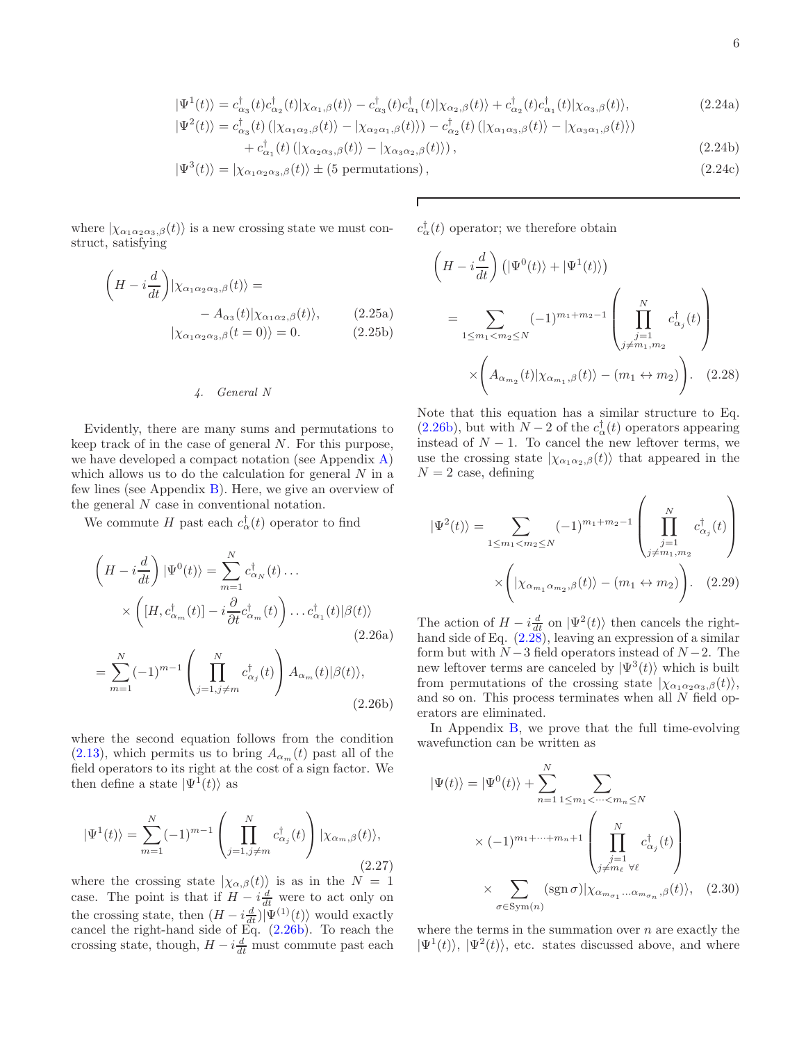$$
|\Psi^{1}(t)\rangle = c_{\alpha_{3}}^{\dagger}(t)c_{\alpha_{2}}^{\dagger}(t)|\chi_{\alpha_{1},\beta}(t)\rangle - c_{\alpha_{3}}^{\dagger}(t)c_{\alpha_{1}}^{\dagger}(t)|\chi_{\alpha_{2},\beta}(t)\rangle + c_{\alpha_{2}}^{\dagger}(t)c_{\alpha_{1}}^{\dagger}(t)|\chi_{\alpha_{3},\beta}(t)\rangle, \tag{2.24a}
$$

$$
|\Psi^{2}(t)\rangle = c_{\alpha_{3}}^{\dagger}(t) \left( |\chi_{\alpha_{1}\alpha_{2},\beta}(t)\rangle - |\chi_{\alpha_{2}\alpha_{1},\beta}(t)\rangle \right) - c_{\alpha_{2}}^{\dagger}(t) \left( |\chi_{\alpha_{1}\alpha_{3},\beta}(t)\rangle - |\chi_{\alpha_{3}\alpha_{1},\beta}(t)\rangle \right) + c_{\alpha_{1}}^{\dagger}(t) \left( |\chi_{\alpha_{2}\alpha_{3},\beta}(t)\rangle - |\chi_{\alpha_{3}\alpha_{2},\beta}(t)\rangle \right),
$$
(2.24b)

$$
|\Psi^{3}(t)\rangle = |\chi_{\alpha_{1}\alpha_{2}\alpha_{3},\beta}(t)\rangle \pm (5 \text{ permutations}), \qquad (2.24c)
$$

where  $|\chi_{\alpha_1\alpha_2\alpha_3,\beta}(t)\rangle$  is a new crossing state we must construct, satisfying

$$
\left(H - i\frac{d}{dt}\right)|\chi_{\alpha_1\alpha_2\alpha_3,\beta}(t)\rangle = -A_{\alpha_3}(t)|\chi_{\alpha_1\alpha_2,\beta}(t)\rangle, \qquad (2.25a)
$$

$$
|\chi_{\alpha_1\alpha_2\alpha_3,\beta}(t=0)\rangle = 0. \qquad (2.25b)
$$

# 4. General N

Evidently, there are many sums and permutations to keep track of in the case of general N. For this purpose, we have developed a compact notation (see Appendix [A\)](#page-25-0) which allows us to do the calculation for general  $N$  in a few lines (see Appendix [B\)](#page-26-0). Here, we give an overview of the general N case in conventional notation.

We commute H past each  $c_{\alpha}^{\dagger}(t)$  operator to find

$$
\left(H - i\frac{d}{dt}\right)|\Psi^{0}(t)\rangle = \sum_{m=1}^{N} c_{\alpha_{N}}^{\dagger}(t) \dots
$$
\n
$$
\times \left([H, c_{\alpha_{m}}^{\dagger}(t)] - i\frac{\partial}{\partial t}c_{\alpha_{m}}^{\dagger}(t)\right) \dots c_{\alpha_{1}}^{\dagger}(t)|\beta(t)\rangle
$$
\n(2.26a)

$$
= \sum_{m=1}^{N} (-1)^{m-1} \left( \prod_{j=1, j \neq m}^{N} c_{\alpha_j}(t) \right) A_{\alpha_m}(t) |\beta(t)\rangle,
$$
\n(2.26b)

where the second equation follows from the condition  $(2.13)$ , which permits us to bring  $A_{\alpha_m}(t)$  past all of the field operators to its right at the cost of a sign factor. We then define a state  $|\Psi^1(t)\rangle$  as

$$
|\Psi^{1}(t)\rangle = \sum_{m=1}^{N} (-1)^{m-1} \left( \prod_{j=1, j\neq m}^{N} c^{\dagger}_{\alpha_{j}}(t) \right) |\chi_{\alpha_{m},\beta}(t)\rangle, \tag{2.27}
$$

where the crossing state  $|\chi_{\alpha,\beta}(t)\rangle$  is as in the  $N = 1$ case. The point is that if  $H - i\frac{d}{dt}$  were to act only on the crossing state, then  $(H - i\frac{d}{dt})|\Psi^{(1)}(t)\rangle$  would exactly cancel the right-hand side of Eq. [\(2.26b\)](#page-5-1). To reach the crossing state, though,  $H - i\frac{d}{dt}$  must commute past each  $c^{\dagger}_{\alpha}(t)$  operator; we therefore obtain

$$
\left(H - i\frac{d}{dt}\right) \left(|\Psi^{0}(t)\rangle + |\Psi^{1}(t)\rangle\right)
$$
\n
$$
= \sum_{1 \le m_1 < m_2 \le N} (-1)^{m_1 + m_2 - 1} \left(\prod_{\substack{j=1 \ j \ne m_1, m_2}}^N c^{\dagger}_{\alpha_j}(t)\right)
$$
\n
$$
\times \left(A_{\alpha_{m_2}}(t)|\chi_{\alpha_{m_1},\beta}(t)\rangle - (m_1 \leftrightarrow m_2)\right). \quad (2.28)
$$

<span id="page-5-2"></span>Note that this equation has a similar structure to Eq.  $(2.26b)$ , but with  $N-2$  of the  $c_{\alpha}^{\dagger}(t)$  operators appearing instead of  $N-1$ . To cancel the new leftover terms, we use the crossing state  $|\chi_{\alpha_1 \alpha_2,\beta}(t)\rangle$  that appeared in the  $N = 2$  case, defining

$$
|\Psi^{2}(t)\rangle = \sum_{1 \le m_1 < m_2 \le N} (-1)^{m_1 + m_2 - 1} \left( \prod_{\substack{j=1 \ j \ne m_1, m_2}}^N c^{\dagger}_{\alpha_j}(t) \right) \times \left( |\chi_{\alpha_{m_1} \alpha_{m_2}, \beta}(t) \rangle - (m_1 \leftrightarrow m_2) \right). \tag{2.29}
$$

The action of  $H - i\frac{d}{dt}$  on  $|\Psi^2(t)\rangle$  then cancels the righthand side of Eq.  $(2.28)$ , leaving an expression of a similar form but with  $N-3$  field operators instead of  $N-2$ . The new leftover terms are canceled by  $|\Psi^3(t)\rangle$  which is built from permutations of the crossing state  $|\chi_{\alpha_1\alpha_2\alpha_3,\beta}(t)\rangle$ , and so on. This process terminates when all N field operators are eliminated.

<span id="page-5-1"></span>In Appendix [B,](#page-26-0) we prove that the full time-evolving wavefunction can be written as

$$
|\Psi(t)\rangle = |\Psi^{0}(t)\rangle + \sum_{n=1}^{N} \sum_{1 \le m_1 < \dots < m_n \le N} \times (-1)^{m_1 + \dots + m_n + 1} \left(\prod_{\substack{j=1 \ j \neq m_\ell \ \forall \ell}}^N c^{\dagger}_{\alpha_j}(t)\right)
$$

$$
\times \sum_{\sigma \in \text{Sym}(n)} (\text{sgn }\sigma)|\chi_{\alpha_{m_{\sigma_1}}\dots\alpha_{m_{\sigma_n}},\beta}(t)\rangle, \quad (2.30)
$$

<span id="page-5-0"></span>where the terms in the summation over  $n$  are exactly the  $|\Psi^1(t)\rangle$ ,  $|\Psi^2(t)\rangle$ , etc. states discussed above, and where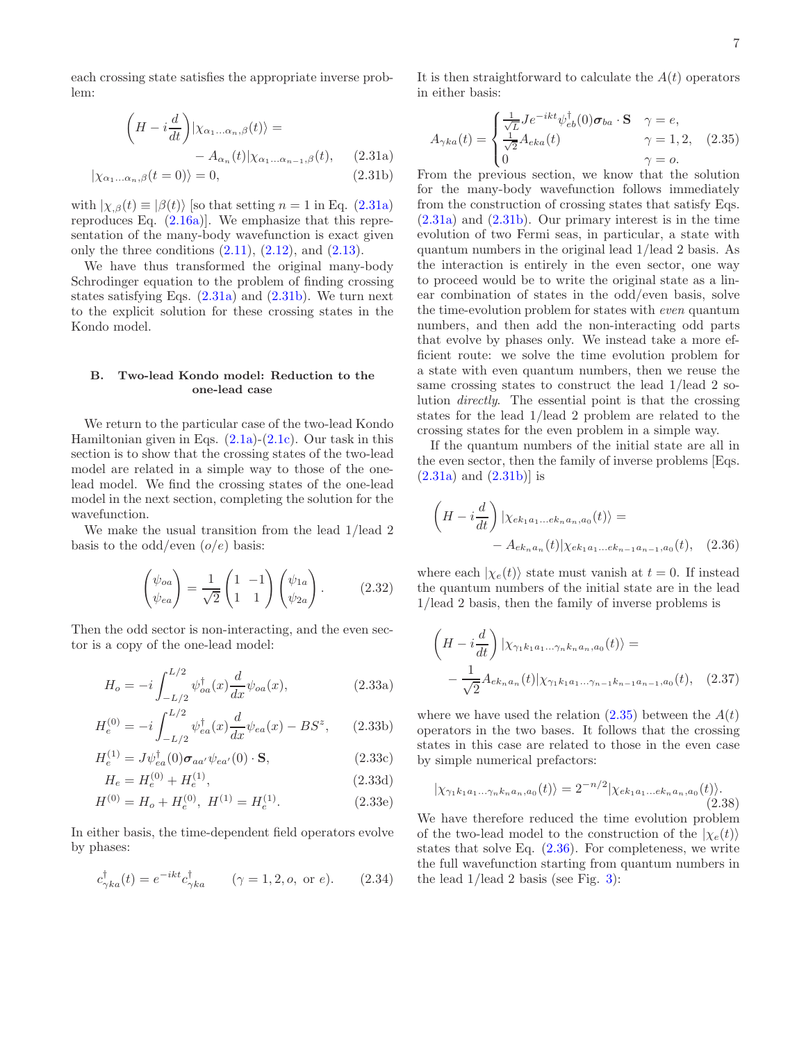each crossing state satisfies the appropriate inverse problem:

$$
\left(H - i\frac{d}{dt}\right)|\chi_{\alpha_1...\alpha_n,\beta}(t)\rangle =
$$
\n
$$
- A_{\alpha_n}(t)|\chi_{\alpha_1...\alpha_{n-1},\beta}(t), \qquad (2.31a)
$$
\n
$$
(2.31b)
$$

 $|\chi_{\alpha_1...\alpha_n,\beta}(t=0)\rangle = 0,$  (2.31b)

with  $|\chi_{,\beta}(t) \equiv |\beta(t)\rangle$  [so that setting  $n = 1$  in Eq. [\(2.31a\)](#page-6-1) reproduces Eq.  $(2.16a)$ . We emphasize that this representation of the many-body wavefunction is exact given only the three conditions  $(2.11)$ ,  $(2.12)$ , and  $(2.13)$ .

We have thus transformed the original many-body Schrodinger equation to the problem of finding crossing states satisfying Eqs. [\(2.31a\)](#page-6-1) and [\(2.31b\)](#page-6-2). We turn next to the explicit solution for these crossing states in the Kondo model.

# <span id="page-6-0"></span>B. Two-lead Kondo model: Reduction to the one-lead case

We return to the particular case of the two-lead Kondo Hamiltonian given in Eqs.  $(2.1a)-(2.1c)$  $(2.1a)-(2.1c)$ . Our task in this section is to show that the crossing states of the two-lead model are related in a simple way to those of the onelead model. We find the crossing states of the one-lead model in the next section, completing the solution for the wavefunction.

We make the usual transition from the lead 1/lead 2 basis to the odd/even  $(o/e)$  basis:

$$
\begin{pmatrix} \psi_{oa} \\ \psi_{ea} \end{pmatrix} = \frac{1}{\sqrt{2}} \begin{pmatrix} 1 & -1 \\ 1 & 1 \end{pmatrix} \begin{pmatrix} \psi_{1a} \\ \psi_{2a} \end{pmatrix} . \tag{2.32}
$$

Then the odd sector is non-interacting, and the even sector is a copy of the one-lead model:

$$
H_o = -i \int_{-L/2}^{L/2} \psi_{oa}^{\dagger}(x) \frac{d}{dx} \psi_{oa}(x), \qquad (2.33a)
$$

$$
H_e^{(0)} = -i \int_{-L/2}^{L/2} \psi_{ea}^{\dagger}(x) \frac{d}{dx} \psi_{ea}(x) - BS^z, \qquad (2.33b)
$$

$$
H_e^{(1)} = J\psi_{ea}^\dagger(0)\boldsymbol{\sigma}_{aa'}\psi_{ea'}(0) \cdot \mathbf{S},\tag{2.33c}
$$

$$
H_e = H_e^{(0)} + H_e^{(1)},\tag{2.33d}
$$

$$
H^{(0)} = H_o + H_e^{(0)}, \ H^{(1)} = H_e^{(1)}.
$$
 (2.33e)

In either basis, the time-dependent field operators evolve by phases:

$$
c_{\gamma ka}^{\dagger}(t) = e^{-ikt} c_{\gamma ka}^{\dagger} \qquad (\gamma = 1, 2, o, \text{ or } e).
$$
 (2.34)

It is then straightforward to calculate the  $A(t)$  operators in either basis:

<span id="page-6-3"></span>
$$
A_{\gamma ka}(t) = \begin{cases} \frac{1}{\sqrt{L}} J e^{-ikt} \psi_{eb}^{\dagger}(0) \sigma_{ba} \cdot \mathbf{S} & \gamma = e, \\ \frac{1}{\sqrt{2}} A_{eka}(t) & \gamma = 1, 2, \\ 0 & \gamma = o. \end{cases}
$$
 (2.35)

<span id="page-6-2"></span><span id="page-6-1"></span>From the previous section, we know that the solution for the many-body wavefunction follows immediately from the construction of crossing states that satisfy Eqs.  $(2.31a)$  and  $(2.31b)$ . Our primary interest is in the time evolution of two Fermi seas, in particular, a state with quantum numbers in the original lead 1/lead 2 basis. As the interaction is entirely in the even sector, one way to proceed would be to write the original state as a linear combination of states in the odd/even basis, solve the time-evolution problem for states with even quantum numbers, and then add the non-interacting odd parts that evolve by phases only. We instead take a more efficient route: we solve the time evolution problem for a state with even quantum numbers, then we reuse the same crossing states to construct the lead 1/lead 2 solution directly. The essential point is that the crossing states for the lead 1/lead 2 problem are related to the crossing states for the even problem in a simple way.

If the quantum numbers of the initial state are all in the even sector, then the family of inverse problems [Eqs.  $(2.31a)$  and  $(2.31b)$  is

<span id="page-6-4"></span>
$$
\left(H - i\frac{d}{dt}\right)|\chi_{ek_1a_1...ek_na_n,a_0}(t)\rangle =
$$
  
-  $A_{ek_na_n}(t)|\chi_{ek_1a_1...ek_{n-1}a_{n-1},a_0}(t),$  (2.36)

where each  $|\chi_e(t)\rangle$  state must vanish at  $t = 0$ . If instead the quantum numbers of the initial state are in the lead 1/lead 2 basis, then the family of inverse problems is

$$
\left(H - i\frac{d}{dt}\right)|\chi_{\gamma_1k_1a_1\ldots\gamma_nk_na_n,a_0}(t)\rangle =
$$

$$
-\frac{1}{\sqrt{2}}A_{ek_na_n}(t)|\chi_{\gamma_1k_1a_1\ldots\gamma_{n-1}k_{n-1}a_{n-1},a_0}(t), \quad (2.37)
$$

where we have used the relation  $(2.35)$  between the  $A(t)$ operators in the two bases. It follows that the crossing states in this case are related to those in the even case by simple numerical prefactors:

$$
|\chi_{\gamma_1k_1a_1\ldots\gamma_nk_na_n,a_0}(t)\rangle = 2^{-n/2}|\chi_{ek_1a_1\ldots ek_na_n,a_0}(t)\rangle.
$$
\n(2.38)

We have therefore reduced the time evolution problem of the two-lead model to the construction of the  $|\chi_e(t)\rangle$ states that solve Eq. [\(2.36\)](#page-6-4). For completeness, we write the full wavefunction starting from quantum numbers in the lead 1/lead 2 basis (see Fig. [3\)](#page-7-1):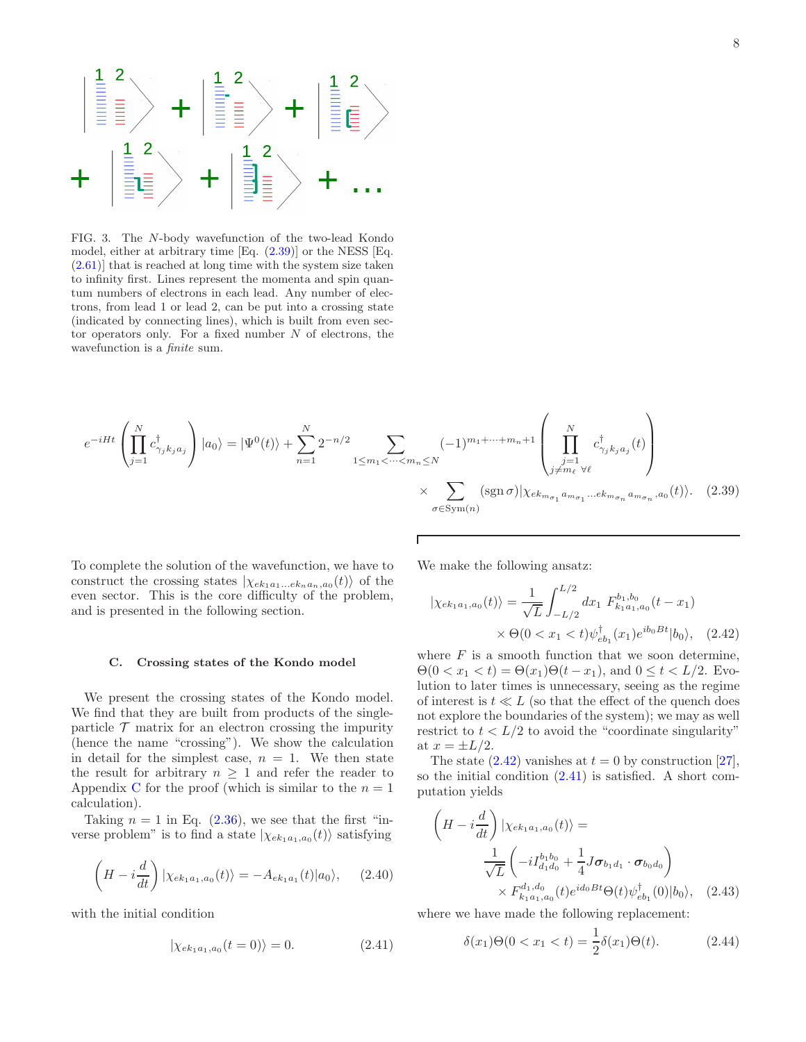

<span id="page-7-1"></span>FIG. 3. The N-body wavefunction of the two-lead Kondo model, either at arbitrary time [Eq. [\(2.39\)](#page-7-2)] or the NESS [Eq. [\(2.61\)](#page-10-1)] that is reached at long time with the system size taken to infinity first. Lines represent the momenta and spin quantum numbers of electrons in each lead. Any number of electrons, from lead 1 or lead 2, can be put into a crossing state (indicated by connecting lines), which is built from even sector operators only. For a fixed number  $N$  of electrons, the wavefunction is a *finite* sum.

$$
e^{-iHt}\left(\prod_{j=1}^{N}c_{\gamma_{j}k_{j}a_{j}}^{\dagger}\right)|a_{0}\rangle = |\Psi^{0}(t)\rangle + \sum_{n=1}^{N}2^{-n/2}\sum_{1\leq m_{1}<\cdots
$$

Г

To complete the solution of the wavefunction, we have to construct the crossing states  $|\chi_{ek_1a_1...ek_na_n,a_0}(t)\rangle$  of the even sector. This is the core difficulty of the problem, and is presented in the following section.

#### <span id="page-7-0"></span>C. Crossing states of the Kondo model

We present the crossing states of the Kondo model. We find that they are built from products of the singleparticle  $\mathcal T$  matrix for an electron crossing the impurity (hence the name "crossing"). We show the calculation in detail for the simplest case,  $n = 1$ . We then state the result for arbitrary  $n \geq 1$  and refer the reader to Appendix [C](#page-26-1) for the proof (which is similar to the  $n = 1$ ) calculation).

Taking  $n = 1$  in Eq. [\(2.36\)](#page-6-4), we see that the first "inverse problem" is to find a state  $|\chi_{ek_1a_1,a_0}(t)\rangle$  satisfying

<span id="page-7-6"></span>
$$
\left(H - i\frac{d}{dt}\right)|\chi_{ek_1a_1,a_0}(t)\rangle = -A_{ek_1a_1}(t)|a_0\rangle, \quad (2.40)
$$

with the initial condition

<span id="page-7-4"></span>
$$
|\chi_{ek_1a_1,a_0}(t=0)\rangle = 0.
$$
 (2.41)

We make the following ansatz:

<span id="page-7-3"></span><span id="page-7-2"></span>
$$
\begin{aligned} |\chi_{ek_1a_1,a_0}(t)\rangle &= \frac{1}{\sqrt{L}} \int_{-L/2}^{L/2} dx_1 \ F_{k_1a_1,a_0}^{b_1,b_0}(t-x_1) \\ &\times \Theta(0 < x_1 < t) \psi_{eb_1}^{\dagger}(x_1) e^{ib_0Bt} |b_0\rangle, \end{aligned} \tag{2.42}
$$

where  $F$  is a smooth function that we soon determine,  $\Theta(0 < x_1 < t) = \Theta(x_1)\Theta(t - x_1)$ , and  $0 \le t < L/2$ . Evolution to later times is unnecessary, seeing as the regime of interest is  $t \ll L$  (so that the effect of the quench does not explore the boundaries of the system); we may as well restrict to  $t < L/2$  to avoid the "coordinate singularity" at  $x = \pm L/2$ .

The state  $(2.42)$  vanishes at  $t = 0$  by construction [\[27\]](#page-42-10), so the initial condition [\(2.41\)](#page-7-4) is satisfied. A short computation yields

$$
\left(H - i\frac{d}{dt}\right)|\chi_{ek_1a_1,a_0}(t)\rangle = \frac{1}{\sqrt{L}} \left(-iI_{d_1d_0}^{b_1b_0} + \frac{1}{4}J\sigma_{b_1d_1} \cdot \sigma_{b_0d_0}\right) \times F_{k_1a_1,a_0}^{d_1,d_0}(t)e^{id_0Bt}\Theta(t)\psi_{eb_1}^{\dagger}(0)|b_0\rangle, (2.43)
$$

where we have made the following replacement:

<span id="page-7-5"></span>
$$
\delta(x_1)\Theta(0 < x_1 < t) = \frac{1}{2}\delta(x_1)\Theta(t). \tag{2.44}
$$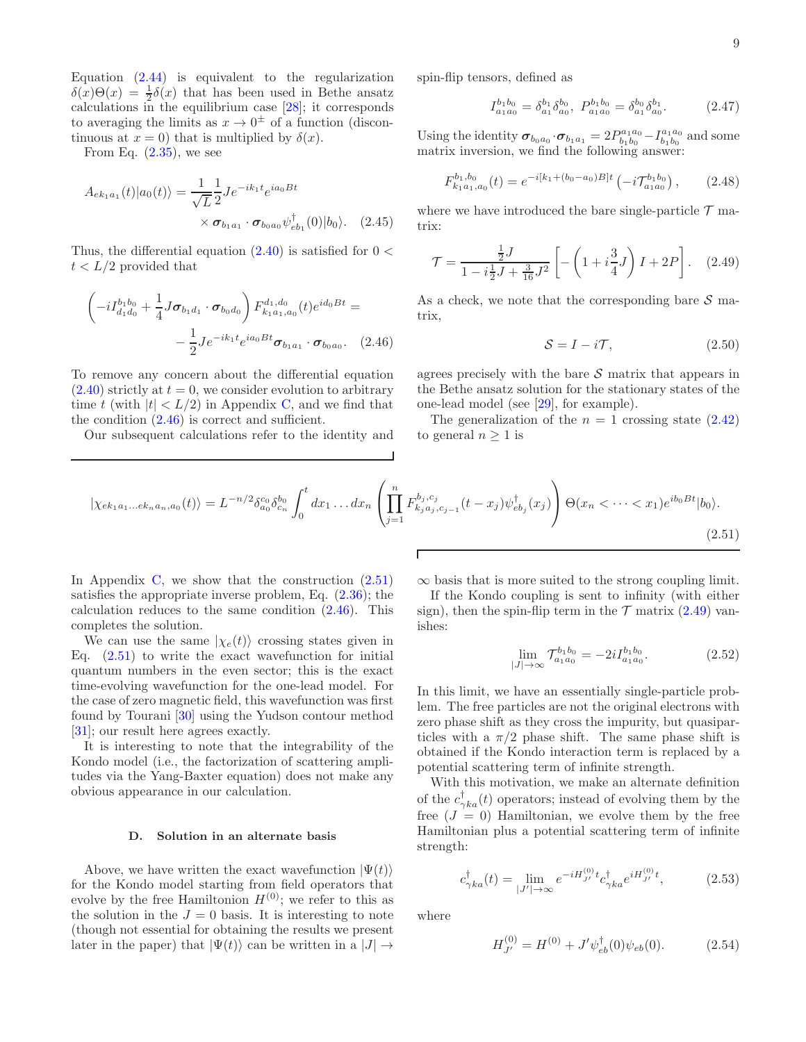Equation [\(2.44\)](#page-7-5) is equivalent to the regularization  $\delta(x)\Theta(x) = \frac{1}{2}\delta(x)$  that has been used in Bethe ansatz calculations in the equilibrium case [\[28](#page-42-11)]; it corresponds to averaging the limits as  $x \to 0^{\pm}$  of a function (discontinuous at  $x = 0$ ) that is multiplied by  $\delta(x)$ .

From Eq.  $(2.35)$ , we see

$$
A_{ek_1a_1}(t)|a_0(t)\rangle = \frac{1}{\sqrt{L}} \frac{1}{2} J e^{-ik_1t} e^{ia_0Bt}
$$

$$
\times \sigma_{b_1a_1} \cdot \sigma_{b_0a_0} \psi_{eb_1}^{\dagger}(0)|b_0\rangle. \quad (2.45)
$$

Thus, the differential equation  $(2.40)$  is satisfied for  $0 <$  $t < L/2$  provided that

$$
\left(-iI_{d_1d_0}^{b_1b_0} + \frac{1}{4}J\sigma_{b_1d_1} \cdot \sigma_{b_0d_0}\right) F_{k_1a_1,a_0}^{d_1,d_0}(t)e^{id_0Bt} = -\frac{1}{2}Je^{-ik_1t}e^{ia_0Bt}\sigma_{b_1a_1} \cdot \sigma_{b_0a_0}.
$$
 (2.46)

To remove any concern about the differential equation  $(2.40)$  strictly at  $t = 0$ , we consider evolution to arbitrary time t (with  $|t| < L/2$ ) in Appendix [C,](#page-26-1) and we find that the condition [\(2.46\)](#page-8-1) is correct and sufficient.

Our subsequent calculations refer to the identity and

spin-flip tensors, defined as

$$
I_{a_1 a_0}^{b_1 b_0} = \delta_{a_1}^{b_1} \delta_{a_0}^{b_0}, \ P_{a_1 a_0}^{b_1 b_0} = \delta_{a_1}^{b_0} \delta_{a_0}^{b_1}.
$$
 (2.47)

Using the identity  $\sigma_{b_0a_0} \cdot \sigma_{b_1a_1} = 2P_{b_1b_0}^{a_1a_0} - I_{b_1b_0}^{a_1a_0}$  and some matrix inversion, we find the following answer:

<span id="page-8-4"></span>
$$
F_{k_1a_1,a_0}^{b_1,b_0}(t) = e^{-i[k_1+(b_0-a_0)B]t} \left(-i\mathcal{T}_{a_1a_0}^{b_1b_0}\right),\qquad(2.48)
$$

<span id="page-8-5"></span>where we have introduced the bare single-particle  $\mathcal T$  matrix:

<span id="page-8-3"></span>
$$
\mathcal{T} = \frac{\frac{1}{2}J}{1 - i\frac{1}{2}J + \frac{3}{16}J^2} \left[ -\left(1 + i\frac{3}{4}J\right)I + 2P\right].
$$
 (2.49)

<span id="page-8-1"></span>As a check, we note that the corresponding bare  $\mathcal S$  matrix,

$$
S = I - i\mathcal{T},\tag{2.50}
$$

agrees precisely with the bare  $S$  matrix that appears in the Bethe ansatz solution for the stationary states of the one-lead model (see [\[29\]](#page-42-12), for example).

The generalization of the  $n = 1$  crossing state  $(2.42)$ to general  $n \geq 1$  is

<span id="page-8-2"></span>
$$
|\chi_{ek_1a_1...ek_na_n,a_0}(t)\rangle = L^{-n/2} \delta_{a_0}^{c_0} \delta_{c_n}^{b_0} \int_0^t dx_1 ... dx_n \left( \prod_{j=1}^n F_{k_ja_j,c_{j-1}}^{b_j,c_j}(t-x_j) \psi_{eb_j}^\dagger(x_j) \right) \Theta(x_n < ... < x_1) e^{ib_0Bt} |b_0\rangle.
$$
\n(2.51)

Г

In Appendix [C,](#page-26-1) we show that the construction  $(2.51)$ satisfies the appropriate inverse problem, Eq.  $(2.36)$ ; the calculation reduces to the same condition [\(2.46\)](#page-8-1). This completes the solution.

We can use the same  $|\chi_e(t)\rangle$  crossing states given in Eq.  $(2.51)$  to write the exact wavefunction for initial quantum numbers in the even sector; this is the exact time-evolving wavefunction for the one-lead model. For the case of zero magnetic field, this wavefunction was first found by Tourani [\[30\]](#page-42-13) using the Yudson contour method [\[31\]](#page-42-14); our result here agrees exactly.

It is interesting to note that the integrability of the Kondo model (i.e., the factorization of scattering amplitudes via the Yang-Baxter equation) does not make any obvious appearance in our calculation.

#### <span id="page-8-0"></span>D. Solution in an alternate basis

Above, we have written the exact wavefunction  $|\Psi(t)\rangle$ for the Kondo model starting from field operators that evolve by the free Hamiltonion  $H^{(0)}$ ; we refer to this as the solution in the  $J = 0$  basis. It is interesting to note (though not essential for obtaining the results we present later in the paper) that  $|\Psi(t)\rangle$  can be written in a  $|J| \rightarrow$ 

 $\infty$  basis that is more suited to the strong coupling limit.

If the Kondo coupling is sent to infinity (with either sign), then the spin-flip term in the  $\mathcal T$  matrix [\(2.49\)](#page-8-3) vanishes:

$$
\lim_{|J| \to \infty} \mathcal{T}_{a_1 a_0}^{b_1 b_0} = -2i I_{a_1 a_0}^{b_1 b_0}.
$$
 (2.52)

In this limit, we have an essentially single-particle problem. The free particles are not the original electrons with zero phase shift as they cross the impurity, but quasiparticles with a  $\pi/2$  phase shift. The same phase shift is obtained if the Kondo interaction term is replaced by a potential scattering term of infinite strength.

With this motivation, we make an alternate definition of the  $c_{\gamma ka}^{\dagger}(t)$  operators; instead of evolving them by the free  $(J = 0)$  Hamiltonian, we evolve them by the free Hamiltonian plus a potential scattering term of infinite strength:

$$
c_{\gamma ka}^{\dagger}(t) = \lim_{|J'| \to \infty} e^{-iH_{J'}^{(0)}t} c_{\gamma ka}^{\dagger} e^{iH_{J'}^{(0)}t}, \tag{2.53}
$$

where

$$
H_{J'}^{(0)} = H^{(0)} + J'\psi_{eb}^{\dagger}(0)\psi_{eb}(0). \tag{2.54}
$$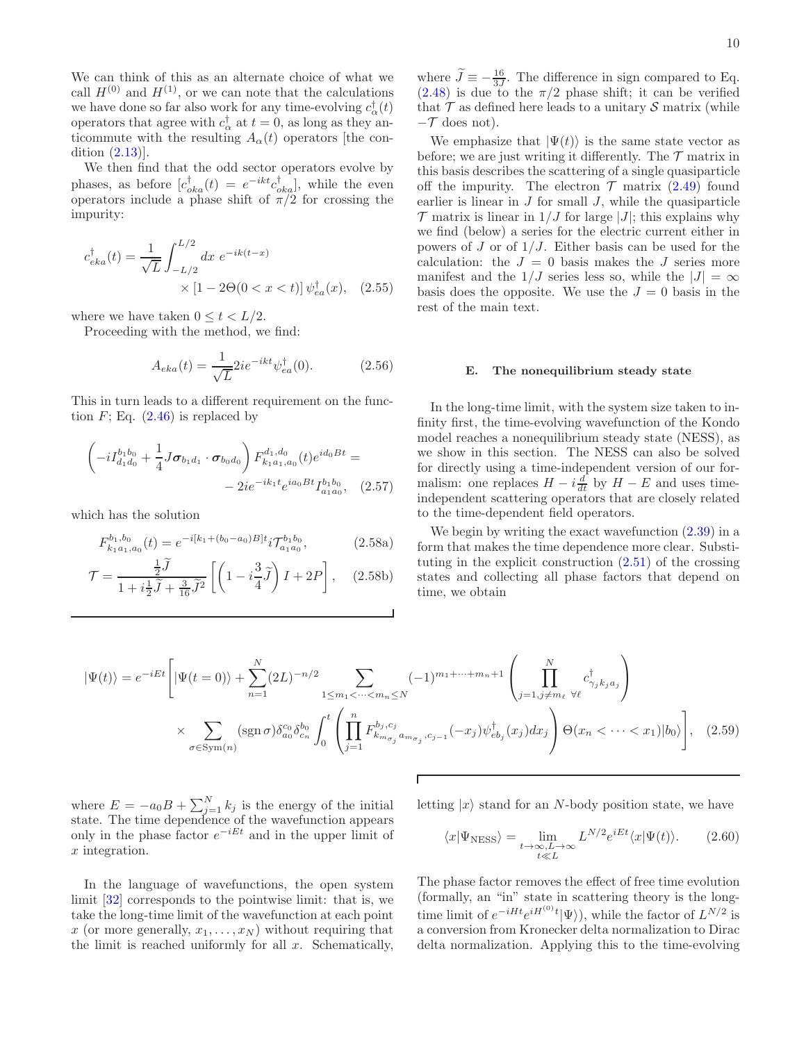We can think of this as an alternate choice of what we call  $H^{(0)}$  and  $H^{(1)}$ , or we can note that the calculations we have done so far also work for any time-evolving  $c_{\alpha}^{\dagger}(t)$ operators that agree with  $c_{\alpha}^{\dagger}$  at  $t = 0$ , as long as they anticommute with the resulting  $A_{\alpha}(t)$  operators [the condition [\(2.13\)](#page-3-3)].

We then find that the odd sector operators evolve by phases, as before  $[c_{oka}^{\dagger}(t)] = e^{-ikt}c_{oka}^{\dagger}$ , while the even operators include a phase shift of  $\pi/2$  for crossing the impurity:

$$
c_{eka}^{\dagger}(t) = \frac{1}{\sqrt{L}} \int_{-L/2}^{L/2} dx \ e^{-ik(t-x)} \times [1 - 2\Theta(0 < x < t)] \psi_{ea}^{\dagger}(x), \quad (2.55)
$$

where we have taken  $0 \leq t < L/2$ .

Proceeding with the method, we find:

$$
A_{eka}(t) = \frac{1}{\sqrt{L}} 2ie^{-ikt} \psi_{ea}^{\dagger}(0). \tag{2.56}
$$

This in turn leads to a different requirement on the function  $F$ ; Eq.  $(2.46)$  is replaced by

$$
\left(-iI_{d_1d_0}^{b_1b_0} + \frac{1}{4}J\sigma_{b_1d_1} \cdot \sigma_{b_0d_0}\right) F_{k_1a_1,a_0}^{d_1,d_0}(t)e^{id_0Bt} = -2ie^{-ik_1t}e^{ia_0Bt}I_{a_1a_0}^{b_1b_0}, \quad (2.57)
$$

which has the solution

$$
F_{k_1 a_1, a_0}^{b_1, b_0}(t) = e^{-i[k_1 + (b_0 - a_0)B]t} i \mathcal{T}_{a_1 a_0}^{b_1 b_0}, \tag{2.58a}
$$

$$
\mathcal{T} = \frac{\frac{1}{2}\tilde{J}}{1 + i\frac{1}{2}\tilde{J} + \frac{3}{16}\tilde{J}^2} \left[ \left( 1 - i\frac{3}{4}\tilde{J} \right) I + 2P \right], \quad (2.58b)
$$

where  $\widetilde{J} \equiv -\frac{16}{3J}$ . The difference in sign compared to Eq.  $(2.48)$  is due to the  $\pi/2$  phase shift; it can be verified that  $\mathcal T$  as defined here leads to a unitary  $\mathcal S$  matrix (while  $-\mathcal{T}$  does not).

We emphasize that  $|\Psi(t)\rangle$  is the same state vector as before; we are just writing it differently. The  $\mathcal T$  matrix in this basis describes the scattering of a single quasiparticle off the impurity. The electron  $\mathcal T$  matrix  $(2.49)$  found earlier is linear in  $J$  for small  $J$ , while the quasiparticle  $\mathcal T$  matrix is linear in  $1/J$  for large  $|J|$ ; this explains why we find (below) a series for the electric current either in powers of  $J$  or of  $1/J$ . Either basis can be used for the calculation: the  $J = 0$  basis makes the J series more manifest and the  $1/J$  series less so, while the  $|J| = \infty$ basis does the opposite. We use the  $J = 0$  basis in the rest of the main text.

### <span id="page-9-0"></span>E. The nonequilibrium steady state

In the long-time limit, with the system size taken to infinity first, the time-evolving wavefunction of the Kondo model reaches a nonequilibrium steady state (NESS), as we show in this section. The NESS can also be solved for directly using a time-independent version of our formalism: one replaces  $H - i\frac{d}{dt}$  by  $H - E$  and uses timeindependent scattering operators that are closely related to the time-dependent field operators.

We begin by writing the exact wavefunction  $(2.39)$  in a form that makes the time dependence more clear. Substituting in the explicit construction [\(2.51\)](#page-8-2) of the crossing states and collecting all phase factors that depend on time, we obtain

$$
|\Psi(t)\rangle = e^{-iEt} \left[ |\Psi(t=0)\rangle + \sum_{n=1}^{N} (2L)^{-n/2} \sum_{1 \le m_1 < \dots < m_n \le N} (-1)^{m_1 + \dots + m_n + 1} \left( \prod_{j=1, j \ne m_\ell}^{N} c_{\gamma_j k_j a_j}^{\dagger} \right) \times \sum_{\sigma \in \text{Sym}(n)} (\text{sgn }\sigma) \delta_{a_0}^{c_0} \delta_{c_n}^{b_0} \int_0^t \left( \prod_{j=1}^n F_{k_{m_{\sigma_j}} a_{m_{\sigma_j}}, c_{j-1}}^{b_j, c_j} (-x_j) \psi_{eb_j}^{\dagger}(x_j) dx_j \right) \Theta(x_n < \dots < x_1) |b_0\rangle \right], \quad (2.59)
$$

where  $E = -a_0B + \sum_{j=1}^{N} k_j$  is the energy of the initial state. The time dependence of the wavefunction appears only in the phase factor  $e^{-iEt}$  and in the upper limit of x integration.

In the language of wavefunctions, the open system limit [\[32\]](#page-42-15) corresponds to the pointwise limit: that is, we take the long-time limit of the wavefunction at each point x (or more generally,  $x_1, \ldots, x_N$ ) without requiring that the limit is reached uniformly for all  $x$ . Schematically, letting  $|x\rangle$  stand for an N-body position state, we have

<span id="page-9-1"></span>
$$
\langle x|\Psi_{\rm NESS}\rangle = \lim_{\substack{t \to \infty, L \to \infty \\ t \ll L}} L^{N/2} e^{iEt} \langle x|\Psi(t)\rangle.
$$
 (2.60)

The phase factor removes the effect of free time evolution (formally, an "in" state in scattering theory is the longtime limit of  $e^{-iHt}e^{iH^{(0)}t}|\Psi\rangle$ , while the factor of  $L^{N/2}$  is a conversion from Kronecker delta normalization to Dirac delta normalization. Applying this to the time-evolving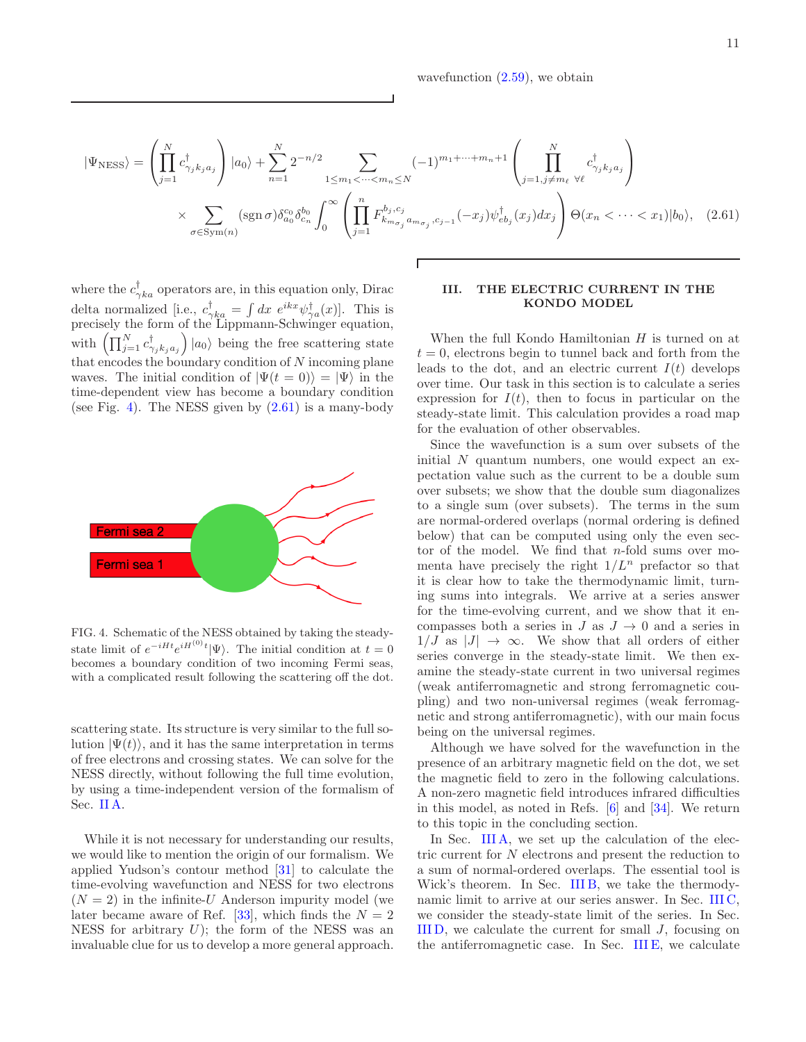wavefunction  $(2.59)$ , we obtain

$$
|\Psi_{\text{NESS}}\rangle = \left(\prod_{j=1}^{N} c_{\gamma_j k_j a_j}^{\dagger}\right) |a_0\rangle + \sum_{n=1}^{N} 2^{-n/2} \sum_{1 \le m_1 < \dots < m_n \le N} (-1)^{m_1 + \dots + m_n + 1} \left(\prod_{j=1, j \ne m_\ell}^{N} c_{\gamma_j k_j a_j}^{\dagger}\right)
$$
  
 
$$
\times \sum_{\sigma \in \text{Sym}(n)} (\text{sgn}\,\sigma) \delta_{a_0}^{c_0} \delta_{c_n}^{b_0} \int_0^\infty \left(\prod_{j=1}^n F_{k_{m_{\sigma_j}} a_{m_{\sigma_j}}, c_{j-1}}^{b_j, c_j}(-x_j) \psi_{e b_j}^{\dagger}(x_j) dx_j\right) \Theta(x_n < \dots < x_1) |b_0\rangle, \quad (2.61)
$$

where the  $c_{\gamma k a}^{\dagger}$  operators are, in this equation only, Dirac delta normalized [i.e.,  $c_{\gamma ka}^{\dagger} = \int dx \ e^{ikx} \psi_{\gamma a}^{\dagger}(x)$ ]. This is precisely the form of the Lippmann-Schwinger equation, with  $\prod_{j=1}^{N} c_{\gamma_j k_j a_j}^{\dagger}$  $|a_0\rangle$  being the free scattering state that encodes the boundary condition of  $N$  incoming plane waves. The initial condition of  $|\Psi(t=0)\rangle = |\Psi\rangle$  in the time-dependent view has become a boundary condition (see Fig. [4\)](#page-10-2). The NESS given by  $(2.61)$  is a many-body



<span id="page-10-2"></span>FIG. 4. Schematic of the NESS obtained by taking the steadystate limit of  $e^{-iHt}e^{iH^{(0)}t}|\Psi\rangle$ . The initial condition at  $t=0$ becomes a boundary condition of two incoming Fermi seas, with a complicated result following the scattering off the dot.

scattering state. Its structure is very similar to the full solution  $|\Psi(t)\rangle$ , and it has the same interpretation in terms of free electrons and crossing states. We can solve for the NESS directly, without following the full time evolution, by using a time-independent version of the formalism of Sec. [II A.](#page-2-1)

While it is not necessary for understanding our results, we would like to mention the origin of our formalism. We applied Yudson's contour method [\[31\]](#page-42-14) to calculate the time-evolving wavefunction and NESS for two electrons  $(N = 2)$  in the infinite-U Anderson impurity model (we later became aware of Ref. [\[33](#page-42-16)], which finds the  $N = 2$ NESS for arbitrary  $U$ ); the form of the NESS was an invaluable clue for us to develop a more general approach.

# <span id="page-10-1"></span><span id="page-10-0"></span>III. THE ELECTRIC CURRENT IN THE KONDO MODEL

When the full Kondo Hamiltonian  $H$  is turned on at  $t = 0$ , electrons begin to tunnel back and forth from the leads to the dot, and an electric current  $I(t)$  develops over time. Our task in this section is to calculate a series expression for  $I(t)$ , then to focus in particular on the steady-state limit. This calculation provides a road map for the evaluation of other observables.

Since the wavefunction is a sum over subsets of the initial  $N$  quantum numbers, one would expect an expectation value such as the current to be a double sum over subsets; we show that the double sum diagonalizes to a single sum (over subsets). The terms in the sum are normal-ordered overlaps (normal ordering is defined below) that can be computed using only the even sector of the model. We find that n-fold sums over momenta have precisely the right  $1/L^n$  prefactor so that it is clear how to take the thermodynamic limit, turning sums into integrals. We arrive at a series answer for the time-evolving current, and we show that it encompasses both a series in  $J$  as  $J \to 0$  and a series in  $1/J$  as  $|J| \to \infty$ . We show that all orders of either series converge in the steady-state limit. We then examine the steady-state current in two universal regimes (weak antiferromagnetic and strong ferromagnetic coupling) and two non-universal regimes (weak ferromagnetic and strong antiferromagnetic), with our main focus being on the universal regimes.

Although we have solved for the wavefunction in the presence of an arbitrary magnetic field on the dot, we set the magnetic field to zero in the following calculations. A non-zero magnetic field introduces infrared difficulties in this model, as noted in Refs. [\[6](#page-41-12)] and [\[34\]](#page-42-17). We return to this topic in the concluding section.

In Sec. [III A,](#page-11-0) we set up the calculation of the electric current for N electrons and present the reduction to a sum of normal-ordered overlaps. The essential tool is Wick's theorem. In Sec. [III B,](#page-12-0) we take the thermodynamic limit to arrive at our series answer. In Sec. [III C,](#page-14-0) we consider the steady-state limit of the series. In Sec. [III D,](#page-17-0) we calculate the current for small J, focusing on the antiferromagnetic case. In Sec. [III E,](#page-21-0) we calculate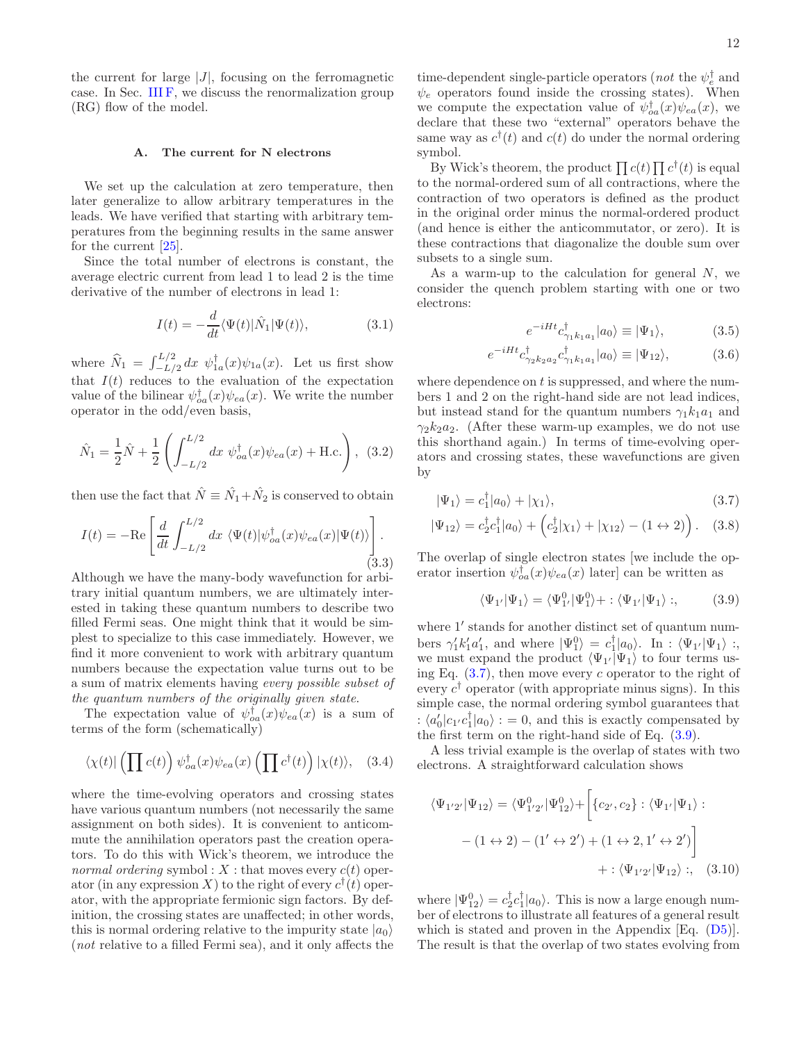the current for large  $|J|$ , focusing on the ferromagnetic case. In Sec. [III F,](#page-23-0) we discuss the renormalization group (RG) flow of the model.

### <span id="page-11-0"></span>A. The current for N electrons

We set up the calculation at zero temperature, then later generalize to allow arbitrary temperatures in the leads. We have verified that starting with arbitrary temperatures from the beginning results in the same answer for the current [\[25\]](#page-42-8).

Since the total number of electrons is constant, the average electric current from lead 1 to lead 2 is the time derivative of the number of electrons in lead 1:

<span id="page-11-4"></span>
$$
I(t) = -\frac{d}{dt} \langle \Psi(t) | \hat{N}_1 | \Psi(t) \rangle, \tag{3.1}
$$

where  $\widehat{N}_1 = \int_{-L/2}^{L/2} dx \psi_{1a}^{\dagger}(x)\psi_{1a}(x)$ . Let us first show that  $I(t)$  reduces to the evaluation of the expectation value of the bilinear  $\psi_{oa}^{\dagger}(x)\psi_{ea}(x)$ . We write the number operator in the odd/even basis,

$$
\hat{N}_1 = \frac{1}{2}\hat{N} + \frac{1}{2}\left(\int_{-L/2}^{L/2} dx \ \psi_{oa}^{\dagger}(x)\psi_{ea}(x) + \text{H.c.}\right), \tag{3.2}
$$

then use the fact that  $\hat{N} \equiv \hat{N}_1 + \hat{N}_2$  is conserved to obtain

<span id="page-11-3"></span>
$$
I(t) = -\text{Re}\left[\frac{d}{dt} \int_{-L/2}^{L/2} dx \ \langle \Psi(t) | \psi_{oa}^{\dagger}(x) \psi_{ea}(x) | \Psi(t) \rangle \right].
$$
\n(3.3)

Although we have the many-body wavefunction for arbitrary initial quantum numbers, we are ultimately interested in taking these quantum numbers to describe two filled Fermi seas. One might think that it would be simplest to specialize to this case immediately. However, we find it more convenient to work with arbitrary quantum numbers because the expectation value turns out to be a sum of matrix elements having every possible subset of the quantum numbers of the originally given state.

The expectation value of  $\psi_{oa}^{\dagger}(x)\psi_{ea}(x)$  is a sum of terms of the form (schematically)

$$
\langle \chi(t) | \left( \prod c(t) \right) \psi_{oa}^{\dagger}(x) \psi_{ea}(x) \left( \prod c^{\dagger}(t) \right) | \chi(t) \rangle, \quad (3.4)
$$

where the time-evolving operators and crossing states have various quantum numbers (not necessarily the same assignment on both sides). It is convenient to anticommute the annihilation operators past the creation operators. To do this with Wick's theorem, we introduce the normal ordering symbol :  $X$  : that moves every  $c(t)$  operator (in any expression X) to the right of every  $c^{\dagger}(t)$  operator, with the appropriate fermionic sign factors. By definition, the crossing states are unaffected; in other words, this is normal ordering relative to the impurity state  $|a_0\rangle$ (not relative to a filled Fermi sea), and it only affects the

time-dependent single-particle operators (*not* the  $\psi_e^{\dagger}$  and  $\psi_e$  operators found inside the crossing states). When we compute the expectation value of  $\psi_{oa}^{\dagger}(x)\psi_{ea}(x)$ , we declare that these two "external" operators behave the same way as  $c^{\dagger}(t)$  and  $c(t)$  do under the normal ordering symbol.

By Wick's theorem, the product  $\prod_{i} c(t) \prod_{i} c^{\dagger}(t)$  is equal to the normal-ordered sum of all contractions, where the contraction of two operators is defined as the product in the original order minus the normal-ordered product (and hence is either the anticommutator, or zero). It is these contractions that diagonalize the double sum over subsets to a single sum.

As a warm-up to the calculation for general  $N$ , we consider the quench problem starting with one or two electrons:

<span id="page-11-1"></span>
$$
e^{-iHt}c_{\gamma_1k_1a_1}^{\dagger}|a_0\rangle \equiv |\Psi_1\rangle, \tag{3.5}
$$

$$
e^{-iHt}c_{\gamma_2k_2a_2}^{\dagger}c_{\gamma_1k_1a_1}^{\dagger}|a_0\rangle \equiv |\Psi_{12}\rangle, \tag{3.6}
$$

where dependence on  $t$  is suppressed, and where the numbers 1 and 2 on the right-hand side are not lead indices, but instead stand for the quantum numbers  $\gamma_1 k_1 a_1$  and  $\gamma_2 k_2 a_2$ . (After these warm-up examples, we do not use this shorthand again.) In terms of time-evolving operators and crossing states, these wavefunctions are given by

$$
|\Psi_1\rangle = c_1^\dagger |a_0\rangle + |\chi_1\rangle,\tag{3.7}
$$

$$
|\Psi_{12}\rangle = c_2^{\dagger} c_1^{\dagger} |a_0\rangle + \left(c_2^{\dagger} |\chi_1\rangle + |\chi_{12}\rangle - (1 \leftrightarrow 2)\right). \quad (3.8)
$$

The overlap of single electron states [we include the operator insertion  $\psi_{oa}^{\dagger}(x)\psi_{ea}(x)$  later] can be written as

<span id="page-11-2"></span>
$$
\langle \Psi_{1'}|\Psi_1\rangle = \langle \Psi_{1'}^0|\Psi_1^0\rangle + : \langle \Psi_{1'}|\Psi_1\rangle ; \qquad (3.9)
$$

where 1′ stands for another distinct set of quantum numbers  $\gamma_1' k_1' a_1'$ , and where  $|\Psi_1^0\rangle = c_1^{\dagger} |a_0\rangle$ . In :  $\langle \Psi_{1'}|\Psi_1\rangle$  : we must expand the product  $\langle \Psi_{1'} | \Psi_1 \rangle$  to four terms using Eq.  $(3.7)$ , then move every c operator to the right of every  $c^{\dagger}$  operator (with appropriate minus signs). In this simple case, the normal ordering symbol guarantees that  $\langle a'_0 | c_1 c_1^{\dagger} | a_0 \rangle$  : = 0, and this is exactly compensated by the first term on the right-hand side of Eq. [\(3.9\)](#page-11-2).

A less trivial example is the overlap of states with two electrons. A straightforward calculation shows

$$
\langle \Psi_{1'2'} | \Psi_{12} \rangle = \langle \Psi_{1'2'}^0 | \Psi_{12}^0 \rangle + \left[ \{c_{2'}, c_2\} : \langle \Psi_{1'} | \Psi_1 \rangle : - (1 \leftrightarrow 2) - (1' \leftrightarrow 2') + (1 \leftrightarrow 2, 1' \leftrightarrow 2') \right] + \langle \Psi_{1'2'} | \Psi_{12} \rangle ;, \quad (3.10)
$$

where  $|\Psi_{12}^{0}\rangle = c_2^{\dagger} c_1^{\dagger} |a_0\rangle$ . This is now a large enough number of electrons to illustrate all features of a general result which is stated and proven in the Appendix [Eq. [\(D5\)](#page-29-0)]. The result is that the overlap of two states evolving from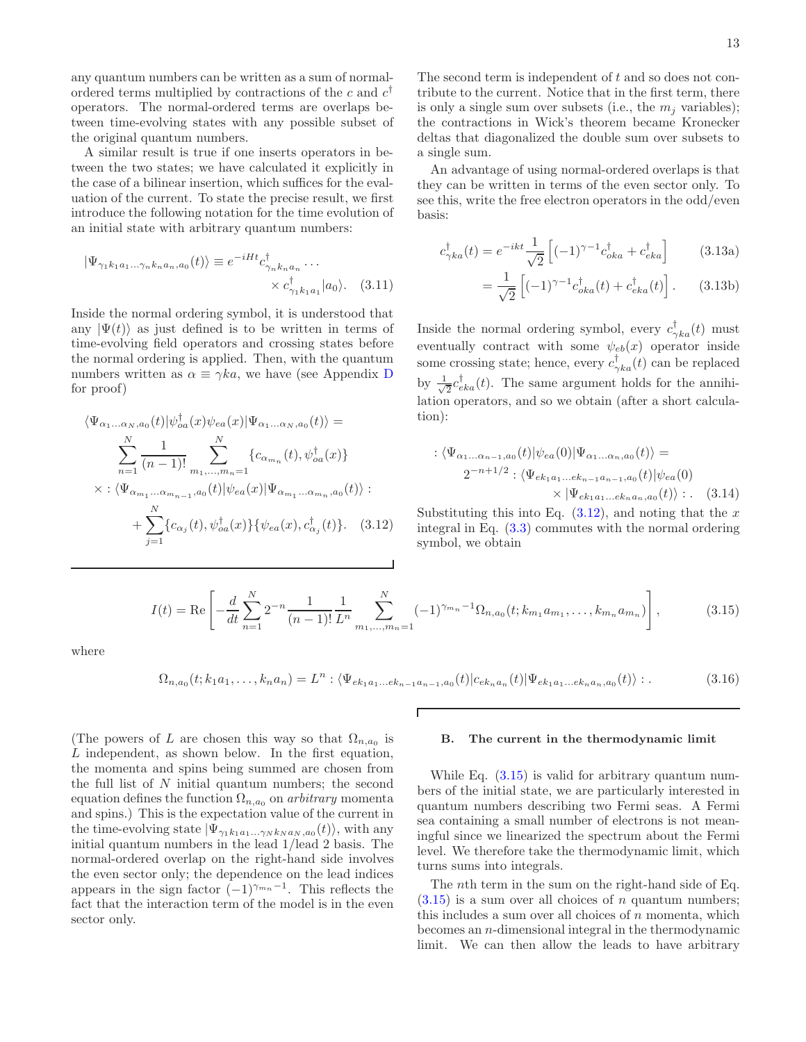any quantum numbers can be written as a sum of normalordered terms multiplied by contractions of the c and  $c^{\dagger}$ operators. The normal-ordered terms are overlaps between time-evolving states with any possible subset of the original quantum numbers.

A similar result is true if one inserts operators in between the two states; we have calculated it explicitly in the case of a bilinear insertion, which suffices for the evaluation of the current. To state the precise result, we first introduce the following notation for the time evolution of an initial state with arbitrary quantum numbers:

$$
|\Psi_{\gamma_1 k_1 a_1 \dots \gamma_n k_n a_n, a_0}(t)\rangle \equiv e^{-iHt} c^{\dagger}_{\gamma_n k_n a_n} \dots \times c^{\dagger}_{\gamma_1 k_1 a_1} |a_0\rangle. \quad (3.11)
$$

Inside the normal ordering symbol, it is understood that any  $|\Psi(t)\rangle$  as just defined is to be written in terms of time-evolving field operators and crossing states before the normal ordering is applied. Then, with the quantum numbers written as  $\alpha \equiv \gamma k a$ , we have (see Appendix [D](#page-28-0) for proof)

$$
\langle \Psi_{\alpha_1...\alpha_N,a_0}(t) | \psi_{\alpha a}^{\dagger}(x) \psi_{ea}(x) | \Psi_{\alpha_1...\alpha_N,a_0}(t) \rangle =
$$
\n
$$
\sum_{n=1}^{N} \frac{1}{(n-1)!} \sum_{m_1,...,m_n=1}^{N} \{c_{\alpha_{m_n}}(t), \psi_{\alpha a}^{\dagger}(x)\}
$$
\n
$$
\times : \langle \Psi_{\alpha_{m_1}...\alpha_{m_{n-1}},a_0}(t) | \psi_{ea}(x) | \Psi_{\alpha_{m_1}...\alpha_{m_n},a_0}(t) \rangle :
$$
\n
$$
+ \sum_{j=1}^{N} \{c_{\alpha_j}(t), \psi_{\alpha a}^{\dagger}(x)\} \{\psi_{ea}(x), c_{\alpha_j}^{\dagger}(t)\}. \quad (3.12)
$$

The second term is independent of t and so does not contribute to the current. Notice that in the first term, there is only a single sum over subsets (i.e., the  $m_i$  variables); the contractions in Wick's theorem became Kronecker deltas that diagonalized the double sum over subsets to a single sum.

An advantage of using normal-ordered overlaps is that they can be written in terms of the even sector only. To see this, write the free electron operators in the odd/even basis:

$$
c_{\gamma ka}^{\dagger}(t) = e^{-ikt} \frac{1}{\sqrt{2}} \left[ (-1)^{\gamma - 1} c_{oka}^{\dagger} + c_{eka}^{\dagger} \right]
$$
 (3.13a)

$$
= \frac{1}{\sqrt{2}} \left[ (-1)^{\gamma - 1} c_{oka}^{\dagger}(t) + c_{eka}^{\dagger}(t) \right].
$$
 (3.13b)

Inside the normal ordering symbol, every  $c_{\gamma ka}^{\dagger}(t)$  must eventually contract with some  $\psi_{eb}(x)$  operator inside some crossing state; hence, every  $c_{\gamma ka}^{\dagger}(t)$  can be replaced by  $\frac{1}{\sqrt{2}}$  $\frac{1}{2}c_{eka}^{\dagger}(t)$ . The same argument holds for the annihilation operators, and so we obtain (after a short calculation):

$$
\begin{aligned} : \langle \Psi_{\alpha_1...\alpha_{n-1},a_0}(t) | \psi_{ea}(0) | \Psi_{\alpha_1...\alpha_n,a_0}(t) \rangle &= \\ 2^{-n+1/2} : \langle \Psi_{ek_1a_1...\ek_{n-1}a_{n-1},a_0}(t) | \psi_{ea}(0) \\ &\times | \Psi_{ek_1a_1...\ek_na_n,a_0}(t) \rangle : . \quad (3.14) \end{aligned}
$$

<span id="page-12-1"></span>Substituting this into Eq.  $(3.12)$ , and noting that the x integral in Eq. [\(3.3\)](#page-11-3) commutes with the normal ordering symbol, we obtain

<span id="page-12-2"></span>
$$
I(t) = \text{Re}\left[-\frac{d}{dt}\sum_{n=1}^{N}2^{-n}\frac{1}{(n-1)!}\frac{1}{L^n}\sum_{m_1,\dots,m_n=1}^{N}(-1)^{\gamma_{m_n}-1}\Omega_{n,a_0}(t;k_{m_1}a_{m_1},\dots,k_{m_n}a_{m_n})\right],\tag{3.15}
$$

where

$$
\Omega_{n,a_0}(t;k_1a_1,\ldots,k_na_n) = L^n : \langle \Psi_{ek_1a_1\ldots ek_{n-1}a_{n-1},a_0}(t)|c_{ek_na_n}(t)|\Psi_{ek_1a_1\ldots ek_na_n,a_0}(t)\rangle : .
$$
\n(3.16)

Г

(The powers of L are chosen this way so that  $\Omega_{n,a_0}$  is L independent, as shown below. In the first equation, the momenta and spins being summed are chosen from the full list of  $N$  initial quantum numbers; the second equation defines the function  $\Omega_{n,a_0}$  on *arbitrary* momenta and spins.) This is the expectation value of the current in the time-evolving state  $|\Psi_{\gamma_1 k_1 a_1...\gamma_N k_N a_N,a_0}(t)\rangle$ , with any initial quantum numbers in the lead 1/lead 2 basis. The normal-ordered overlap on the right-hand side involves the even sector only; the dependence on the lead indices appears in the sign factor  $(-1)^{\gamma_{m_n}-1}$ . This reflects the fact that the interaction term of the model is in the even sector only.

#### <span id="page-12-0"></span>B. The current in the thermodynamic limit

While Eq.  $(3.15)$  is valid for arbitrary quantum numbers of the initial state, we are particularly interested in quantum numbers describing two Fermi seas. A Fermi sea containing a small number of electrons is not meaningful since we linearized the spectrum about the Fermi level. We therefore take the thermodynamic limit, which turns sums into integrals.

The nth term in the sum on the right-hand side of Eq.  $(3.15)$  is a sum over all choices of *n* quantum numbers; this includes a sum over all choices of  $n$  momenta, which becomes an n-dimensional integral in the thermodynamic limit. We can then allow the leads to have arbitrary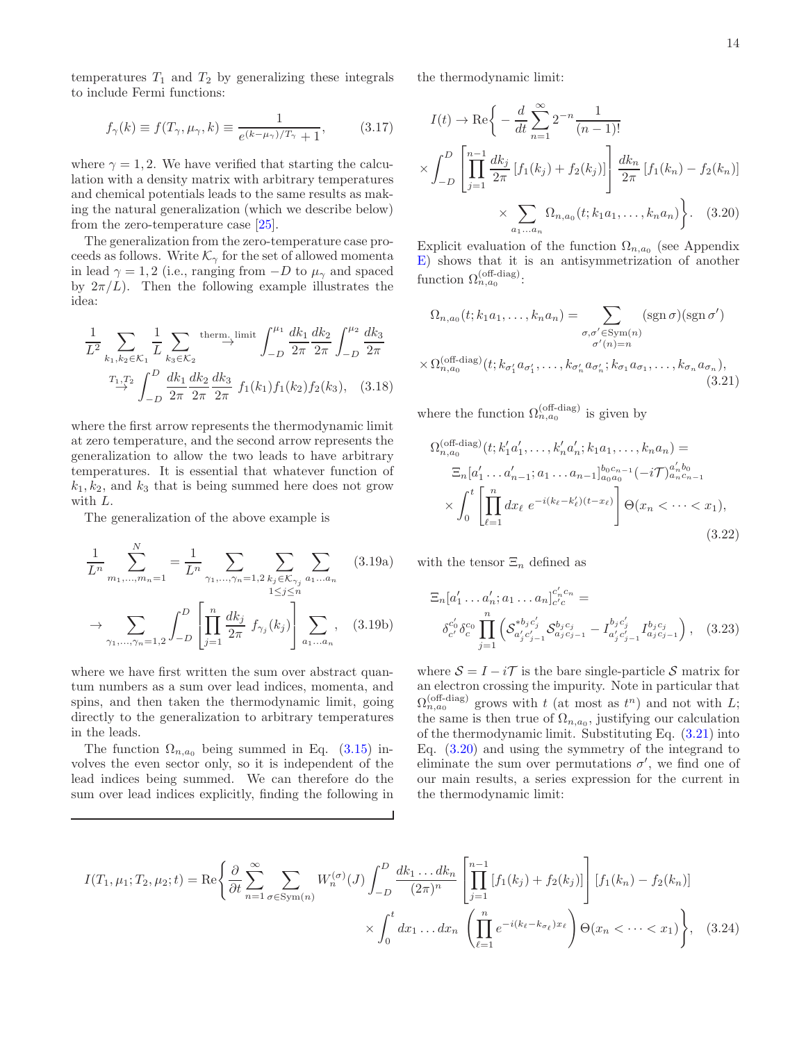<span id="page-13-1"></span>14

temperatures  $T_1$  and  $T_2$  by generalizing these integrals to include Fermi functions:

$$
f_{\gamma}(k) \equiv f(T_{\gamma}, \mu_{\gamma}, k) \equiv \frac{1}{e^{(k-\mu_{\gamma})/T_{\gamma}} + 1},
$$
 (3.17)

where  $\gamma = 1, 2$ . We have verified that starting the calculation with a density matrix with arbitrary temperatures and chemical potentials leads to the same results as making the natural generalization (which we describe below) from the zero-temperature case [\[25\]](#page-42-8).

The generalization from the zero-temperature case proceeds as follows. Write  $\mathcal{K}_{\gamma}$  for the set of allowed momenta in lead  $\gamma = 1, 2$  (i.e., ranging from  $-D$  to  $\mu_{\gamma}$  and spaced by  $2\pi/L$ ). Then the following example illustrates the idea:

$$
\frac{1}{L^2} \sum_{k_1, k_2 \in \mathcal{K}_1} \frac{1}{L} \sum_{k_3 \in \mathcal{K}_2} \xrightarrow{\text{therm. limit}} \int_{-D}^{\mu_1} \frac{dk_1}{2\pi} \frac{dk_2}{2\pi} \int_{-D}^{\mu_2} \frac{dk_3}{2\pi}
$$

$$
\xrightarrow{T_1, T_2} \int_{-D}^{D} \frac{dk_1}{2\pi} \frac{dk_2}{2\pi} \frac{dk_3}{2\pi} f_1(k_1) f_1(k_2) f_2(k_3), \quad (3.18)
$$

where the first arrow represents the thermodynamic limit at zero temperature, and the second arrow represents the generalization to allow the two leads to have arbitrary temperatures. It is essential that whatever function of  $k_1, k_2$ , and  $k_3$  that is being summed here does not grow with L.

The generalization of the above example is

$$
\frac{1}{L^n} \sum_{m_1, \dots, m_n=1}^N = \frac{1}{L^n} \sum_{\gamma_1, \dots, \gamma_n=1, 2} \sum_{\substack{k_j \in \mathcal{K}_{\gamma_j} \\ 1 \le j \le n}} \sum_{a_1 \dots a_n} (3.19a)
$$

$$
\to \sum_{\gamma_1, \dots, \gamma_n=1, 2} \int_{-D}^D \left[ \prod_{j=1}^n \frac{dk_j}{2\pi} f_{\gamma_j}(k_j) \right] \sum_{a_1 \dots a_n} , \quad (3.19b)
$$

where we have first written the sum over abstract quantum numbers as a sum over lead indices, momenta, and spins, and then taken the thermodynamic limit, going directly to the generalization to arbitrary temperatures in the leads.

The function  $\Omega_{n,a_0}$  being summed in Eq. [\(3.15\)](#page-12-2) involves the even sector only, so it is independent of the lead indices being summed. We can therefore do the sum over lead indices explicitly, finding the following in the thermodynamic limit:

$$
I(t) \to \text{Re}\left\{-\frac{d}{dt}\sum_{n=1}^{\infty} 2^{-n} \frac{1}{(n-1)!} \times \int_{-D}^{D} \left[\prod_{j=1}^{n-1} \frac{dk_j}{2\pi} \left[f_1(k_j) + f_2(k_j)\right]\right] \frac{dk_n}{2\pi} \left[f_1(k_n) - f_2(k_n)\right] \times \sum_{a_1...a_n} \Omega_{n,a_0}(t; k_1 a_1,..., k_n a_n)\right\}.
$$
 (3.20)

Explicit evaluation of the function  $\Omega_{n,a_0}$  (see Appendix [E\)](#page-31-0) shows that it is an antisymmetrization of another function  $\Omega_{n,a_0}^{\text{(off-diag)}}$ :

$$
\Omega_{n,a_0}(t; k_1 a_1, \dots, k_n a_n) = \sum_{\substack{\sigma,\sigma' \in \text{Sym}(n) \\ \sigma'(n)=n}} (\text{sgn}\,\sigma)(\text{sgn}\,\sigma')
$$

$$
\times \Omega_{n,a_0}^{(\text{off-diag})}(t; k_{\sigma'_1} a_{\sigma'_1}, \dots, k_{\sigma'_n} a_{\sigma'_n}; k_{\sigma_1} a_{\sigma_1}, \dots, k_{\sigma_n} a_{\sigma_n}),
$$
\n(3.21)

where the function  $\Omega_{n,a_0}^{(\text{off-diag})}$  is given by

<span id="page-13-0"></span>
$$
\Omega_{n,a_0}^{(\text{off-diag})}(t; k'_1 a'_1, \dots, k'_n a'_n; k_1 a_1, \dots, k_n a_n) =
$$
\n
$$
\Xi_n[a'_1 \dots a'_{n-1}; a_1 \dots a_{n-1}]_{a_0 a_0}^{b_0 c_{n-1}}(-i\mathcal{T})_{a_n c_{n-1}}^{a'_n b_0}
$$
\n
$$
\times \int_0^t \left[ \prod_{\ell=1}^n dx_\ell \ e^{-i(k_\ell - k'_\ell)(t - x_\ell)} \right] \Theta(x_n < \dots < x_1),
$$
\n(3.22)

with the tensor  $\Xi_n$  defined as

<span id="page-13-3"></span>
$$
\Xi_n[a'_1 \dots a'_n; a_1 \dots a_n]_{c'_c}^{c'_nc_n} =
$$
\n
$$
\delta_{c'}^{c'_0} \delta_{c}^{c_0} \prod_{j=1}^n \left( S_{a'_j c'_{j-1}}^{*b_j c'_j} S_{a_j c_{j-1}}^{b_j c_j} - I_{a'_j c'_{j-1}}^{b_j c'_j} I_{a_j c_{j-1}}^{b_j c_j} \right), \quad (3.23)
$$

<span id="page-13-2"></span>where  $S = I - iT$  is the bare single-particle S matrix for an electron crossing the impurity. Note in particular that  $\Omega_{n,a_0}^{(\text{off-diag})}$  grows with t (at most as  $t^n$ ) and not with L; the same is then true of  $\Omega_{n,a_0}$ , justifying our calculation of the thermodynamic limit. Substituting Eq. [\(3.21\)](#page-13-0) into Eq. [\(3.20\)](#page-13-1) and using the symmetry of the integrand to eliminate the sum over permutations  $\sigma'$ , we find one of our main results, a series expression for the current in the thermodynamic limit:

$$
I(T_1, \mu_1; T_2, \mu_2; t) = \text{Re}\left\{\frac{\partial}{\partial t} \sum_{n=1}^{\infty} \sum_{\sigma \in \text{Sym}(n)} W_n^{(\sigma)}(J) \int_{-D}^{D} \frac{dk_1 \dots dk_n}{(2\pi)^n} \left[ \prod_{j=1}^{n-1} \left[ f_1(k_j) + f_2(k_j) \right] \right] \left[ f_1(k_n) - f_2(k_n) \right] \times \int_0^t dx_1 \dots dx_n \left( \prod_{\ell=1}^n e^{-i(k_\ell - k_{\sigma_\ell})x_\ell} \right) \Theta(x_n < \dots < x_1) \right\}, \quad (3.24)
$$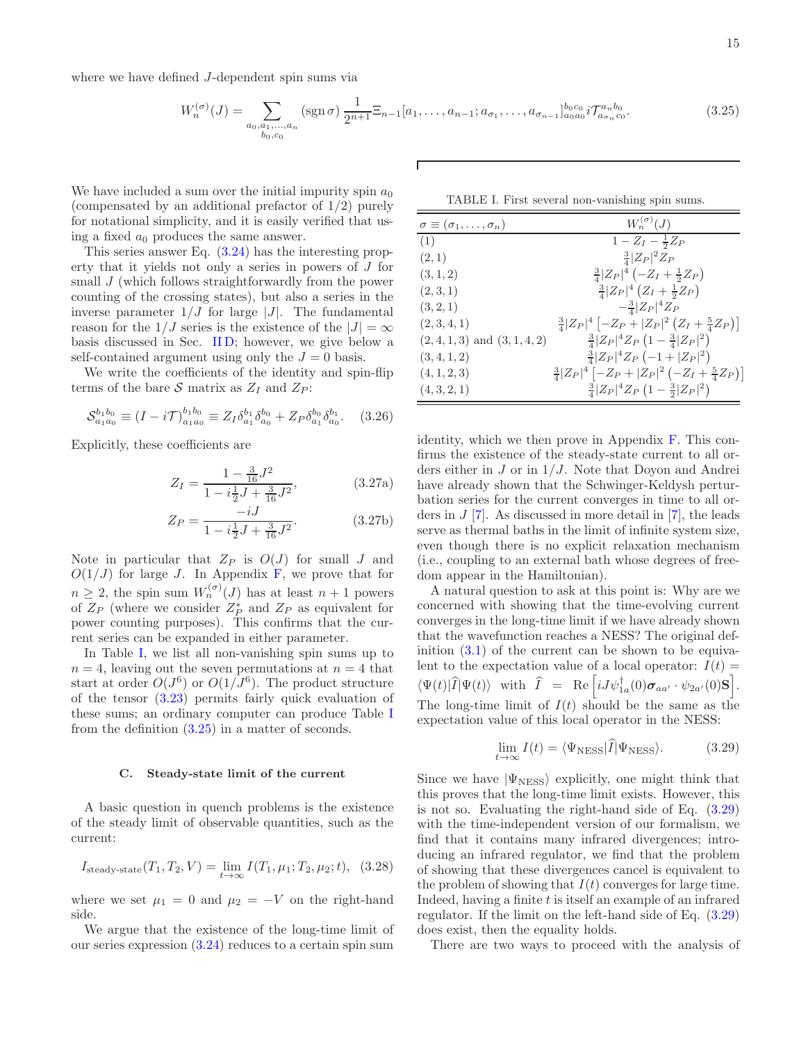where we have defined J-dependent spin sums via

<span id="page-14-2"></span>
$$
W_n^{(\sigma)}(J) = \sum_{\substack{a_0, a_1, \dots, a_n \\ b_0, c_0}} (\text{sgn}\,\sigma) \frac{1}{2^{n+1}} \Xi_{n-1}[a_1, \dots, a_{n-1}; a_{\sigma_1}, \dots, a_{\sigma_{n-1}}]_{a_0 a_0}^{b_0 c_0} i \mathcal{T}_{a_{\sigma_n} c_0}^{a_n b_0}.
$$
 (3.25)

We have included a sum over the initial impurity spin  $a_0$ (compensated by an additional prefactor of 1/2) purely for notational simplicity, and it is easily verified that using a fixed  $a_0$  produces the same answer.

This series answer Eq. [\(3.24\)](#page-13-2) has the interesting property that it yields not only a series in powers of J for small  $J$  (which follows straightforwardly from the power counting of the crossing states), but also a series in the inverse parameter  $1/J$  for large  $|J|$ . The fundamental reason for the  $1/J$  series is the existence of the  $|J| = \infty$ basis discussed in Sec. [II D;](#page-8-0) however, we give below a self-contained argument using only the  $J = 0$  basis.

We write the coefficients of the identity and spin-flip terms of the bare S matrix as  $Z_I$  and  $Z_P$ :

$$
\mathcal{S}_{a_1 a_0}^{b_1 b_0} \equiv (I - i\mathcal{T})_{a_1 a_0}^{b_1 b_0} \equiv Z_I \delta_{a_1}^{b_1} \delta_{a_0}^{b_0} + Z_P \delta_{a_1}^{b_0} \delta_{a_0}^{b_1}.
$$
 (3.26)

Explicitly, these coefficients are

$$
Z_I = \frac{1 - \frac{3}{16}J^2}{1 - i\frac{1}{2}J + \frac{3}{16}J^2},
$$
(3.27a)

$$
Z_P = \frac{-iJ}{1 - i\frac{1}{2}J + \frac{3}{16}J^2}.
$$
 (3.27b)

Note in particular that  $Z_P$  is  $O(J)$  for small J and  $O(1/J)$  for large J. In Appendix [F,](#page-33-0) we prove that for  $n \geq 2$ , the spin sum  $W_n^{(\sigma)}(J)$  has at least  $n+1$  powers of  $Z_P$  (where we consider  $Z_P^*$  and  $Z_P$  as equivalent for power counting purposes). This confirms that the current series can be expanded in either parameter.

In Table [I,](#page-14-1) we list all non-vanishing spin sums up to  $n = 4$ , leaving out the seven permutations at  $n = 4$  that start at order  $O(J^6)$  or  $O(1/J^6)$ . The product structure of the tensor [\(3.23\)](#page-13-3) permits fairly quick evaluation of these sums; an ordinary computer can produce Table [I](#page-14-1) from the definition [\(3.25\)](#page-14-2) in a matter of seconds.

#### <span id="page-14-0"></span>C. Steady-state limit of the current

A basic question in quench problems is the existence of the steady limit of observable quantities, such as the current:

$$
I_{\text{steady-state}}(T_1, T_2, V) = \lim_{t \to \infty} I(T_1, \mu_1; T_2, \mu_2; t), \quad (3.28)
$$

where we set  $\mu_1 = 0$  and  $\mu_2 = -V$  on the right-hand side.

We argue that the existence of the long-time limit of our series expression [\(3.24\)](#page-13-2) reduces to a certain spin sum

<span id="page-14-1"></span>TABLE I. First several non-vanishing spin sums.

| $\sigma \equiv (\sigma_1, \ldots, \sigma_n)$ | $W_n^{(\sigma)}(J)$                                     |
|----------------------------------------------|---------------------------------------------------------|
| (1)                                          | $1 - Z_I - \frac{1}{2}Z_P$                              |
| (2,1)                                        | $\frac{3}{4} Z_P ^2Z_P$                                 |
| (3, 1, 2)                                    | $\frac{3}{4} Z_P ^4(-Z_I+\frac{1}{2}Z_P)$               |
| (2,3,1)                                      | $\frac{3}{4} Z_P ^4 (Z_I + \frac{1}{2}Z_P)$             |
| (3, 2, 1)                                    | $-\frac{3}{4} Z_P ^4Z_P$                                |
| (2,3,4,1)                                    | $\frac{3}{4} Z_P ^4[-Z_P+ Z_P ^2(Z_I+\frac{5}{4}Z_P)]$  |
| $(2,4,1,3)$ and $(3,1,4,2)$                  | $\frac{3}{4}  Z_P ^4 Z_P (1 - \frac{3}{4}  Z_P ^2)$     |
| (3, 4, 1, 2)                                 | $\frac{3}{4}  Z_P ^4 Z_P (-1 +  Z_P ^2)$                |
| (4, 1, 2, 3)                                 | $\frac{3}{4} Z_P ^4[-Z_P+ Z_P ^2(-Z_I+\frac{5}{4}Z_P)]$ |
| (4,3,2,1)                                    | $\frac{3}{4}  Z_P ^4 Z_P (1 - \frac{3}{2}  Z_P ^2)$     |

identity, which we then prove in Appendix [F.](#page-33-0) This confirms the existence of the steady-state current to all orders either in  $J$  or in  $1/J$ . Note that Doyon and Andrei have already shown that the Schwinger-Keldysh perturbation series for the current converges in time to all orders in  $J$  [\[7](#page-41-3)]. As discussed in more detail in [\[7](#page-41-3)], the leads serve as thermal baths in the limit of infinite system size, even though there is no explicit relaxation mechanism (i.e., coupling to an external bath whose degrees of freedom appear in the Hamiltonian).

A natural question to ask at this point is: Why are we concerned with showing that the time-evolving current converges in the long-time limit if we have already shown that the wavefunction reaches a NESS? The original definition  $(3.1)$  of the current can be shown to be equivalent to the expectation value of a local operator:  $I(t)$  =  $\langle \Psi(t) | \hat{I} | \Psi(t) \rangle$  with  $\hat{I}$  = Re  $\left[ i J \psi_{1a}^{\dagger}(0) \sigma_{aa'} \cdot \psi_{2a'}(0) \mathbf{S} \right]$ . The long-time limit of  $I(t)$  should be the same as the expectation value of this local operator in the NESS:

<span id="page-14-3"></span>
$$
\lim_{t \to \infty} I(t) = \langle \Psi_{\rm NESS} | \hat{I} | \Psi_{\rm NESS} \rangle.
$$
 (3.29)

Since we have  $|\Psi_{\text{NESS}}\rangle$  explicitly, one might think that this proves that the long-time limit exists. However, this is not so. Evaluating the right-hand side of Eq. [\(3.29\)](#page-14-3) with the time-independent version of our formalism, we find that it contains many infrared divergences; introducing an infrared regulator, we find that the problem of showing that these divergences cancel is equivalent to the problem of showing that  $I(t)$  converges for large time. Indeed, having a finite  $t$  is itself an example of an infrared regulator. If the limit on the left-hand side of Eq. [\(3.29\)](#page-14-3) does exist, then the equality holds.

There are two ways to proceed with the analysis of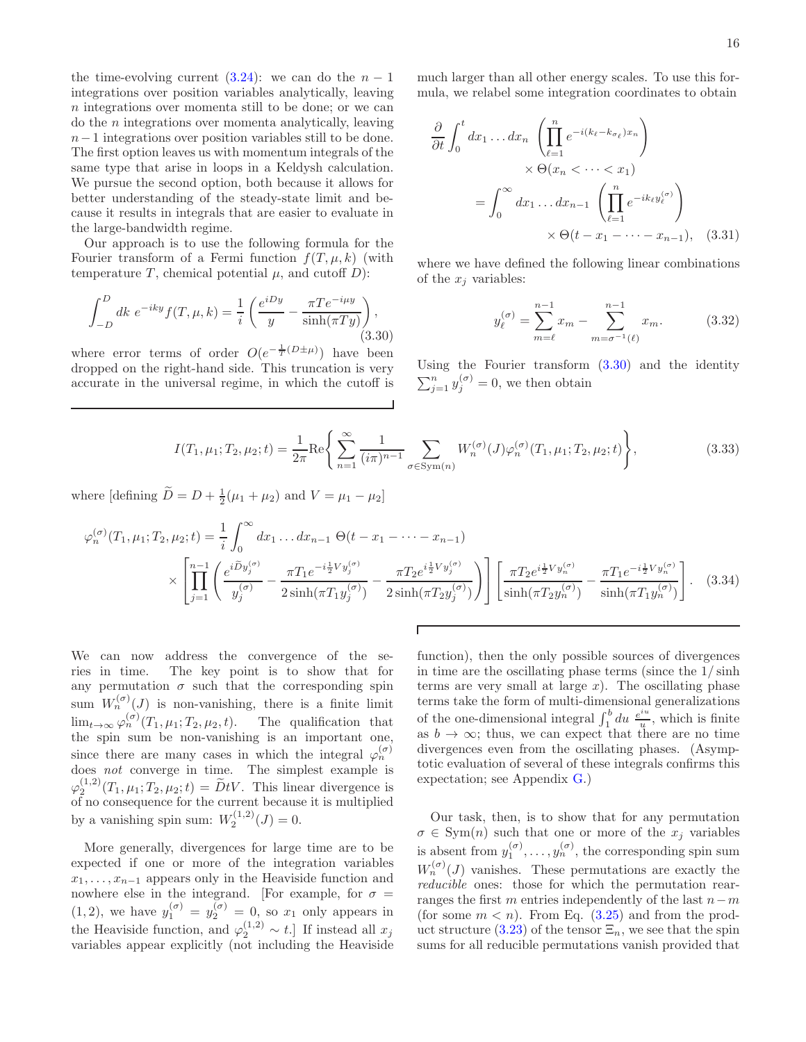the time-evolving current  $(3.24)$ : we can do the  $n-1$ integrations over position variables analytically, leaving n integrations over momenta still to be done; or we can  $\alpha$  the *n* integrations over momenta analytically, leaving n−1 integrations over position variables still to be done. The first option leaves us with momentum integrals of the same type that arise in loops in a Keldysh calculation. We pursue the second option, both because it allows for better understanding of the steady-state limit and because it results in integrals that are easier to evaluate in the large-bandwidth regime.

Our approach is to use the following formula for the Fourier transform of a Fermi function  $f(T, \mu, k)$  (with temperature T, chemical potential  $\mu$ , and cutoff D):

<span id="page-15-0"></span>
$$
\int_{-D}^{D} dk \ e^{-iky} f(T, \mu, k) = \frac{1}{i} \left( \frac{e^{iDy}}{y} - \frac{\pi T e^{-i\mu y}}{\sinh(\pi T y)} \right),\tag{3.30}
$$

where error terms of order  $O(e^{-\frac{1}{T}(D\pm\mu)})$  have been dropped on the right-hand side. This truncation is very accurate in the universal regime, in which the cutoff is much larger than all other energy scales. To use this formula, we relabel some integration coordinates to obtain

$$
\frac{\partial}{\partial t} \int_0^t dx_1 \dots dx_n \left( \prod_{\ell=1}^n e^{-i(k_\ell - k_{\sigma_\ell})x_n} \right)
$$

$$
\times \Theta(x_n < \dots < x_1)
$$

$$
= \int_0^\infty dx_1 \dots dx_{n-1} \left( \prod_{\ell=1}^n e^{-ik_\ell y_\ell^{(\sigma)}} \right)
$$

$$
\times \Theta(t - x_1 - \dots - x_{n-1}), \quad (3.31)
$$

where we have defined the following linear combinations of the  $x_i$  variables:

$$
y_{\ell}^{(\sigma)} = \sum_{m=\ell}^{n-1} x_m - \sum_{m=\sigma^{-1}(\ell)}^{n-1} x_m.
$$
 (3.32)

Using the Fourier transform  $(3.30)$  and the identity  $\sum_{j=1}^{n} y_j^{(\sigma)} = 0$ , we then obtain

$$
I(T_1, \mu_1; T_2, \mu_2; t) = \frac{1}{2\pi} \text{Re}\left\{ \sum_{n=1}^{\infty} \frac{1}{(i\pi)^{n-1}} \sum_{\sigma \in \text{Sym}(n)} W_n^{(\sigma)}(J) \varphi_n^{(\sigma)}(T_1, \mu_1; T_2, \mu_2; t) \right\},
$$
(3.33)

where [defining  $\tilde{D} = D + \frac{1}{2}(\mu_1 + \mu_2)$  and  $V = \mu_1 - \mu_2$ ]

$$
\varphi_n^{(\sigma)}(T_1, \mu_1; T_2, \mu_2; t) = \frac{1}{i} \int_0^{\infty} dx_1 \dots dx_{n-1} \Theta(t - x_1 - \dots - x_{n-1})
$$
  
 
$$
\times \left[ \prod_{j=1}^{n-1} \left( \frac{e^{i \widetilde{D} y_j^{(\sigma)}}}{y_j^{(\sigma)}} - \frac{\pi T_1 e^{-i \frac{1}{2} V y_j^{(\sigma)}}}{2 \sinh(\pi T_1 y_j^{(\sigma)})} - \frac{\pi T_2 e^{i \frac{1}{2} V y_j^{(\sigma)}}}{2 \sinh(\pi T_2 y_j^{(\sigma)})} \right) \right] \left[ \frac{\pi T_2 e^{i \frac{1}{2} V y_n^{(\sigma)}}}{\sinh(\pi T_2 y_n^{(\sigma)})} - \frac{\pi T_1 e^{-i \frac{1}{2} V y_n^{(\sigma)}}}{\sinh(\pi T_1 y_n^{(\sigma)})} \right].
$$
 (3.34)

We can now address the convergence of the series in time. The key point is to show that for any permutation  $\sigma$  such that the corresponding spin sum  $W_n^{(\sigma)}(J)$  is non-vanishing, there is a finite limit  $\lim_{t\to\infty}\varphi_n^{(\sigma)}(T_1,\mu_1;T_2,\mu_2,t)$ . The qualification that the spin sum be non-vanishing is an important one, since there are many cases in which the integral  $\varphi_n^{(\sigma)}$ does not converge in time. The simplest example is  $\varphi_2^{(1,2)}(T_1,\mu_1;T_2,\mu_2;t) = \widetilde{D}tV$ . This linear divergence is of no consequence for the current because it is multiplied by a vanishing spin sum:  $W_2^{(1,2)}(J) = 0$ .

More generally, divergences for large time are to be expected if one or more of the integration variables  $x_1, \ldots, x_{n-1}$  appears only in the Heaviside function and nowhere else in the integrand. [For example, for  $\sigma =$  $(1, 2)$ , we have  $y_1^{(\sigma)} = y_2^{(\sigma)} = 0$ , so  $x_1$  only appears in the Heaviside function, and  $\varphi_2^{(1,2)} \sim t$ . If instead all  $x_j$ variables appear explicitly (not including the Heaviside

<span id="page-15-1"></span>function), then the only possible sources of divergences in time are the oscillating phase terms (since the 1/ sinh terms are very small at large  $x$ ). The oscillating phase terms take the form of multi-dimensional generalizations of the one-dimensional integral  $\int_1^b du \frac{e^{iu}}{u}$  $\frac{du}{u}$ , which is finite as  $b \to \infty$ ; thus, we can expect that there are no time divergences even from the oscillating phases. (Asymptotic evaluation of several of these integrals confirms this expectation; see Appendix [G.](#page-34-0))

Our task, then, is to show that for any permutation  $\sigma \in \text{Sym}(n)$  such that one or more of the  $x_j$  variables is absent from  $y_1^{(\sigma)}, \ldots, y_n^{(\sigma)}$ , the corresponding spin sum  $W_n^{(\sigma)}(J)$  vanishes. These permutations are exactly the reducible ones: those for which the permutation rearranges the first m entries independently of the last  $n-m$ (for some  $m < n$ ). From Eq. [\(3.25\)](#page-14-2) and from the prod-uct structure [\(3.23\)](#page-13-3) of the tensor  $\Xi_n$ , we see that the spin sums for all reducible permutations vanish provided that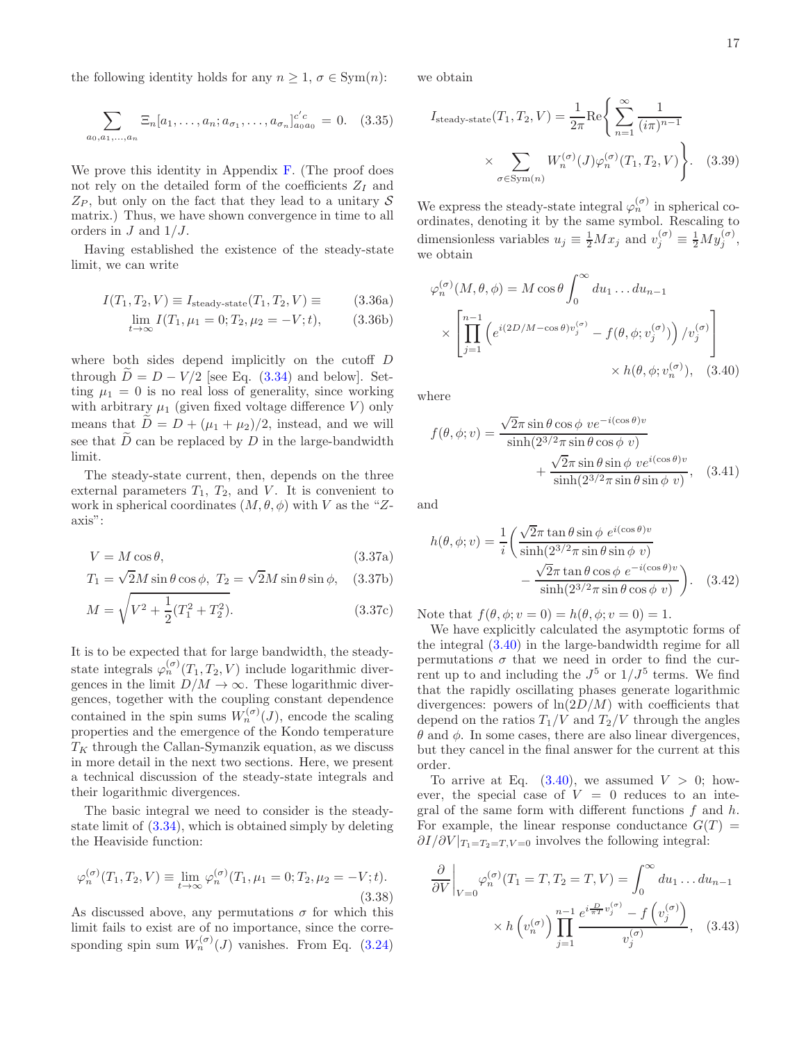the following identity holds for any  $n \geq 1$ ,  $\sigma \in \text{Sym}(n)$ :

$$
\sum_{a_0, a_1, \dots, a_n} \Xi_n[a_1, \dots, a_n; a_{\sigma_1}, \dots, a_{\sigma_n}]_{a_0 a_0}^{c'c} = 0. \quad (3.35)
$$

We prove this identity in Appendix [F.](#page-33-0) (The proof does not rely on the detailed form of the coefficients  $Z_I$  and  $Z_P$ , but only on the fact that they lead to a unitary S matrix.) Thus, we have shown convergence in time to all orders in  $J$  and  $1/J$ .

Having established the existence of the steady-state limit, we can write

$$
I(T_1, T_2, V) \equiv I_{\text{steady-state}}(T_1, T_2, V) \equiv (3.36a)
$$

$$
\lim_{t \to \infty} I(T_1, \mu_1 = 0; T_2, \mu_2 = -V; t), \tag{3.36b}
$$

where both sides depend implicitly on the cutoff  $D$ through  $\tilde{D} = D - V/2$  [see Eq. [\(3.34\)](#page-15-1) and below]. Setting  $\mu_1 = 0$  is no real loss of generality, since working with arbitrary  $\mu_1$  (given fixed voltage difference V) only means that  $\tilde{D} = D + (\mu_1 + \mu_2)/2$ , instead, and we will see that  $\overline{D}$  can be replaced by  $D$  in the large-bandwidth limit.

The steady-state current, then, depends on the three external parameters  $T_1$ ,  $T_2$ , and  $V$ . It is convenient to work in spherical coordinates  $(M, \theta, \phi)$  with V as the "Zaxis":

$$
V = M\cos\theta,\tag{3.37a}
$$

$$
T_1 = \sqrt{2}M\sin\theta\cos\phi, \ T_2 = \sqrt{2}M\sin\theta\sin\phi, \quad (3.37b)
$$

$$
M = \sqrt{V^2 + \frac{1}{2}(T_1^2 + T_2^2)}.
$$
\n(3.37c)

It is to be expected that for large bandwidth, the steadystate integrals  $\varphi_n^{(\sigma)}(T_1, T_2, V)$  include logarithmic divergences in the limit  $D/M \to \infty$ . These logarithmic divergences, together with the coupling constant dependence contained in the spin sums  $W_n^{(\sigma)}(J)$ , encode the scaling properties and the emergence of the Kondo temperature  $T_K$  through the Callan-Symanzik equation, as we discuss in more detail in the next two sections. Here, we present a technical discussion of the steady-state integrals and their logarithmic divergences.

The basic integral we need to consider is the steadystate limit of [\(3.34\)](#page-15-1), which is obtained simply by deleting the Heaviside function:

$$
\varphi_n^{(\sigma)}(T_1, T_2, V) \equiv \lim_{t \to \infty} \varphi_n^{(\sigma)}(T_1, \mu_1 = 0; T_2, \mu_2 = -V; t).
$$
\n(3.38)

As discussed above, any permutations  $\sigma$  for which this limit fails to exist are of no importance, since the corresponding spin sum  $W_n^{(\sigma)}(J)$  vanishes. From Eq. [\(3.24\)](#page-13-2) <span id="page-16-1"></span>we obtain

$$
I_{\text{steady-state}}(T_1, T_2, V) = \frac{1}{2\pi} \text{Re}\left\{ \sum_{n=1}^{\infty} \frac{1}{(i\pi)^{n-1}} \right\}
$$

$$
\times \sum_{\sigma \in \text{Sym}(n)} W_n^{(\sigma)}(J) \varphi_n^{(\sigma)}(T_1, T_2, V) \left.\right\}.
$$
 (3.39)

We express the steady-state integral  $\varphi_n^{(\sigma)}$  in spherical coordinates, denoting it by the same symbol. Rescaling to dimensionless variables  $u_j \equiv \frac{1}{2} M x_j$  and  $v_j^{(\sigma)} \equiv \frac{1}{2} M y_j^{(\sigma)}$ , we obtain

$$
\varphi_n^{(\sigma)}(M, \theta, \phi) = M \cos \theta \int_0^{\infty} du_1 \dots du_{n-1}
$$

$$
\times \left[ \prod_{j=1}^{n-1} \left( e^{i(2D/M - \cos \theta) v_j^{(\sigma)}} - f(\theta, \phi; v_j^{(\sigma)}) \right) / v_j^{(\sigma)} \right]
$$

$$
\times h(\theta, \phi; v_n^{(\sigma)}), \quad (3.40)
$$

where

<span id="page-16-0"></span>
$$
f(\theta, \phi; v) = \frac{\sqrt{2\pi} \sin \theta \cos \phi \, v e^{-i(\cos \theta)v}}{\sinh(2^{3/2}\pi \sin \theta \cos \phi \, v)} + \frac{\sqrt{2\pi} \sin \theta \sin \phi \, v e^{i(\cos \theta)v}}{\sinh(2^{3/2}\pi \sin \theta \sin \phi \, v)}, \quad (3.41)
$$

and

$$
h(\theta, \phi; v) = \frac{1}{i} \left( \frac{\sqrt{2}\pi \tan \theta \sin \phi \ e^{i(\cos \theta)v}}{\sinh(2^{3/2}\pi \sin \theta \sin \phi v)} - \frac{\sqrt{2}\pi \tan \theta \cos \phi \ e^{-i(\cos \theta)v}}{\sinh(2^{3/2}\pi \sin \theta \cos \phi v)} \right).
$$
 (3.42)

Note that  $f(\theta, \phi; v = 0) = h(\theta, \phi; v = 0) = 1$ .

We have explicitly calculated the asymptotic forms of the integral [\(3.40\)](#page-16-0) in the large-bandwidth regime for all permutations  $\sigma$  that we need in order to find the current up to and including the  $J^5$  or  $1/J^5$  terms. We find that the rapidly oscillating phases generate logarithmic divergences: powers of  $\ln(2D/M)$  with coefficients that depend on the ratios  $T_1/V$  and  $T_2/V$  through the angles  $\theta$  and  $\phi$ . In some cases, there are also linear divergences, but they cancel in the final answer for the current at this order.

To arrive at Eq.  $(3.40)$ , we assumed  $V > 0$ ; however, the special case of  $V = 0$  reduces to an integral of the same form with different functions  $f$  and  $h$ . For example, the linear response conductance  $G(T)$  =  $\partial I/\partial V|_{T_1=T_2=T,V=0}$  involves the following integral:

$$
\frac{\partial}{\partial V}\Big|_{V=0} \varphi_n^{(\sigma)}(T_1 = T, T_2 = T, V) = \int_0^\infty du_1 \dots du_{n-1}
$$

$$
\times h\left(v_n^{(\sigma)}\right) \prod_{j=1}^{n-1} \frac{e^{i\frac{D}{\pi T}v_j^{(\sigma)}} - f\left(v_j^{(\sigma)}\right)}{v_j^{(\sigma)}}, \quad (3.43)
$$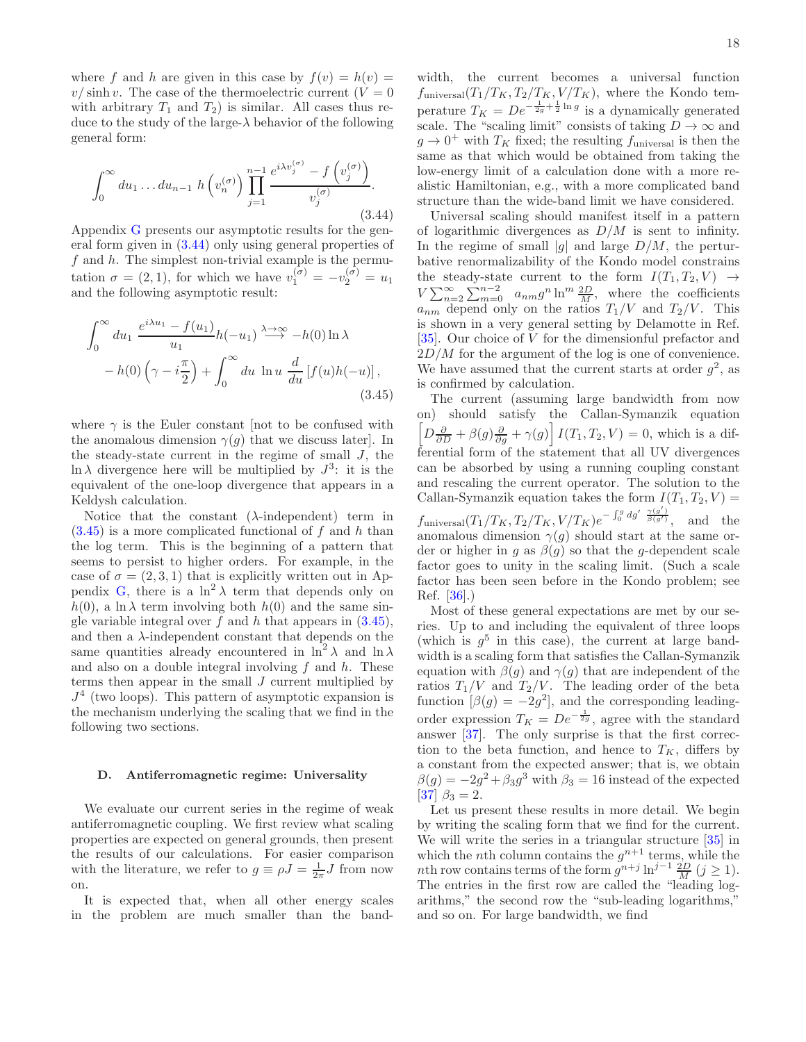where f and h are given in this case by  $f(v) = h(v) =$  $v/\sinh v$ . The case of the thermoelectric current  $(V = 0)$ with arbitrary  $T_1$  and  $T_2$ ) is similar. All cases thus reduce to the study of the large- $\lambda$  behavior of the following general form:

<span id="page-17-1"></span>
$$
\int_0^\infty du_1 \dots du_{n-1} h\left(v_n^{(\sigma)}\right) \prod_{j=1}^{n-1} \frac{e^{i\lambda v_j^{(\sigma)}} - f\left(v_j^{(\sigma)}\right)}{v_j^{(\sigma)}}.
$$
\n(3.44)

Appendix [G](#page-34-0) presents our asymptotic results for the general form given in [\(3.44\)](#page-17-1) only using general properties of f and  $h$ . The simplest non-trivial example is the permutation  $\sigma = (2, 1)$ , for which we have  $v_1^{(\sigma)} = -v_2^{(\sigma)} = u_1$ and the following asymptotic result:

$$
\int_0^\infty du_1 \frac{e^{i\lambda u_1} - f(u_1)}{u_1} h(-u_1) \stackrel{\lambda \to \infty}{\longrightarrow} -h(0) \ln \lambda
$$
  
- h(0)  $\left(\gamma - i\frac{\pi}{2}\right) + \int_0^\infty du \ln u \frac{d}{du} [f(u)h(-u)],$  (3.45)

where  $\gamma$  is the Euler constant [not to be confused with the anomalous dimension  $\gamma(g)$  that we discuss later. In the steady-state current in the regime of small  $J$ , the  $\ln \lambda$  divergence here will be multiplied by  $J^3$ : it is the equivalent of the one-loop divergence that appears in a Keldysh calculation.

Notice that the constant  $(\lambda$ -independent) term in  $(3.45)$  is a more complicated functional of f and h than the log term. This is the beginning of a pattern that seems to persist to higher orders. For example, in the case of  $\sigma = (2, 3, 1)$  that is explicitly written out in Ap-pendix [G,](#page-34-0) there is a  $\ln^2 \lambda$  term that depends only on  $h(0)$ , a ln  $\lambda$  term involving both  $h(0)$  and the same single variable integral over  $f$  and  $h$  that appears in  $(3.45)$ , and then a  $\lambda$ -independent constant that depends on the same quantities already encountered in  $\ln^2 \lambda$  and  $\ln \lambda$ and also on a double integral involving  $f$  and  $h$ . These terms then appear in the small J current multiplied by  $J<sup>4</sup>$  (two loops). This pattern of asymptotic expansion is the mechanism underlying the scaling that we find in the following two sections.

# <span id="page-17-0"></span>D. Antiferromagnetic regime: Universality

We evaluate our current series in the regime of weak antiferromagnetic coupling. We first review what scaling properties are expected on general grounds, then present the results of our calculations. For easier comparison with the literature, we refer to  $g \equiv \rho J = \frac{1}{2\pi} J$  from now on.

It is expected that, when all other energy scales in the problem are much smaller than the band-

width, the current becomes a universal function  $f_{\text{universal}}(T_1/T_K, T_2/T_K, V/T_K)$ , where the Kondo temperature  $T_K = De^{-\frac{1}{2g} + \frac{1}{2} \ln g}$  is a dynamically generated scale. The "scaling limit" consists of taking  $D\to\infty$  and  $g \to 0^+$  with  $T_K$  fixed; the resulting  $f_{\text{universal}}$  is then the same as that which would be obtained from taking the low-energy limit of a calculation done with a more realistic Hamiltonian, e.g., with a more complicated band structure than the wide-band limit we have considered.

Universal scaling should manifest itself in a pattern of logarithmic divergences as  $D/M$  is sent to infinity. In the regime of small |g| and large  $D/M$ , the perturbative renormalizability of the Kondo model constrains the steady-state current to the form  $I(T_1, T_2, V) \rightarrow$  $V\sum_{n=2}^{\infty}\sum_{m=0}^{n-2} a_{nm}g^{n}\ln^{m}\frac{2D}{M}$ , where the coefficients  $a_{nm}$  depend only on the ratios  $T_1/V$  and  $T_2/V$ . This is shown in a very general setting by Delamotte in Ref. [\[35\]](#page-42-18). Our choice of V for the dimensionful prefactor and  $2D/M$  for the argument of the log is one of convenience. We have assumed that the current starts at order  $g^2$ , as is confirmed by calculation.

<span id="page-17-2"></span>The current (assuming large bandwidth from now on) should satisfy the Callan-Symanzik equation  $\left[\overline{D} \frac{\partial}{\partial D} + \beta(g) \frac{\partial}{\partial g} + \gamma(g)\right] I(T_1, T_2, V) = 0$ , which is a differential form of the statement that all UV divergences can be absorbed by using a running coupling constant and rescaling the current operator. The solution to the Callan-Symanzik equation takes the form  $I(T_1, T_2, V) =$  $f_{\text{universal}}(T_1/T_K, T_2/T_K, V/T_K)e^{-\int_0^g dg'\frac{\gamma(g')}{\beta(g')}}$ , and the anomalous dimension  $\gamma(g)$  should start at the same order or higher in g as  $\beta(g)$  so that the g-dependent scale factor goes to unity in the scaling limit. (Such a scale factor has been seen before in the Kondo problem; see Ref. [\[36\]](#page-42-19).)

Most of these general expectations are met by our series. Up to and including the equivalent of three loops (which is  $g^5$  in this case), the current at large bandwidth is a scaling form that satisfies the Callan-Symanzik equation with  $\beta(q)$  and  $\gamma(q)$  that are independent of the ratios  $T_1/V$  and  $T_2/V$ . The leading order of the beta function  $[\beta(g) = -2g^2]$ , and the corresponding leadingorder expression  $T_K = De^{-\frac{1}{2g}}$ , agree with the standard answer [\[37\]](#page-42-20). The only surprise is that the first correction to the beta function, and hence to  $T_K$ , differs by a constant from the expected answer; that is, we obtain  $\beta(g) = -2g^2 + \beta_3 g^3$  with  $\beta_3 = 16$  instead of the expected [\[37\]](#page-42-20)  $\beta_3 = 2$ .

Let us present these results in more detail. We begin by writing the scaling form that we find for the current. We will write the series in a triangular structure [\[35](#page-42-18)] in which the *n*th column contains the  $g^{n+1}$  terms, while the nth row contains terms of the form  $g^{n+j} \ln^{j-1} \frac{2D}{M} (j \ge 1)$ . The entries in the first row are called the "leading logarithms," the second row the "sub-leading logarithms," and so on. For large bandwidth, we find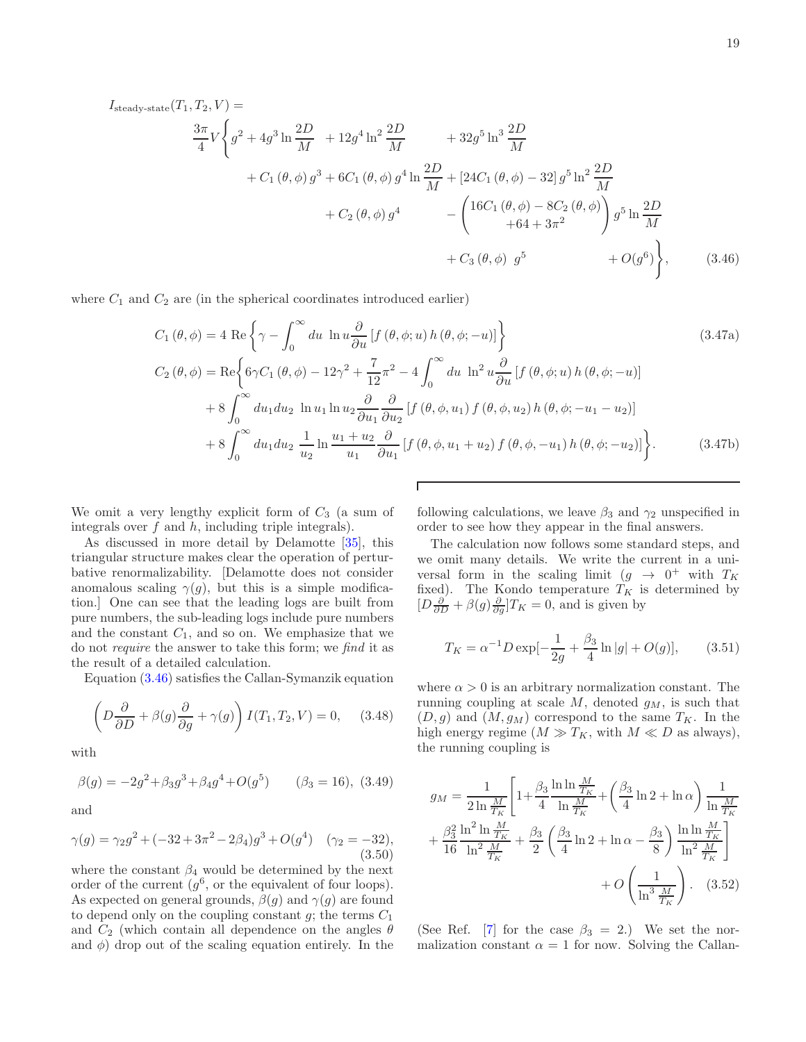$$
I_{\text{steady-state}}(T_1, T_2, V) =
$$
  
\n
$$
\frac{3\pi}{4} V \left\{ g^2 + 4g^3 \ln \frac{2D}{M} + 12g^4 \ln^2 \frac{2D}{M} + 32g^5 \ln^3 \frac{2D}{M} + 24C_1 (\theta, \phi) - 32 \ln^2 \frac{2D}{M} \right\}
$$
  
\n
$$
+ C_1 (\theta, \phi) g^3 + 6C_1 (\theta, \phi) g^4 \ln \frac{2D}{M} + [24C_1 (\theta, \phi) - 32] g^5 \ln^2 \frac{2D}{M} + C_2 (\theta, \phi) g^4 - \left( 16C_1 (\theta, \phi) - 8C_2 (\theta, \phi) \right) g^5 \ln \frac{2D}{M} + C_3 (\theta, \phi) g^5 + O(g^6) \right\}, \tag{3.46}
$$

where  $C_1$  and  $C_2$  are (in the spherical coordinates introduced earlier)

$$
C_{1} (\theta, \phi) = 4 \text{ Re } \left\{ \gamma - \int_{0}^{\infty} du \, \ln u \frac{\partial}{\partial u} \left[ f (\theta, \phi; u) h (\theta, \phi; -u) \right] \right\}
$$
\n
$$
C_{2} (\theta, \phi) = \text{Re } \left\{ 6\gamma C_{1} (\theta, \phi) - 12\gamma^{2} + \frac{7}{12} \pi^{2} - 4 \int_{0}^{\infty} du \, \ln^{2} u \frac{\partial}{\partial u} \left[ f (\theta, \phi; u) h (\theta, \phi; -u) \right] \right\}
$$
\n
$$
+ 8 \int_{0}^{\infty} du_{1} du_{2} \, \ln u_{1} \ln u_{2} \frac{\partial}{\partial u_{1}} \frac{\partial}{\partial u_{2}} \left[ f (\theta, \phi, u_{1}) f (\theta, \phi, u_{2}) h (\theta, \phi; -u_{1} - u_{2}) \right] \right\}
$$
\n
$$
+ 8 \int_{0}^{\infty} du_{1} du_{2} \, \frac{1}{u_{2}} \ln \frac{u_{1} + u_{2}}{u_{1}} \frac{\partial}{\partial u_{1}} \left[ f (\theta, \phi, u_{1} + u_{2}) f (\theta, \phi, -u_{1}) h (\theta, \phi; -u_{2}) \right] \right\}.
$$
\n(3.47b)

We omit a very lengthy explicit form of  $C_3$  (a sum of integrals over  $f$  and  $h$ , including triple integrals).

As discussed in more detail by Delamotte [\[35](#page-42-18)], this triangular structure makes clear the operation of perturbative renormalizability. [Delamotte does not consider anomalous scaling  $\gamma(g)$ , but this is a simple modification.] One can see that the leading logs are built from pure numbers, the sub-leading logs include pure numbers and the constant  $C_1$ , and so on. We emphasize that we do not require the answer to take this form; we find it as the result of a detailed calculation.

Equation [\(3.46\)](#page-18-0) satisfies the Callan-Symanzik equation

$$
\left(D\frac{\partial}{\partial D} + \beta(g)\frac{\partial}{\partial g} + \gamma(g)\right)I(T_1, T_2, V) = 0, \quad (3.48)
$$

with

<span id="page-18-4"></span>
$$
\beta(g) = -2g^2 + \beta_3 g^3 + \beta_4 g^4 + O(g^5) \qquad (\beta_3 = 16), \ (3.49)
$$

and

$$
\gamma(g) = \gamma_2 g^2 + (-32 + 3\pi^2 - 2\beta_4)g^3 + O(g^4) \quad (\gamma_2 = -32),
$$
\n(3.50)

where the constant  $\beta_4$  would be determined by the next order of the current  $(g^6)$ , or the equivalent of four loops). As expected on general grounds,  $\beta(g)$  and  $\gamma(g)$  are found to depend only on the coupling constant  $g$ ; the terms  $C_1$ and  $C_2$  (which contain all dependence on the angles  $\theta$ and  $\phi$ ) drop out of the scaling equation entirely. In the

<span id="page-18-3"></span><span id="page-18-2"></span><span id="page-18-0"></span>following calculations, we leave  $\beta_3$  and  $\gamma_2$  unspecified in order to see how they appear in the final answers.

The calculation now follows some standard steps, and we omit many details. We write the current in a universal form in the scaling limit  $(g \to 0^+$  with  $T_K$ fixed). The Kondo temperature  $T_K$  is determined by  $[D\frac{\partial}{\partial D} + \beta(g)\frac{\partial}{\partial g}]T_K = 0$ , and is given by

<span id="page-18-1"></span>
$$
T_K = \alpha^{-1} D \exp[-\frac{1}{2g} + \frac{\beta_3}{4} \ln|g| + O(g)], \qquad (3.51)
$$

where  $\alpha > 0$  is an arbitrary normalization constant. The running coupling at scale  $M$ , denoted  $g_M$ , is such that  $(D, g)$  and  $(M, g_M)$  correspond to the same  $T_K$ . In the high energy regime  $(M \gg T_K)$ , with  $M \ll D$  as always), the running coupling is

$$
g_M = \frac{1}{2 \ln \frac{M}{T_K}} \left[ 1 + \frac{\beta_3}{4} \frac{\ln \ln \frac{M}{T_K}}{\ln \frac{M}{T_K}} + \left( \frac{\beta_3}{4} \ln 2 + \ln \alpha \right) \frac{1}{\ln \frac{M}{T_K}} + \frac{\beta_3^2}{16} \frac{\ln^2 \ln \frac{M}{T_K}}{\ln^2 \frac{M}{T_K}} + \frac{\beta_3}{2} \left( \frac{\beta_3}{4} \ln 2 + \ln \alpha - \frac{\beta_3}{8} \right) \frac{\ln \ln \frac{M}{T_K}}{\ln^2 \frac{M}{T_K}} \right] + O\left(\frac{1}{\ln^3 \frac{M}{T_K}}\right). \quad (3.52)
$$

(See Ref. [\[7\]](#page-41-3) for the case  $\beta_3 = 2$ .) We set the normalization constant  $\alpha = 1$  for now. Solving the Callan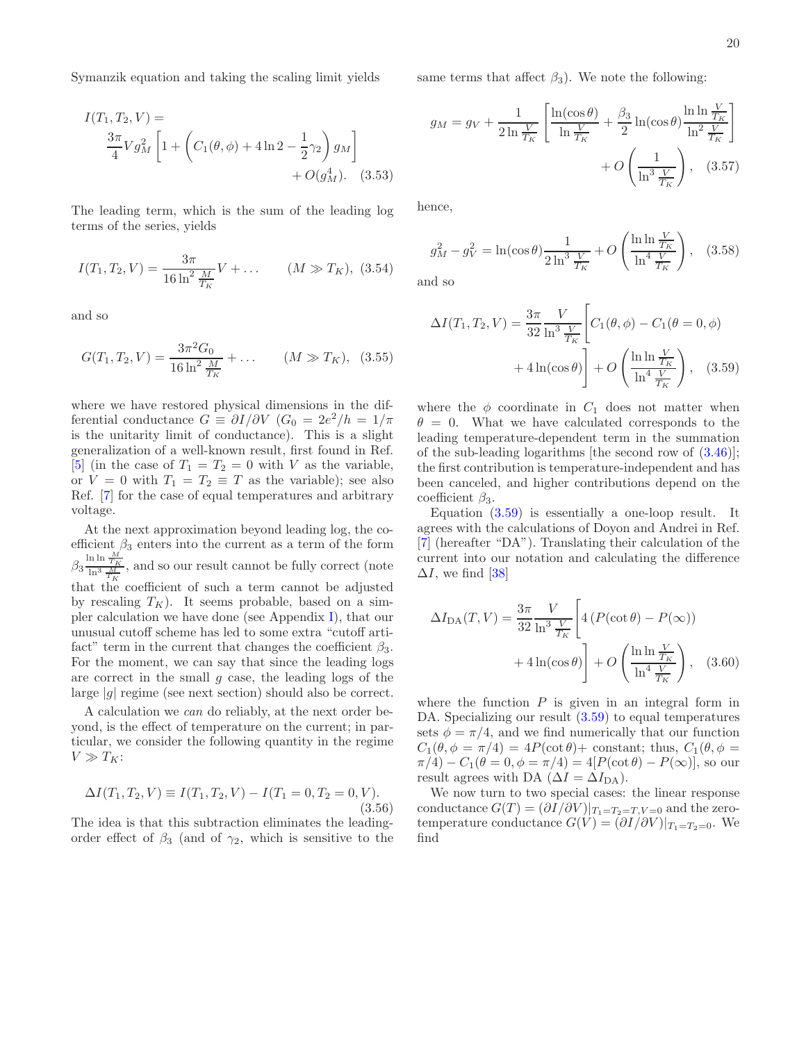Symanzik equation and taking the scaling limit yields

$$
I(T_1, T_2, V) =
$$
  
\n
$$
\frac{3\pi}{4} V g_M^2 \left[ 1 + \left( C_1(\theta, \phi) + 4 \ln 2 - \frac{1}{2} \gamma_2 \right) g_M \right]
$$
  
\n
$$
+ O(g_M^4).
$$
 (3.53)

The leading term, which is the sum of the leading log terms of the series, yields

$$
I(T_1, T_2, V) = \frac{3\pi}{16 \ln^2 \frac{M}{T_K}} V + \dots \qquad (M \gg T_K), \tag{3.54}
$$

and so

<span id="page-19-1"></span>
$$
G(T_1, T_2, V) = \frac{3\pi^2 G_0}{16 \ln^2 \frac{M}{T_K}} + \dots \qquad (M \gg T_K), \quad (3.55)
$$

where we have restored physical dimensions in the differential conductance  $G \equiv \partial I/\partial V$   $(G_0 = 2e^2/h = 1/\pi)$ is the unitarity limit of conductance). This is a slight generalization of a well-known result, first found in Ref. [\[5\]](#page-41-2) (in the case of  $T_1 = T_2 = 0$  with V as the variable, or  $V = 0$  with  $T_1 = T_2 \equiv T$  as the variable); see also Ref. [\[7\]](#page-41-3) for the case of equal temperatures and arbitrary voltage.

At the next approximation beyond leading log, the coefficient  $\beta_3$  enters into the current as a term of the form  $\beta_3 \frac{\ln \ln \frac{M}{T_K}}{\ln^3 \frac{M}{T_K}}$ , and so our result cannot be fully correct (note that the coefficient of such a term cannot be adjusted by rescaling  $T_K$ ). It seems probable, based on a simpler calculation we have done (see Appendix [I\)](#page-40-0), that our unusual cutoff scheme has led to some extra "cutoff artifact" term in the current that changes the coefficient  $\beta_3$ . For the moment, we can say that since the leading logs are correct in the small  $g$  case, the leading logs of the large  $|g|$  regime (see next section) should also be correct.

A calculation we can do reliably, at the next order beyond, is the effect of temperature on the current; in particular, we consider the following quantity in the regime  $V \gg T_K$ :

$$
\Delta I(T_1, T_2, V) \equiv I(T_1, T_2, V) - I(T_1 = 0, T_2 = 0, V).
$$
\n(3.56)

The idea is that this subtraction eliminates the leadingorder effect of  $\beta_3$  (and of  $\gamma_2$ , which is sensitive to the same terms that affect  $\beta_3$ ). We note the following:

$$
g_M = g_V + \frac{1}{2 \ln \frac{V}{T_K}} \left[ \frac{\ln(\cos \theta)}{\ln \frac{V}{T_K}} + \frac{\beta_3}{2} \ln(\cos \theta) \frac{\ln \ln \frac{V}{T_K}}{\ln^2 \frac{V}{T_K}} \right] + O\left(\frac{1}{\ln^3 \frac{V}{T_K}}\right), \quad (3.57)
$$

hence,

$$
g_M^2 - g_V^2 = \ln(\cos \theta) \frac{1}{2 \ln^3 \frac{V}{T_K}} + O\left(\frac{\ln \ln \frac{V}{T_K}}{\ln^4 \frac{V}{T_K}}\right), \quad (3.58)
$$

and so

<span id="page-19-0"></span>
$$
\Delta I(T_1, T_2, V) = \frac{3\pi}{32} \frac{V}{\ln^3 \frac{V}{T_K}} \left[ C_1(\theta, \phi) - C_1(\theta = 0, \phi) + 4\ln(\cos \theta) \right] + O\left(\frac{\ln \ln \frac{V}{T_K}}{\ln^4 \frac{V}{T_K}}\right), \quad (3.59)
$$

where the  $\phi$  coordinate in  $C_1$  does not matter when  $\theta = 0$ . What we have calculated corresponds to the leading temperature-dependent term in the summation of the sub-leading logarithms [the second row of [\(3.46\)](#page-18-0)]; the first contribution is temperature-independent and has been canceled, and higher contributions depend on the coefficient  $\beta_3$ .

Equation [\(3.59\)](#page-19-0) is essentially a one-loop result. It agrees with the calculations of Doyon and Andrei in Ref. [\[7\]](#page-41-3) (hereafter "DA"). Translating their calculation of the current into our notation and calculating the difference  $\Delta I$ , we find [\[38\]](#page-42-21)

$$
\Delta I_{\text{DA}}(T, V) = \frac{3\pi}{32} \frac{V}{\ln^3 \frac{V}{T_K}} \left[ 4 \left( P(\cot \theta) - P(\infty) \right) + 4 \ln(\cos \theta) \right] + O\left(\frac{\ln \ln \frac{V}{T_K}}{\ln^4 \frac{V}{T_K}}\right), \quad (3.60)
$$

where the function  $P$  is given in an integral form in DA. Specializing our result  $(3.59)$  to equal temperatures sets  $\phi = \pi/4$ , and we find numerically that our function  $C_1(\theta, \phi = \pi/4) = 4P(\cot \theta) + \text{constant}$ ; thus,  $C_1(\theta, \phi =$  $\pi/4$ ) –  $C_1(\theta = 0, \phi = \pi/4) = 4[P(\cot \theta) - P(\infty)]$ , so our result agrees with DA ( $\Delta I = \Delta I_{DA}$ ).

We now turn to two special cases: the linear response conductance  $G(T) = (\partial I/\partial V)|_{T_1=T_2=T, V=0}$  and the zerotemperature conductance  $G(V) = (\partial I/\partial V)|_{T_1 = T_2 = 0}$ . We find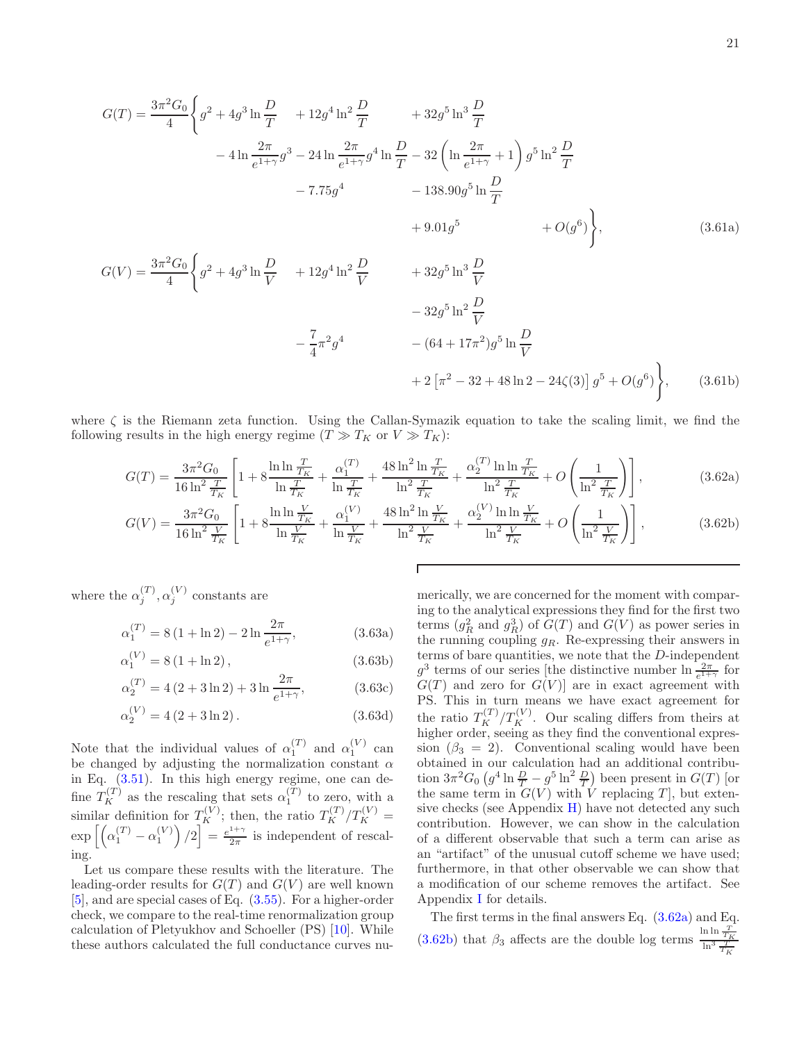$$
G(T) = \frac{3\pi^2 G_0}{4} \left\{ g^2 + 4g^3 \ln \frac{D}{T} + 12g^4 \ln^2 \frac{D}{T} + 32g^5 \ln^3 \frac{D}{T} \right\}
$$
  
\n
$$
- 4 \ln \frac{2\pi}{e^{1+\gamma}} g^3 - 24 \ln \frac{2\pi}{e^{1+\gamma}} g^4 \ln \frac{D}{T} - 32 \left( \ln \frac{2\pi}{e^{1+\gamma}} + 1 \right) g^5 \ln^2 \frac{D}{T}
$$
  
\n
$$
- 7.75g^4 - 138.90g^5 \ln \frac{D}{T} + 9.01g^5 + O(g^6) \right\},
$$
  
\n
$$
G(V) = \frac{3\pi^2 G_0}{4} \left\{ g^2 + 4g^3 \ln \frac{D}{V} + 12g^4 \ln^2 \frac{D}{V} + 32g^5 \ln^3 \frac{D}{V} - 32g^5 \ln^2 \frac{D}{V} - 64 + 17\pi^2) g^5 \ln \frac{D}{V} - 64 + 17\pi^2 g^5 \ln \frac{D}{V} + 2 \left[ \pi^2 - 32 + 48 \ln 2 - 24 \zeta(3) \right] g^5 + O(g^6) \right\},
$$
  
\n(3.61b)

where  $\zeta$  is the Riemann zeta function. Using the Callan-Symazik equation to take the scaling limit, we find the following results in the high energy regime  $(T \gg T_K$  or  $V \gg T_K)$ :

$$
G(T) = \frac{3\pi^2 G_0}{16 \ln^2 \frac{T}{T_K}} \left[ 1 + 8 \frac{\ln \ln \frac{T}{T_K}}{\ln \frac{T}{T_K}} + \frac{\alpha_1^{(T)}}{\ln \frac{T}{T_K}} + \frac{48 \ln^2 \ln \frac{T}{T_K}}{\ln^2 \frac{T}{T_K}} + \frac{\alpha_2^{(T)} \ln \ln \frac{T}{T_K}}{\ln^2 \frac{T}{T_K}} + O\left(\frac{1}{\ln^2 \frac{T}{T_K}}\right) \right],
$$
(3.62a)

$$
G(V) = \frac{3\pi^2 G_0}{16 \ln^2 \frac{V}{T_K}} \left[ 1 + 8 \frac{\ln \ln \frac{V}{T_K}}{\ln \frac{V}{T_K}} + \frac{\alpha_1^{(V)}}{\ln \frac{V}{T_K}} + \frac{48 \ln^2 \ln \frac{V}{T_K}}{\ln^2 \frac{V}{T_K}} + \frac{\alpha_2^{(V)} \ln \ln \frac{V}{T_K}}{\ln^2 \frac{V}{T_K}} + O\left(\frac{1}{\ln^2 \frac{V}{T_K}}\right) \right],
$$
(3.62b)

where the  $\alpha_i^{(T)}$  $j^{(T)}, \alpha_j^{(V)}$  $j^{\left(V\right)}$  constants are

$$
\alpha_1^{(T)} = 8(1 + \ln 2) - 2\ln \frac{2\pi}{e^{1+\gamma}},
$$
\n(3.63a)

$$
\alpha_1^{(V)} = 8(1 + \ln 2),\tag{3.63b}
$$

$$
\alpha_2^{(T)} = 4(2 + 3\ln 2) + 3\ln \frac{2\pi}{e^{1+\gamma}},
$$
\n(3.63c)

$$
\alpha_2^{(V)} = 4(2 + 3\ln 2). \tag{3.63d}
$$

Note that the individual values of  $\alpha_1^{(T)}$  and  $\alpha_1^{(V)}$  can be changed by adjusting the normalization constant  $\alpha$ in Eq. [\(3.51\)](#page-18-1). In this high energy regime, one can define  $T_K^{(T)}$  as the rescaling that sets  $\alpha_1^{(T)}$  to zero, with a similar definition for  $T_K^{(V)}$ ; then, the ratio  $T_K^{(T)}/T_K^{(V)}$  =  $\exp\left[\left(\alpha_1^{(T)}-\alpha_1^{(V)}\right)/2\right]=\frac{e^{1+\gamma}}{2\pi}$  $\frac{2\pi}{2\pi}$  is independent of rescaling.

Let us compare these results with the literature. The leading-order results for  $G(T)$  and  $G(V)$  are well known [\[5\]](#page-41-2), and are special cases of Eq. [\(3.55\)](#page-19-1). For a higher-order check, we compare to the real-time renormalization group calculation of Pletyukhov and Schoeller (PS) [\[10\]](#page-41-6). While these authors calculated the full conductance curves nu-

<span id="page-20-1"></span><span id="page-20-0"></span>merically, we are concerned for the moment with comparing to the analytical expressions they find for the first two terms  $(g_R^2 \text{ and } g_R^3)$  of  $G(T)$  and  $G(V)$  as power series in the running coupling  $g_R$ . Re-expressing their answers in terms of bare quantities, we note that the  $D$ -independent  $g^3$  terms of our series [the distinctive number  $\ln \frac{2\pi}{e^{1+\gamma}}$  for  $G(T)$  and zero for  $G(V)$  are in exact agreement with PS. This in turn means we have exact agreement for the ratio  $T_K^{(T)}/T_K^{(V)}$ . Our scaling differs from theirs at higher order, seeing as they find the conventional expression ( $\beta_3 = 2$ ). Conventional scaling would have been obtained in our calculation had an additional contribution  $3\pi^2 G_0 \left(g^4 \ln \frac{D}{T} - g^5 \ln^2 \frac{D}{T}\right)$  been present in  $G(T)$  [or the same term in  $G(V)$  with V replacing T, but extensive checks (see Appendix  $H$ ) have not detected any such contribution. However, we can show in the calculation of a different observable that such a term can arise as an "artifact" of the unusual cutoff scheme we have used; furthermore, in that other observable we can show that a modification of our scheme removes the artifact. See Appendix [I](#page-40-0) for details.

The first terms in the final answers Eq. [\(3.62a\)](#page-20-0) and Eq. [\(3.62b\)](#page-20-1) that  $\beta_3$  affects are the double log terms  $\frac{\ln \ln \frac{T}{T_K}}{\ln^3 \frac{T}{T_K}}$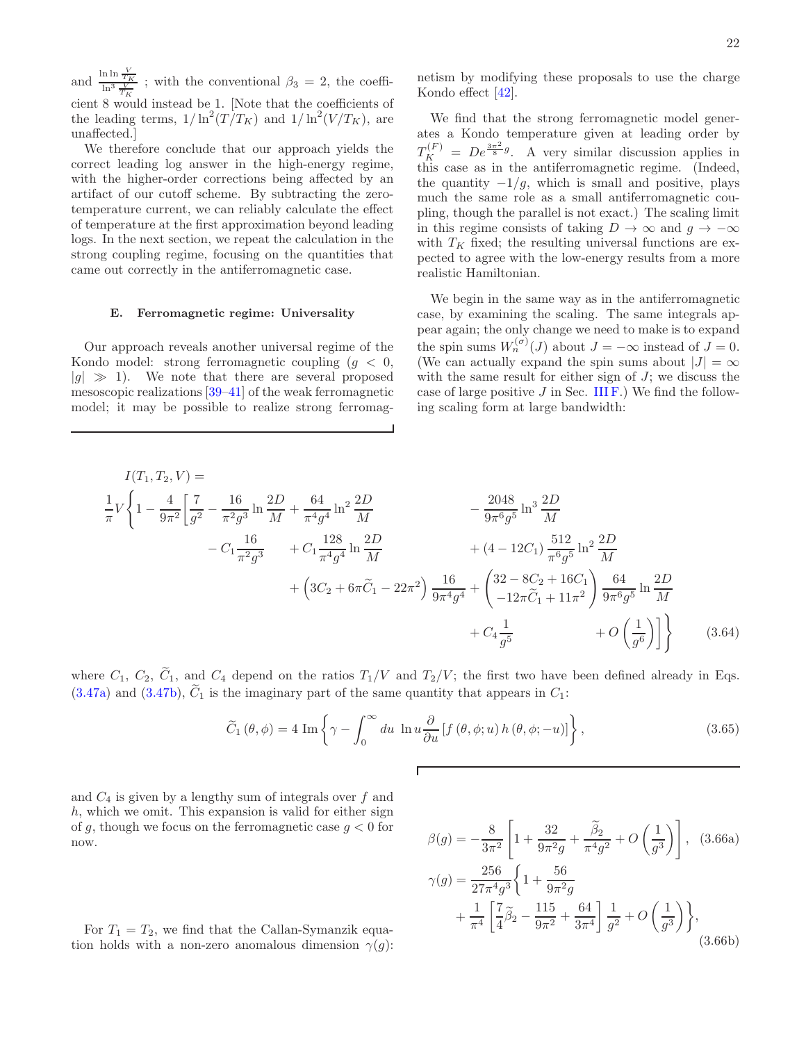and  $\frac{\ln \frac{V}{T_K}}{\ln^3 \frac{V}{T_K}}$ ; with the conventional  $\beta_3 = 2$ , the coefficient 8 would instead be 1. [Note that the coefficients of the leading terms,  $1/\ln^2(T/T_K)$  and  $1/\ln^2(V/T_K)$ , are unaffected.]

We therefore conclude that our approach yields the correct leading log answer in the high-energy regime, with the higher-order corrections being affected by an artifact of our cutoff scheme. By subtracting the zerotemperature current, we can reliably calculate the effect of temperature at the first approximation beyond leading logs. In the next section, we repeat the calculation in the strong coupling regime, focusing on the quantities that came out correctly in the antiferromagnetic case.

#### <span id="page-21-0"></span>E. Ferromagnetic regime: Universality

Our approach reveals another universal regime of the Kondo model: strong ferromagnetic coupling  $(g < 0,$  $|g| \gg 1$ ). We note that there are several proposed mesoscopic realizations [\[39](#page-42-22)[–41\]](#page-42-23) of the weak ferromagnetic model; it may be possible to realize strong ferromagnetism by modifying these proposals to use the charge Kondo effect  $[42]$ .

We find that the strong ferromagnetic model generates a Kondo temperature given at leading order by  $T_K^{(F)} = De^{\frac{3\pi^2}{8}g}$ . A very similar discussion applies in this case as in the antiferromagnetic regime. (Indeed, the quantity  $-1/g$ , which is small and positive, plays much the same role as a small antiferromagnetic coupling, though the parallel is not exact.) The scaling limit in this regime consists of taking  $D \to \infty$  and  $g \to -\infty$ with  $T_K$  fixed; the resulting universal functions are expected to agree with the low-energy results from a more realistic Hamiltonian.

We begin in the same way as in the antiferromagnetic case, by examining the scaling. The same integrals appear again; the only change we need to make is to expand the spin sums  $W_n^{(\sigma)}(J)$  about  $J = -\infty$  instead of  $J = 0$ . (We can actually expand the spin sums about  $|J| = \infty$ with the same result for either sign of  $J$ ; we discuss the case of large positive  $J$  in Sec. III  $F$ .) We find the following scaling form at large bandwidth:

$$
I(T_1, T_2, V) =
$$
\n
$$
\frac{1}{\pi} V \left\{ 1 - \frac{4}{9\pi^2} \left[ \frac{7}{g^2} - \frac{16}{\pi^2 g^3} \ln \frac{2D}{M} + \frac{64}{\pi^4 g^4} \ln^2 \frac{2D}{M} - \frac{2048}{9\pi^6 g^5} \ln^3 \frac{2D}{M} - C_1 \frac{16}{\pi^2 g^3} + C_1 \frac{128}{\pi^4 g^4} \ln \frac{2D}{M} + (4 - 12C_1) \frac{512}{\pi^6 g^5} \ln^2 \frac{2D}{M} + (4 - 12C_1) \frac{512}{\pi^6 g^5} \ln^2 \frac{2D}{M} + (3C_2 + 6\pi \tilde{C}_1 - 22\pi^2) \frac{16}{9\pi^4 g^4} + \left( \frac{32 - 8C_2 + 16C_1}{-12\pi \tilde{C}_1 + 11\pi^2} \right) \frac{64}{9\pi^6 g^5} \ln \frac{2D}{M} + C_4 \frac{1}{g^5} + O\left(\frac{1}{g^6}\right) \right\}
$$
\n(3.64)

where  $C_1$ ,  $C_2$ ,  $\tilde{C}_1$ , and  $C_4$  depend on the ratios  $T_1/V$  and  $T_2/V$ ; the first two have been defined already in Eqs.  $(3.47a)$  and  $(3.47b)$ ,  $C_1$  is the imaginary part of the same quantity that appears in  $C_1$ :

$$
\widetilde{C}_{1}(\theta,\phi) = 4 \operatorname{Im} \left\{ \gamma - \int_{0}^{\infty} du \, \ln u \frac{\partial}{\partial u} \left[ f(\theta,\phi;u) \, h(\theta,\phi;-u) \right] \right\},\tag{3.65}
$$

and  $C_4$  is given by a lengthy sum of integrals over f and  $h$ , which we omit. This expansion is valid for either sign of q, though we focus on the ferromagnetic case  $q < 0$  for now.

$$
\beta(g) = -\frac{8}{3\pi^2} \left[ 1 + \frac{32}{9\pi^2 g} + \frac{\tilde{\beta}_2}{\pi^4 g^2} + O\left(\frac{1}{g^3}\right) \right],
$$
 (3.66a)  

$$
\gamma(g) = \frac{256}{27\pi^4 g^3} \left\{ 1 + \frac{56}{9\pi^2 g} + \frac{1}{9\pi^2 g} + \frac{1}{9\pi^2} \left[ \frac{7}{4} \tilde{\beta}_2 - \frac{115}{9\pi^2} + \frac{64}{3\pi^4} \right] \frac{1}{g^2} + O\left(\frac{1}{g^3}\right) \right\},
$$
(3.66b)

For  $T_1 = T_2$ , we find that the Callan-Symanzik equation holds with a non-zero anomalous dimension  $\gamma(g)$ :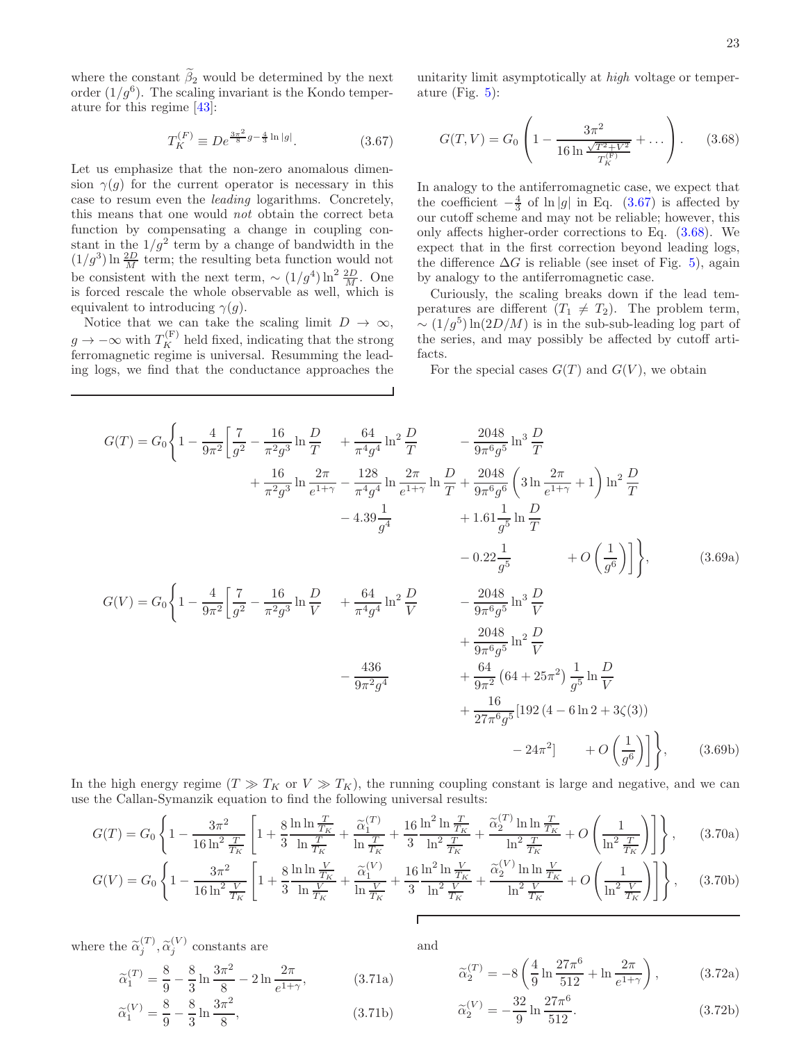where the constant  $\tilde{\beta}_2$  would be determined by the next order  $(1/g^6)$ . The scaling invariant is the Kondo temperature for this regime [\[43\]](#page-42-25):

<span id="page-22-0"></span>
$$
T_K^{(F)} \equiv De^{\frac{3\pi^2}{8}g - \frac{4}{3}\ln|g|}.
$$
 (3.67)

Let us emphasize that the non-zero anomalous dimension  $\gamma(q)$  for the current operator is necessary in this case to resum even the leading logarithms. Concretely, this means that one would not obtain the correct beta function by compensating a change in coupling constant in the  $1/g^2$  term by a change of bandwidth in the  $(1/g^3) \ln \frac{2D}{M}$  term; the resulting beta function would not be consistent with the next term,  $\sim (1/g^4) \ln^2 \frac{2D}{M}$ . One is forced rescale the whole observable as well, which is equivalent to introducing  $\gamma(q)$ .

Notice that we can take the scaling limit  $D \to \infty$ ,  $g \to -\infty$  with  $T_K^{(F)}$  held fixed, indicating that the strong ferromagnetic regime is universal. Resumming the leading logs, we find that the conductance approaches the

unitarity limit asymptotically at high voltage or temperature (Fig. [5\)](#page-23-1):

<span id="page-22-1"></span>
$$
G(T, V) = G_0 \left( 1 - \frac{3\pi^2}{16 \ln \frac{\sqrt{T^2 + V^2}}{T_K^{(F)}}} + \dots \right). \tag{3.68}
$$

In analogy to the antiferromagnetic case, we expect that the coefficient  $-\frac{4}{3}$  of ln |g| in Eq. [\(3.67\)](#page-22-0) is affected by our cutoff scheme and may not be reliable; however, this only affects higher-order corrections to Eq. [\(3.68\)](#page-22-1). We expect that in the first correction beyond leading logs, the difference  $\Delta G$  is reliable (see inset of Fig. [5\)](#page-23-1), again by analogy to the antiferromagnetic case.

Curiously, the scaling breaks down if the lead temperatures are different  $(T_1 \neq T_2)$ . The problem term,  $\sim (1/g^5) \ln(2D/M)$  is in the sub-sub-leading log part of the series, and may possibly be affected by cutoff artifacts.

For the special cases  $G(T)$  and  $G(V)$ , we obtain

$$
G(T) = G_0 \left\{ 1 - \frac{4}{9\pi^2} \left[ \frac{7}{g^2} - \frac{16}{\pi^2 g^3} \ln \frac{D}{T} + \frac{64}{\pi^4 g^4} \ln^2 \frac{D}{T} - \frac{2048}{9\pi^6 g^5} \ln^3 \frac{D}{T} + \frac{16}{\pi^2 g^3} \ln \frac{2\pi}{e^{1+\gamma}} - \frac{128}{\pi^4 g^4} \ln \frac{2\pi}{e^{1+\gamma}} \ln \frac{D}{T} + \frac{2048}{9\pi^6 g^6} \left( 3 \ln \frac{2\pi}{e^{1+\gamma}} + 1 \right) \ln^2 \frac{D}{T} - 4.39 \frac{1}{g^4} + 1.61 \frac{1}{g^5} \ln \frac{D}{T} - 0.22 \frac{1}{g^5} + O\left(\frac{1}{g^6}\right) \right\},\nG(V) = G_0 \left\{ 1 - \frac{4}{9\pi^2} \left[ \frac{7}{g^2} - \frac{16}{\pi^2 g^3} \ln \frac{D}{V} + \frac{64}{\pi^4 g^4} \ln^2 \frac{D}{V} - \frac{2048}{9\pi^6 g^5} \ln^3 \frac{D}{V} + \frac{2048}{9\pi^6 g^5} \ln^2 \frac{D}{V} + \frac{2048}{9\pi^6 g^5} \ln^2 \frac{D}{V} + \frac{2048}{9\pi^2 g^4} \ln^2 \frac{D}{V} + \frac{64}{9\pi^2} \left( 64 + 25\pi^2 \right) \frac{1}{g^5} \ln \frac{D}{V} + \frac{16}{27\pi^6 g^5} \left[ 192 \left( 4 - 6 \ln 2 + 3 \zeta (3) \right) - 24\pi^2 \right] + O\left(\frac{1}{g^6}\right) \right\},\n(3.69b)
$$

In the high energy regime  $(T \gg T_K$  or  $V \gg T_K$ , the running coupling constant is large and negative, and we can use the Callan-Symanzik equation to find the following universal results:

$$
G(T) = G_0 \left\{ 1 - \frac{3\pi^2}{16\ln^2 \frac{T}{T_K}} \left[ 1 + \frac{8}{3} \frac{\ln \ln \frac{T}{T_K}}{\ln \frac{T}{T_K}} + \frac{\tilde{\alpha}_1^{(T)}}{\ln \frac{T}{T_K}} + \frac{16}{3} \frac{\ln^2 \ln \frac{T}{T_K}}{\ln^2 \frac{T}{T_K}} + \frac{\tilde{\alpha}_2^{(T)} \ln \ln \frac{T}{T_K}}{\ln^2 \frac{T}{T_K}} + O\left(\frac{1}{\ln^2 \frac{T}{T_K}}\right) \right] \right\}, \qquad (3.70a)
$$

$$
G(V) = G_0 \left\{ 1 - \frac{3\pi^2}{16\ln^2 \frac{V}{T_K}} \left[ 1 + \frac{8}{3} \frac{\ln \ln \frac{V}{T_K}}{\ln \frac{V}{T_K}} + \frac{\tilde{\alpha}_1^{(V)}}{\ln \frac{V}{T_K}} + \frac{16}{3} \frac{\ln^2 \ln \frac{V}{T_K}}{\ln^2 \frac{V}{T_K}} + \frac{\tilde{\alpha}_2^{(V)} \ln \ln \frac{V}{T_K}}{\ln^2 \frac{V}{T_K}} + O\left(\frac{1}{\ln^2 \frac{V}{T_K}}\right) \right] \right\}, \quad (3.70b)
$$

where the  $\tilde{\alpha}_j^{(T)}$ ,  $\tilde{\alpha}_j^{(V)}$  constants are

$$
\tilde{\alpha}_1^{(T)} = \frac{8}{9} - \frac{8}{3} \ln \frac{3\pi^2}{8} - 2 \ln \frac{2\pi}{e^{1+\gamma}},
$$
\n(3.71a)

$$
\tilde{\alpha}_1^{(V)} = \frac{8}{9} - \frac{8}{3} \ln \frac{3\pi^2}{8},\tag{3.71b}
$$

and

$$
\tilde{\alpha}_2^{(T)} = -8 \left( \frac{4}{9} \ln \frac{27\pi^6}{512} + \ln \frac{2\pi}{e^{1+\gamma}} \right), \tag{3.72a}
$$

$$
\tilde{\alpha}_2^{(V)} = -\frac{32}{9} \ln \frac{27\pi^6}{512}.
$$
\n(3.72b)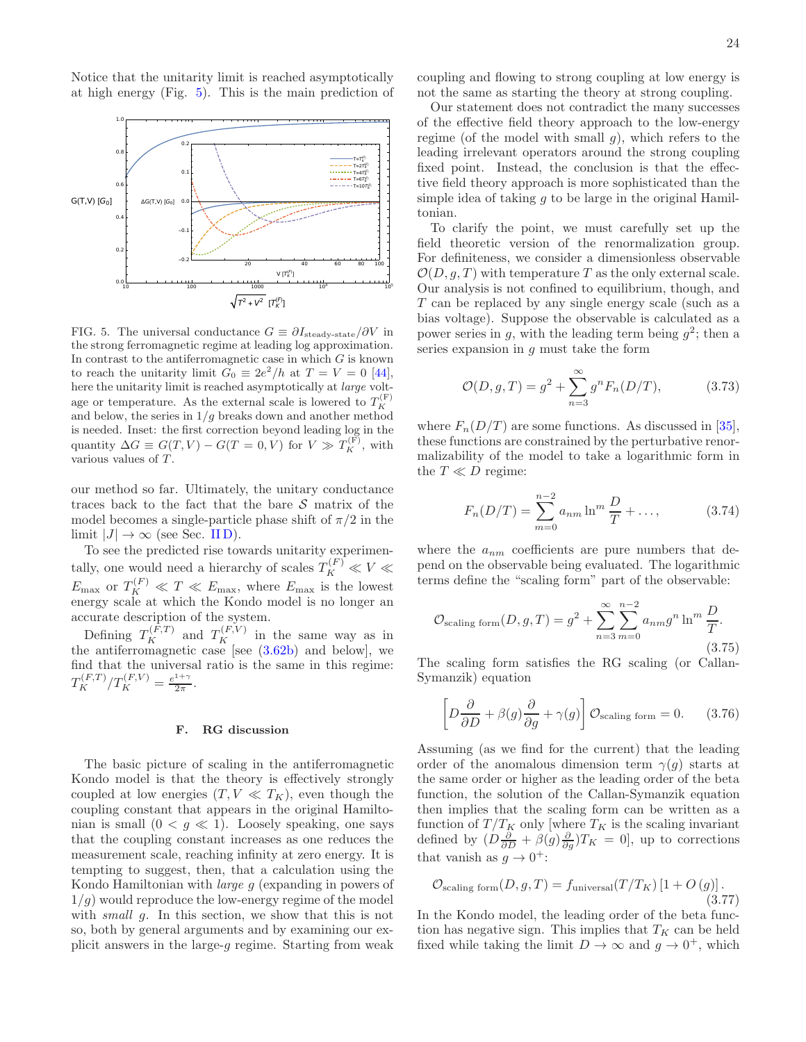Notice that the unitarity limit is reached asymptotically at high energy (Fig. [5\)](#page-23-1). This is the main prediction of



<span id="page-23-1"></span>FIG. 5. The universal conductance  $G \equiv \partial I_{\text{steady-state}}/\partial V$  in the strong ferromagnetic regime at leading log approximation. In contrast to the antiferromagnetic case in which  $G$  is known to reach the unitarity limit  $G_0 \equiv 2e^2/h$  at  $T = V = 0$  [\[44](#page-42-26)], here the unitarity limit is reached asymptotically at large voltage or temperature. As the external scale is lowered to  $T_K^{(F)}$ and below, the series in  $1/g$  breaks down and another method is needed. Inset: the first correction beyond leading log in the quantity  $\Delta G \equiv G(T, V) - G(T = 0, V)$  for  $V \gg T_K^{(F)}$ , with various values of T.

our method so far. Ultimately, the unitary conductance traces back to the fact that the bare  $S$  matrix of the model becomes a single-particle phase shift of  $\pi/2$  in the limit  $|J| \to \infty$  (see Sec. IID).

To see the predicted rise towards unitarity experimentally, one would need a hierarchy of scales  $T_K^{(F)} \ll V \ll$  $E_{\text{max}}$  or  $T_K^{(F)} \ll T \ll E_{\text{max}}$ , where  $E_{\text{max}}$  is the lowest energy scale at which the Kondo model is no longer an accurate description of the system.

Defining  $T_K^{(F,T)}$  and  $T_K^{(F,V)}$  in the same way as in the antiferromagnetic case [see  $(3.62b)$  and below], we find that the universal ratio is the same in this regime:  $T_K^{(F,T)}/T_K^{(F,V)} = \frac{e^{1+\gamma}}{2\pi}$  $\frac{1}{2\pi}$ .

# <span id="page-23-0"></span>F. RG discussion

The basic picture of scaling in the antiferromagnetic Kondo model is that the theory is effectively strongly coupled at low energies  $(T, V \ll T_K)$ , even though the coupling constant that appears in the original Hamiltonian is small  $(0 < g \ll 1)$ . Loosely speaking, one says that the coupling constant increases as one reduces the measurement scale, reaching infinity at zero energy. It is tempting to suggest, then, that a calculation using the Kondo Hamiltonian with large g (expanding in powers of  $1/q$ ) would reproduce the low-energy regime of the model with *small g*. In this section, we show that this is not so, both by general arguments and by examining our explicit answers in the large-g regime. Starting from weak

coupling and flowing to strong coupling at low energy is not the same as starting the theory at strong coupling.

Our statement does not contradict the many successes of the effective field theory approach to the low-energy regime (of the model with small  $g$ ), which refers to the leading irrelevant operators around the strong coupling fixed point. Instead, the conclusion is that the effective field theory approach is more sophisticated than the simple idea of taking  $q$  to be large in the original Hamiltonian.

To clarify the point, we must carefully set up the field theoretic version of the renormalization group. For definiteness, we consider a dimensionless observable  $\mathcal{O}(D, q, T)$  with temperature T as the only external scale. Our analysis is not confined to equilibrium, though, and T can be replaced by any single energy scale (such as a bias voltage). Suppose the observable is calculated as a power series in g, with the leading term being  $g^2$ ; then a series expansion in  $q$  must take the form

$$
\mathcal{O}(D, g, T) = g^2 + \sum_{n=3}^{\infty} g^n F_n(D/T), \tag{3.73}
$$

where  $F_n(D/T)$  are some functions. As discussed in [\[35\]](#page-42-18), these functions are constrained by the perturbative renormalizability of the model to take a logarithmic form in the  $T \ll D$  regime:

$$
F_n(D/T) = \sum_{m=0}^{n-2} a_{nm} \ln^m \frac{D}{T} + \dots,
$$
 (3.74)

where the  $a_{nm}$  coefficients are pure numbers that depend on the observable being evaluated. The logarithmic terms define the "scaling form" part of the observable:

$$
\mathcal{O}_{\text{scaling form}}(D, g, T) = g^2 + \sum_{n=3}^{\infty} \sum_{m=0}^{n-2} a_{nm} g^n \ln^m \frac{D}{T}.
$$
\n(3.75)

The scaling form satisfies the RG scaling (or Callan-Symanzik) equation

$$
\left[D\frac{\partial}{\partial D} + \beta(g)\frac{\partial}{\partial g} + \gamma(g)\right] \mathcal{O}_{\text{scaling form}} = 0. \quad (3.76)
$$

Assuming (as we find for the current) that the leading order of the anomalous dimension term  $\gamma(g)$  starts at the same order or higher as the leading order of the beta function, the solution of the Callan-Symanzik equation then implies that the scaling form can be written as a function of  $T/T_K$  only [where  $T_K$  is the scaling invariant defined by  $(D\frac{\partial}{\partial D} + \beta(g)\frac{\partial}{\partial g})T_K = 0$ , up to corrections that vanish as  $g \to 0^+$ :

$$
\mathcal{O}_{\text{scaling form}}(D, g, T) = f_{\text{universal}}(T/T_K) \left[1 + O\left(g\right)\right].\tag{3.77}
$$

In the Kondo model, the leading order of the beta function has negative sign. This implies that  $T_K$  can be held fixed while taking the limit  $D \to \infty$  and  $g \to 0^+$ , which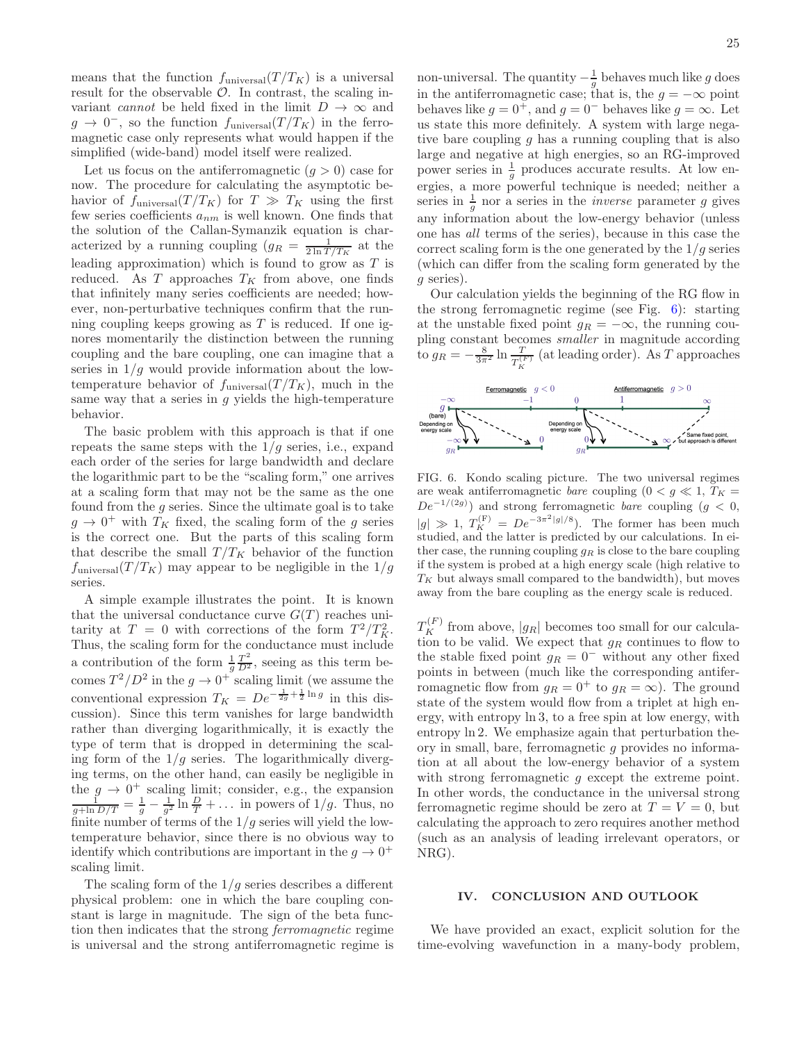means that the function  $f_{\text{universal}}(T/T_K)$  is a universal result for the observable  $\mathcal{O}$ . In contrast, the scaling invariant cannot be held fixed in the limit  $D \to \infty$  and  $g \to 0^-$ , so the function  $f_{\text{universal}}(T/T_K)$  in the ferromagnetic case only represents what would happen if the simplified (wide-band) model itself were realized.

Let us focus on the antiferromagnetic  $(q > 0)$  case for now. The procedure for calculating the asymptotic behavior of  $f_{\text{universal}}(T/T_K)$  for  $T \gg T_K$  using the first few series coefficients  $a_{nm}$  is well known. One finds that the solution of the Callan-Symanzik equation is characterized by a running coupling  $(g_R = \frac{1}{2 \ln T/T_K})$  at the leading approximation) which is found to grow as  $T$  is reduced. As  $T$  approaches  $T_K$  from above, one finds that infinitely many series coefficients are needed; however, non-perturbative techniques confirm that the running coupling keeps growing as  $T$  is reduced. If one ignores momentarily the distinction between the running coupling and the bare coupling, one can imagine that a series in  $1/g$  would provide information about the lowtemperature behavior of  $f_{\text{universal}}(T/T_K)$ , much in the same way that a series in  $q$  yields the high-temperature behavior.

The basic problem with this approach is that if one repeats the same steps with the  $1/g$  series, i.e., expand each order of the series for large bandwidth and declare the logarithmic part to be the "scaling form," one arrives at a scaling form that may not be the same as the one found from the  $g$  series. Since the ultimate goal is to take  $g \to 0^+$  with  $T_K$  fixed, the scaling form of the g series is the correct one. But the parts of this scaling form that describe the small  $T/T_K$  behavior of the function  $f_{\text{universal}}(T/T_K)$  may appear to be negligible in the  $1/g$ series.

A simple example illustrates the point. It is known that the universal conductance curve  $G(T)$  reaches unitarity at  $T = 0$  with corrections of the form  $T^2/T_K^2$ . Thus, the scaling form for the conductance must include a contribution of the form  $\frac{1}{g} \frac{T^2}{D^2}$ , seeing as this term beg comes  $T^2/D^2$  in the  $g \to 0^+$  scaling limit (we assume the conventional expression  $T_K = De^{-\frac{1}{2g} + \frac{1}{2} \ln g}$  in this discussion). Since this term vanishes for large bandwidth rather than diverging logarithmically, it is exactly the type of term that is dropped in determining the scaling form of the  $1/g$  series. The logarithmically diverging terms, on the other hand, can easily be negligible in the  $g \to 0^+$  scaling limit; consider, e.g., the expansion  $\frac{1}{g + \ln D/T} = \frac{1}{g} - \frac{1}{g^2} \ln \frac{D}{T} + \dots$  in powers of  $1/g$ . Thus, no finite number of terms of the  $1/g$  series will yield the lowtemperature behavior, since there is no obvious way to identify which contributions are important in the  $g \to 0^+$ scaling limit.

The scaling form of the  $1/q$  series describes a different physical problem: one in which the bare coupling constant is large in magnitude. The sign of the beta function then indicates that the strong ferromagnetic regime is universal and the strong antiferromagnetic regime is

non-universal. The quantity  $-\frac{1}{g}$  behaves much like g does in the antiferromagnetic case; that is, the  $g = -\infty$  point behaves like  $g = 0^+$ , and  $g = 0^-$  behaves like  $g = \infty$ . Let us state this more definitely. A system with large negative bare coupling q has a running coupling that is also large and negative at high energies, so an RG-improved power series in  $\frac{1}{g}$  produces accurate results. At low energies, a more powerful technique is needed; neither a series in  $\frac{1}{g}$  nor a series in the *inverse* parameter g gives any information about the low-energy behavior (unless one has all terms of the series), because in this case the correct scaling form is the one generated by the  $1/q$  series (which can differ from the scaling form generated by the g series).

Our calculation yields the beginning of the RG flow in the strong ferromagnetic regime (see Fig. [6\)](#page-24-0): starting at the unstable fixed point  $g_R = -\infty$ , the running coupling constant becomes smaller in magnitude according to  $g_R = -\frac{8}{3\pi^2} \ln \frac{T}{T_K^{(F)}}$  (at leading order). As T approaches



<span id="page-24-0"></span>FIG. 6. Kondo scaling picture. The two universal regimes are weak antiferromagnetic *bare* coupling  $(0 < g \ll 1, T_K =$  $De^{-1/(2g)}$  and strong ferromagnetic *bare* coupling  $(g < 0,$  $|g| \gg 1$ ,  $T_K^{(F)} = De^{-3\pi^2|g|/8}$ . The former has been much studied, and the latter is predicted by our calculations. In either case, the running coupling  $g_R$  is close to the bare coupling if the system is probed at a high energy scale (high relative to  $T_K$  but always small compared to the bandwidth), but moves away from the bare coupling as the energy scale is reduced.

 $T_K^{(F)}$  from above,  $|g_R|$  becomes too small for our calculation to be valid. We expect that  $g_R$  continues to flow to the stable fixed point  $g_R = 0^-$  without any other fixed points in between (much like the corresponding antiferromagnetic flow from  $g_R = 0^+$  to  $g_R = \infty$ ). The ground state of the system would flow from a triplet at high energy, with entropy ln 3, to a free spin at low energy, with entropy ln 2. We emphasize again that perturbation theory in small, bare, ferromagnetic g provides no information at all about the low-energy behavior of a system with strong ferromagnetic q except the extreme point. In other words, the conductance in the universal strong ferromagnetic regime should be zero at  $T = V = 0$ , but calculating the approach to zero requires another method (such as an analysis of leading irrelevant operators, or NRG).

### IV. CONCLUSION AND OUTLOOK

We have provided an exact, explicit solution for the time-evolving wavefunction in a many-body problem,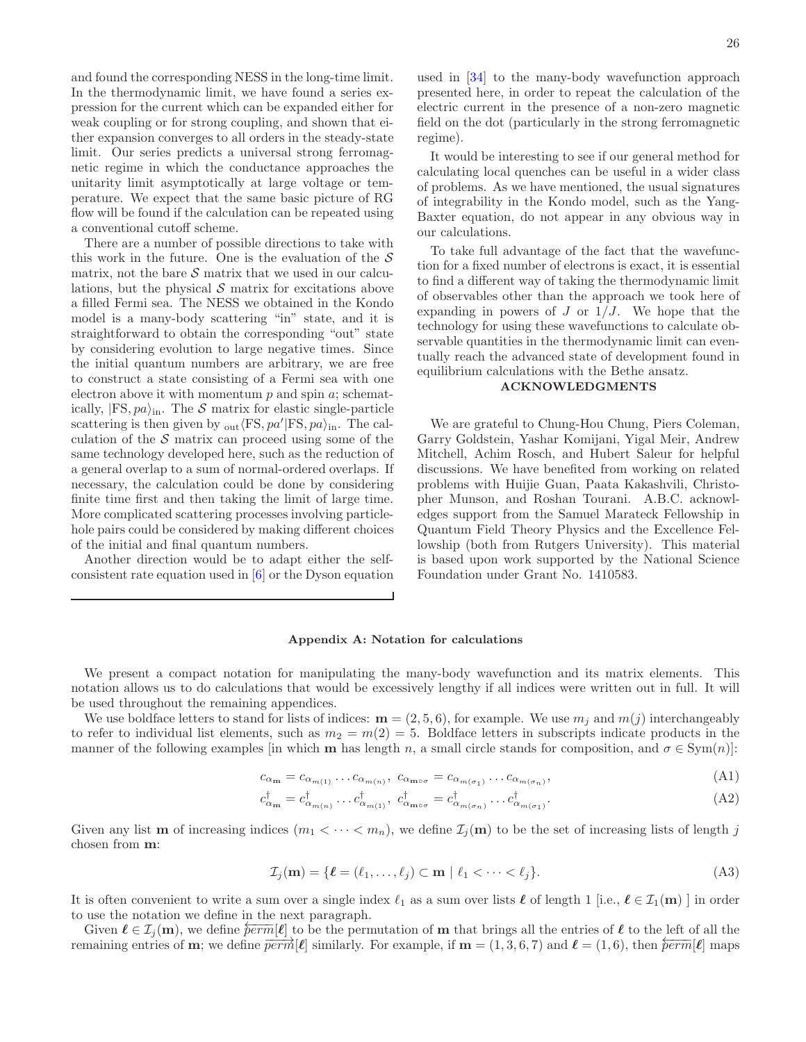and found the corresponding NESS in the long-time limit. In the thermodynamic limit, we have found a series expression for the current which can be expanded either for weak coupling or for strong coupling, and shown that either expansion converges to all orders in the steady-state limit. Our series predicts a universal strong ferromagnetic regime in which the conductance approaches the unitarity limit asymptotically at large voltage or temperature. We expect that the same basic picture of RG flow will be found if the calculation can be repeated using a conventional cutoff scheme.

There are a number of possible directions to take with this work in the future. One is the evaluation of the  $S$ matrix, not the bare  $S$  matrix that we used in our calculations, but the physical  $S$  matrix for excitations above a filled Fermi sea. The NESS we obtained in the Kondo model is a many-body scattering "in" state, and it is straightforward to obtain the corresponding "out" state by considering evolution to large negative times. Since the initial quantum numbers are arbitrary, we are free to construct a state consisting of a Fermi sea with one electron above it with momentum  $p$  and spin  $a$ ; schematically,  $|FS, pa\rangle$ <sub>in</sub>. The S matrix for elastic single-particle scattering is then given by  $_{\text{out}}$  (FS,  $pa$ <sup>'</sup>|FS,  $pa$ <sup>'</sup><sub>in</sub>. The calculation of the  $S$  matrix can proceed using some of the same technology developed here, such as the reduction of a general overlap to a sum of normal-ordered overlaps. If necessary, the calculation could be done by considering finite time first and then taking the limit of large time. More complicated scattering processes involving particlehole pairs could be considered by making different choices of the initial and final quantum numbers.

Another direction would be to adapt either the selfconsistent rate equation used in [\[6](#page-41-12)] or the Dyson equation used in [\[34](#page-42-17)] to the many-body wavefunction approach presented here, in order to repeat the calculation of the electric current in the presence of a non-zero magnetic field on the dot (particularly in the strong ferromagnetic regime).

It would be interesting to see if our general method for calculating local quenches can be useful in a wider class of problems. As we have mentioned, the usual signatures of integrability in the Kondo model, such as the Yang-Baxter equation, do not appear in any obvious way in our calculations.

To take full advantage of the fact that the wavefunction for a fixed number of electrons is exact, it is essential to find a different way of taking the thermodynamic limit of observables other than the approach we took here of expanding in powers of  $J$  or  $1/J$ . We hope that the technology for using these wavefunctions to calculate observable quantities in the thermodynamic limit can eventually reach the advanced state of development found in equilibrium calculations with the Bethe ansatz.

# ACKNOWLEDGMENTS

We are grateful to Chung-Hou Chung, Piers Coleman, Garry Goldstein, Yashar Komijani, Yigal Meir, Andrew Mitchell, Achim Rosch, and Hubert Saleur for helpful discussions. We have benefited from working on related problems with Huijie Guan, Paata Kakashvili, Christopher Munson, and Roshan Tourani. A.B.C. acknowledges support from the Samuel Marateck Fellowship in Quantum Field Theory Physics and the Excellence Fellowship (both from Rutgers University). This material is based upon work supported by the National Science Foundation under Grant No. 1410583.

### <span id="page-25-0"></span>Appendix A: Notation for calculations

We present a compact notation for manipulating the many-body wavefunction and its matrix elements. This notation allows us to do calculations that would be excessively lengthy if all indices were written out in full. It will be used throughout the remaining appendices.

We use boldface letters to stand for lists of indices:  $m = (2, 5, 6)$ , for example. We use  $m_j$  and  $m(j)$  interchangeably to refer to individual list elements, such as  $m_2 = m(2) = 5$ . Boldface letters in subscripts indicate products in the manner of the following examples [in which **m** has length n, a small circle stands for composition, and  $\sigma \in \text{Sym}(n)$ ]:

$$
c_{\alpha_{\mathbf{m}}}=c_{\alpha_{m(1)}}\dots c_{\alpha_{m(n)}},\ c_{\alpha_{\mathbf{m}\circ\sigma}}=c_{\alpha_{m(\sigma_1)}}\dots c_{\alpha_{m(\sigma_n)}},\tag{A1}
$$

$$
c_{\alpha_{\mathbf{m}}}^{\dagger} = c_{\alpha_{m(n)}}^{\dagger} \dots c_{\alpha_{m(1)}}^{\dagger}, \ c_{\alpha_{\mathbf{m}\circ\sigma}}^{\dagger} = c_{\alpha_{m(\sigma_{n})}}^{\dagger} \dots c_{\alpha_{m(\sigma_{1})}}^{\dagger}.
$$
\n(A2)

Given any list **m** of increasing indices  $(m_1 < \cdots < m_n)$ , we define  $\mathcal{I}_i(\mathbf{m})$  to be the set of increasing lists of length j chosen from m:

$$
\mathcal{I}_j(\mathbf{m}) = \{ \ell = (\ell_1, \dots, \ell_j) \subset \mathbf{m} \mid \ell_1 < \dots < \ell_j \}. \tag{A3}
$$

It is often convenient to write a sum over a single index  $\ell_1$  as a sum over lists  $\ell$  of length 1 [i.e.,  $\ell \in \mathcal{I}_1(\mathbf{m})$ ] in order to use the notation we define in the next paragraph.

Given  $\ell \in \mathcal{I}_j(m)$ , we define  $\overline{perm}[\ell]$  to be the permutation of m that brings all the entries of  $\ell$  to the left of all the remaining entries of m; we define  $\overline{perm}[\ell]$  similarly. For example, if  $\mathbf{m} = (1,3,6,7)$  and  $\ell = (1,6)$ , then  $\overline{perm}[\ell]$  maps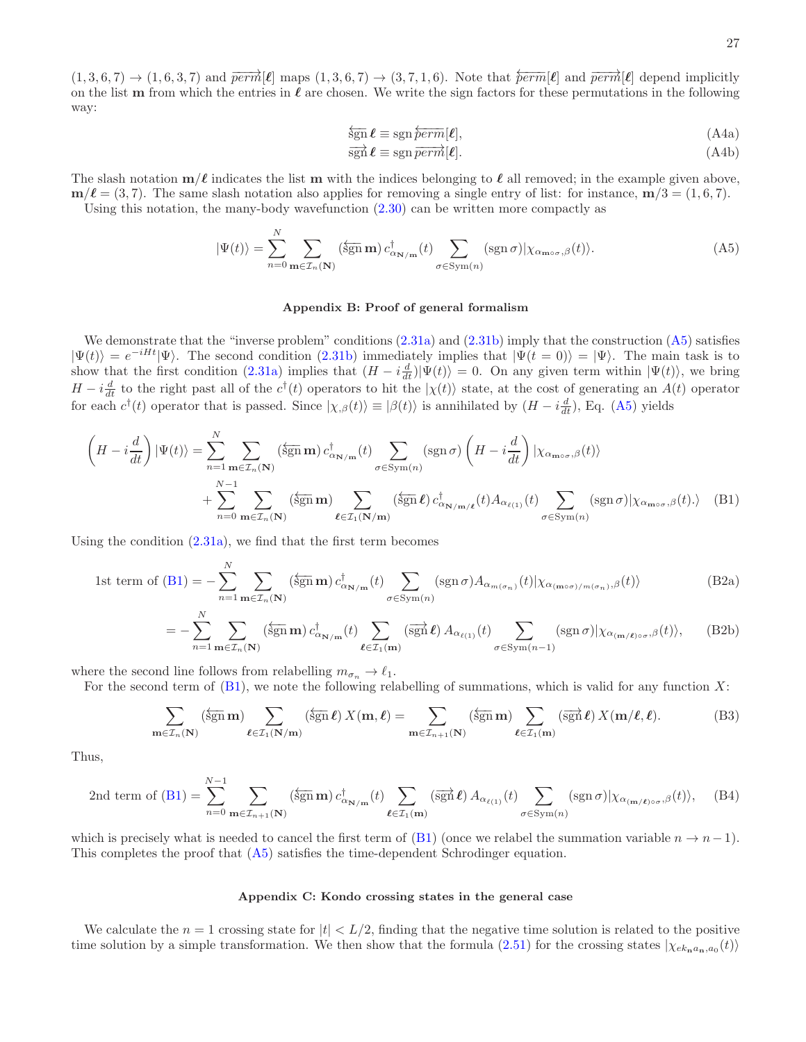$$
\overleftarrow{\operatorname{sgn}}\ell \equiv \operatorname{sgn}\overleftarrow{perm}[\ell],\tag{A4a}
$$

$$
\overrightarrow{\text{sgn}}\,\boldsymbol{\ell} \equiv \text{sgn}\,\overrightarrow{\text{perm}}[\boldsymbol{\ell}].\tag{A4b}
$$

The slash notation  $m/\ell$  indicates the list m with the indices belonging to  $\ell$  all removed; in the example given above,  $m/\ell = (3, 7)$ . The same slash notation also applies for removing a single entry of list: for instance,  $m/3 = (1, 6, 7)$ . Using this notation, the many-body wavefunction [\(2.30\)](#page-5-0) can be written more compactly as

<span id="page-26-2"></span>
$$
|\Psi(t)\rangle = \sum_{n=0}^{N} \sum_{\mathbf{m}\in\mathcal{I}_n(\mathbf{N})} (\overleftarrow{\text{sgn}} \mathbf{m}) \, c_{\alpha_{\mathbf{N}/\mathbf{m}}}^\dagger(t) \sum_{\sigma \in \text{Sym}(n)} (\text{sgn}\,\sigma) |\chi_{\alpha_{\mathbf{m}\circ\sigma},\beta}(t)\rangle. \tag{A5}
$$

# <span id="page-26-3"></span><span id="page-26-0"></span>Appendix B: Proof of general formalism

We demonstrate that the "inverse problem" conditions  $(2.31a)$  and  $(2.31b)$  imply that the construction  $(A5)$  satisfies  $|\Psi(t)\rangle = e^{-iHt}|\Psi\rangle$ . The second condition [\(2.31b\)](#page-6-2) immediately implies that  $|\Psi(t=0)\rangle = |\Psi\rangle$ . The main task is to show that the first condition [\(2.31a\)](#page-6-1) implies that  $(H - i\frac{d}{dt})|\Psi(t)\rangle = 0$ . On any given term within  $|\Psi(t)\rangle$ , we bring  $H - i\frac{d}{dt}$  to the right past all of the  $c^{\dagger}(t)$  operators to hit the  $|\chi(t)\rangle$  state, at the cost of generating an  $A(t)$  operator for each  $c^{\dagger}(t)$  operator that is passed. Since  $|\chi_{,\beta}(t)\rangle \equiv |\beta(t)\rangle$  is annihilated by  $(H - i\frac{d}{dt})$ , Eq. [\(A5\)](#page-26-2) yields

$$
\left(H - i\frac{d}{dt}\right)|\Psi(t)\rangle = \sum_{n=1}^{N} \sum_{\mathbf{m} \in \mathcal{I}_n(\mathbf{N})} (\overline{\text{sgn}} \,\mathbf{m}) \, c_{\alpha_{\mathbf{N}/\mathbf{m}}}^{\dagger}(t) \sum_{\sigma \in \text{Sym}(n)} (\text{sgn}\,\sigma) \left(H - i\frac{d}{dt}\right) |\chi_{\alpha_{\mathbf{m}\circ\sigma},\beta}(t)\rangle + \sum_{n=0}^{N-1} \sum_{\mathbf{m} \in \mathcal{I}_n(\mathbf{N})} (\overline{\text{sgn}} \,\mathbf{m}) \sum_{\boldsymbol{\ell} \in \mathcal{I}_1(\mathbf{N}/\mathbf{m})} (\overline{\text{sgn}} \,\boldsymbol{\ell}) \, c_{\alpha_{\mathbf{N}/\mathbf{m}/\mathbf{\ell}}}^{\dagger}(t) A_{\alpha_{\ell(1)}}(t) \sum_{\sigma \in \text{Sym}(n)} (\text{sgn}\,\sigma) |\chi_{\alpha_{\mathbf{m}\circ\sigma},\beta}(t)\rangle
$$
 (B1)

Using the condition  $(2.31a)$ , we find that the first term becomes

1st term of (B1) = 
$$
-\sum_{n=1}^{N} \sum_{\mathbf{m} \in \mathcal{I}_n(\mathbf{N})} (\overline{\operatorname{sgn}} \mathbf{m}) c_{\alpha_{\mathbf{N}/\mathbf{m}}}^{\dagger}(t) \sum_{\sigma \in \operatorname{Sym}(n)} (\operatorname{sgn} \sigma) A_{\alpha_{m(\sigma_n)}}(t) |\chi_{\alpha_{(\mathbf{m} \circ \sigma)/m(\sigma_n)},\beta}(t) \rangle
$$
(B2a)

$$
= -\sum_{n=1}^{N} \sum_{\mathbf{m} \in \mathcal{I}_n(\mathbf{N})} (\overline{\text{sgn}} \,\mathbf{m}) \, c_{\alpha_{\mathbf{N}/\mathbf{m}}}^{\dagger}(t) \sum_{\ell \in \mathcal{I}_1(\mathbf{m})} (\overline{\text{sgn}} \,\ell) \, A_{\alpha_{\ell(1)}}(t) \sum_{\sigma \in \text{Sym}(n-1)} (\text{sgn} \,\sigma) |\chi_{\alpha_{(\mathbf{m}/\ell)\circ\sigma},\beta}(t) \rangle, \tag{B2b}
$$

where the second line follows from relabelling  $m_{\sigma_n} \to \ell_1$ .

For the second term of  $(B1)$ , we note the following relabelling of summations, which is valid for any function X:

$$
\sum_{\mathbf{m}\in\mathcal{I}_n(\mathbf{N})} (\overleftarrow{\text{sgn}}\,\mathbf{m}) \sum_{\boldsymbol{\ell}\in\mathcal{I}_1(\mathbf{N}/\mathbf{m})} (\overleftarrow{\text{sgn}}\,\boldsymbol{\ell}) \, X(\mathbf{m},\boldsymbol{\ell}) = \sum_{\mathbf{m}\in\mathcal{I}_{n+1}(\mathbf{N})} (\overleftarrow{\text{sgn}}\,\mathbf{m}) \sum_{\boldsymbol{\ell}\in\mathcal{I}_1(\mathbf{m})} (\overrightarrow{\text{sgn}}\,\boldsymbol{\ell}) \, X(\mathbf{m}/\boldsymbol{\ell},\boldsymbol{\ell}).
$$
 (B3)

Thus,

$$
2nd \text{ term of (B1)} = \sum_{n=0}^{N-1} \sum_{\mathbf{m} \in \mathcal{I}_{n+1}(\mathbf{N})} (\overline{\operatorname{sgn}} \mathbf{m}) \, c_{\alpha_{\mathbf{N}/\mathbf{m}}}^{\dagger}(t) \sum_{\ell \in \mathcal{I}_{1}(\mathbf{m})} (\overline{\operatorname{sgn}} \ell) \, A_{\alpha_{\ell(1)}}(t) \sum_{\sigma \in \operatorname{Sym}(n)} (\operatorname{sgn} \sigma) |\chi_{\alpha_{(\mathbf{m}/\ell)\circ\sigma},\beta}(t)\rangle, \tag{B4}
$$

which is precisely what is needed to cancel the first term of [\(B1\)](#page-26-3) (once we relabel the summation variable  $n \to n-1$ ). This completes the proof that [\(A5\)](#page-26-2) satisfies the time-dependent Schrodinger equation.

# <span id="page-26-1"></span>Appendix C: Kondo crossing states in the general case

We calculate the  $n = 1$  crossing state for  $|t| < L/2$ , finding that the negative time solution is related to the positive time solution by a simple transformation. We then show that the formula  $(2.51)$  for the crossing states  $|\chi_{ek_n a_n,a_0}(t)\rangle$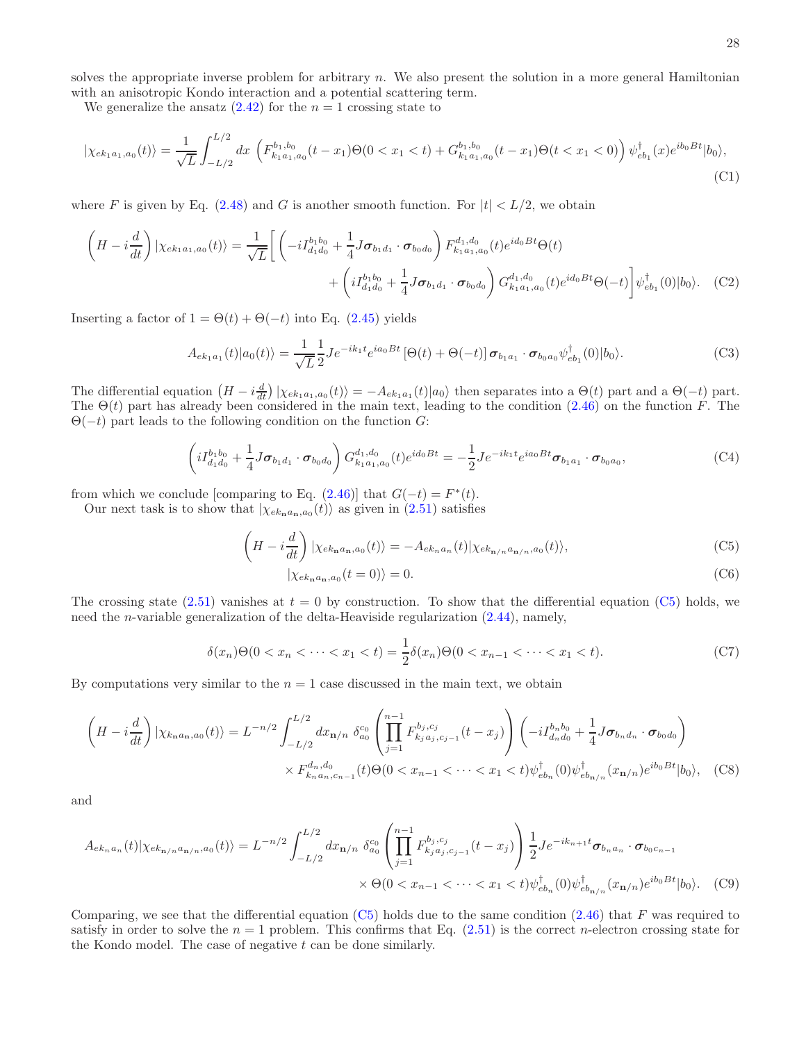solves the appropriate inverse problem for arbitrary  $n$ . We also present the solution in a more general Hamiltonian with an anisotropic Kondo interaction and a potential scattering term.

We generalize the ansatz  $(2.42)$  for the  $n = 1$  crossing state to

$$
|\chi_{ek_1a_1,a_0}(t)\rangle = \frac{1}{\sqrt{L}} \int_{-L/2}^{L/2} dx \left( F_{k_1a_1,a_0}^{b_1,b_0}(t-x_1)\Theta(0 < x_1 < t) + G_{k_1a_1,a_0}^{b_1,b_0}(t-x_1)\Theta(t < x_1 < 0) \right) \psi_{eb_1}^{\dagger}(x) e^{ib_0Bt} |b_0\rangle,
$$
\n(C1)

where F is given by Eq.  $(2.48)$  and G is another smooth function. For  $|t| < L/2$ , we obtain

$$
\left(H - i\frac{d}{dt}\right)|\chi_{ek_{1}a_{1},a_{0}}(t)\rangle = \frac{1}{\sqrt{L}}\left[\left(-iI_{d_{1}d_{0}}^{b_{1}b_{0}} + \frac{1}{4}J\sigma_{b_{1}d_{1}}\cdot\sigma_{b_{0}d_{0}}\right)F_{k_{1}a_{1},a_{0}}^{d_{1},d_{0}}(t)e^{id_{0}Bt}\Theta(t)\right.\\ \left. + \left(iI_{d_{1}d_{0}}^{b_{1}b_{0}} + \frac{1}{4}J\sigma_{b_{1}d_{1}}\cdot\sigma_{b_{0}d_{0}}\right)G_{k_{1}a_{1},a_{0}}^{d_{1},d_{0}}(t)e^{id_{0}Bt}\Theta(-t)\right]\psi_{eb_{1}}^{\dagger}(0)|b_{0}\rangle. \tag{C2}
$$

Inserting a factor of  $1 = \Theta(t) + \Theta(-t)$  into Eq. [\(2.45\)](#page-8-5) yields

$$
A_{ek_1a_1}(t)|a_0(t)\rangle = \frac{1}{\sqrt{L}} \frac{1}{2} J e^{-ik_1t} e^{ia_0Bt} \left[\Theta(t) + \Theta(-t)\right] \sigma_{b_1a_1} \cdot \sigma_{b_0a_0} \psi_{eb_1}^{\dagger}(0)|b_0\rangle. \tag{C3}
$$

The differential equation  $(H - i\frac{d}{dt})\ket{\chi_{ek_1a_1,a_0}(t)} = -A_{ek_1a_1}(t)\ket{a_0}$  then separates into a  $\Theta(t)$  part and a  $\Theta(-t)$  part. The  $\Theta(t)$  part has already been considered in the main text, leading to the condition [\(2.46\)](#page-8-1) on the function F. The  $\Theta(-t)$  part leads to the following condition on the function G:

$$
\left(iI_{d_1d_0}^{b_1b_0} + \frac{1}{4}J\sigma_{b_1d_1}\cdot\sigma_{b_0d_0}\right)G_{k_1a_1,a_0}^{d_1,d_0}(t)e^{id_0Bt} = -\frac{1}{2}Je^{-ik_1t}e^{ia_0Bt}\sigma_{b_1a_1}\cdot\sigma_{b_0a_0},\tag{C4}
$$

from which we conclude [comparing to Eq.  $(2.46)$ ] that  $G(-t) = F^*(t)$ .

Our next task is to show that  $|\chi_{ek_n a_n,a_0}(t)\rangle$  as given in [\(2.51\)](#page-8-2) satisfies

$$
\left(H - i\frac{d}{dt}\right)|\chi_{ek_{\mathbf{n}}a_{\mathbf{n}},a_{0}}(t)\rangle = -A_{ek_{n}a_{n}}(t)|\chi_{ek_{\mathbf{n}/n}a_{\mathbf{n}/n},a_{0}}(t)\rangle, \tag{C5}
$$

<span id="page-27-0"></span>
$$
|\chi_{ek_{\mathbf{n}}a_{\mathbf{n}},a_0}(t=0)\rangle = 0.
$$
\n(C6)

The crossing state [\(2.51\)](#page-8-2) vanishes at  $t = 0$  by construction. To show that the differential equation [\(C5\)](#page-27-0) holds, we need the *n*-variable generalization of the delta-Heaviside regularization  $(2.44)$ , namely,

$$
\delta(x_n)\Theta(0 < x_n < \dots < x_1 < t) = \frac{1}{2}\delta(x_n)\Theta(0 < x_{n-1} < \dots < x_1 < t). \tag{C7}
$$

By computations very similar to the  $n = 1$  case discussed in the main text, we obtain

$$
\left(H - i\frac{d}{dt}\right)|\chi_{k_{\mathbf{n}}a_{\mathbf{n}},a_{0}}(t)\rangle = L^{-n/2} \int_{-L/2}^{L/2} dx_{\mathbf{n}/n} \delta_{a_{0}}^{c_{0}} \left(\prod_{j=1}^{n-1} F_{k_{j}a_{j},c_{j-1}}^{b_{j},c_{j}}(t-x_{j})\right) \left(-iI_{d_{n}d_{0}}^{b_{n}b_{0}} + \frac{1}{4}J\sigma_{b_{n}d_{n}} \cdot \sigma_{b_{0}d_{0}}\right) \times F_{k_{n}a_{n},c_{n-1}}^{d_{n},d_{0}}(t)\Theta(0 < x_{n-1} < \cdots < x_{1} < t)\psi_{eb_{n}}^{\dagger}(0)\psi_{eb_{n/n}}^{\dagger}(x_{\mathbf{n}/n})e^{ib_{0}Bt}|b_{0}\rangle, \quad \text{(C8)}
$$

and

$$
A_{ek_n a_n}(t)|\chi_{ek_{\mathbf{n}/n}a_{\mathbf{n}/n},a_0}(t)\rangle = L^{-n/2} \int_{-L/2}^{L/2} dx_{\mathbf{n}/n} \delta_{a_0}^{c_0} \left( \prod_{j=1}^{n-1} F_{k_j a_j, c_{j-1}}^{b_j, c_j}(t - x_j) \right) \frac{1}{2} J e^{-ik_{n+1}t} \sigma_{b_n a_n} \cdot \sigma_{b_0 c_{n-1}} \times \Theta(0 < x_{n-1} < \cdots < x_1 < t) \psi_{eb_n}^{\dagger}(0) \psi_{eb_{\mathbf{n}/n}}^{\dagger}(x_{\mathbf{n}/n}) e^{ib_0 B t} |b_0\rangle. \tag{C9}
$$

Comparing, we see that the differential equation  $(C5)$  holds due to the same condition  $(2.46)$  that F was required to satisfy in order to solve the  $n = 1$  problem. This confirms that Eq.  $(2.51)$  is the correct n-electron crossing state for the Kondo model. The case of negative  $t$  can be done similarly.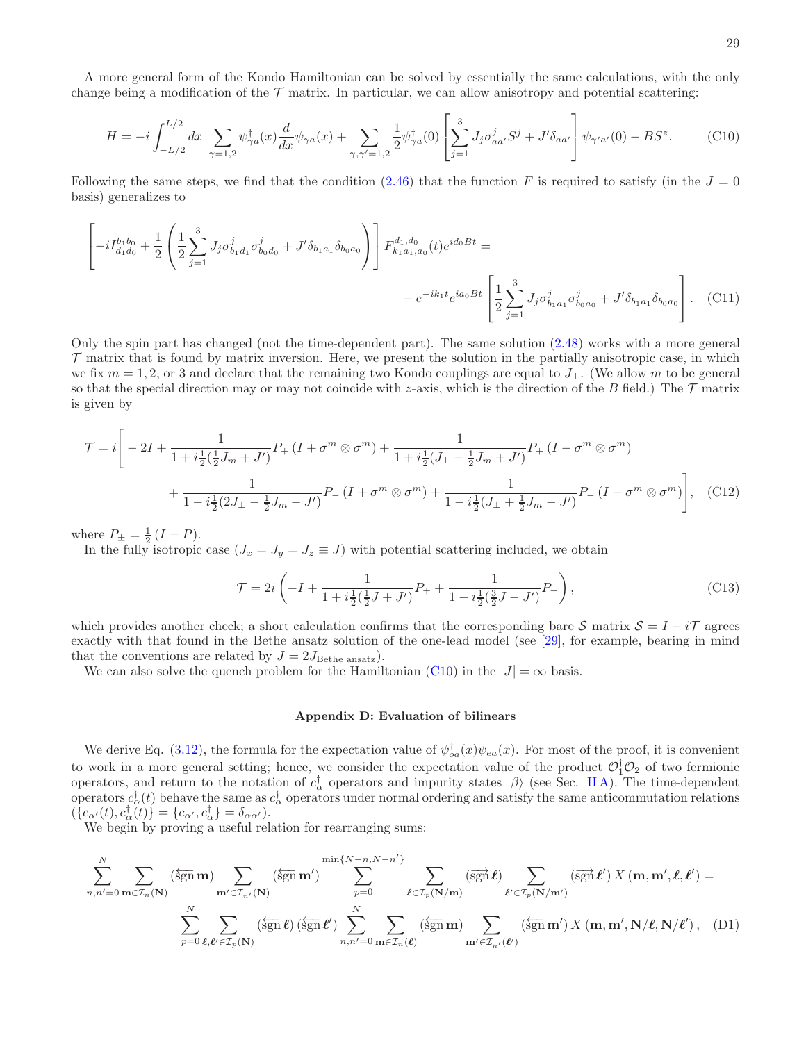A more general form of the Kondo Hamiltonian can be solved by essentially the same calculations, with the only change being a modification of the  $\mathcal T$  matrix. In particular, we can allow anisotropy and potential scattering:

<span id="page-28-1"></span>
$$
H = -i \int_{-L/2}^{L/2} dx \sum_{\gamma=1,2} \psi_{\gamma a}^{\dagger}(x) \frac{d}{dx} \psi_{\gamma a}(x) + \sum_{\gamma,\gamma'=1,2} \frac{1}{2} \psi_{\gamma a}^{\dagger}(0) \left[ \sum_{j=1}^{3} J_j \sigma_{aa'}^j S^j + J' \delta_{aa'} \right] \psi_{\gamma' a'}(0) - BS^z.
$$
 (C10)

Following the same steps, we find that the condition [\(2.46\)](#page-8-1) that the function F is required to satisfy (in the  $J = 0$ basis) generalizes to

$$
\left[ -iI_{d_1d_0}^{b_1b_0} + \frac{1}{2} \left( \frac{1}{2} \sum_{j=1}^3 J_j \sigma_{b_1d_1}^j \sigma_{b_0d_0}^j + J' \delta_{b_1a_1} \delta_{b_0a_0} \right) \right] F_{k_1a_1,a_0}^{d_1,d_0}(t) e^{id_0Bt} =
$$
  
-  $e^{-ik_1t} e^{ia_0Bt} \left[ \frac{1}{2} \sum_{j=1}^3 J_j \sigma_{b_1a_1}^j \sigma_{b_0a_0}^j + J' \delta_{b_1a_1} \delta_{b_0a_0} \right].$  (C11)

Only the spin part has changed (not the time-dependent part). The same solution [\(2.48\)](#page-8-4) works with a more general  $\tau$  matrix that is found by matrix inversion. Here, we present the solution in the partially anisotropic case, in which we fix  $m = 1, 2$ , or 3 and declare that the remaining two Kondo couplings are equal to  $J_{\perp}$ . (We allow m to be general so that the special direction may or may not coincide with z-axis, which is the direction of the B field.) The  $\mathcal T$  matrix is given by

$$
\mathcal{T} = i \left[ -2I + \frac{1}{1 + i\frac{1}{2}(\frac{1}{2}J_m + J')} P_+ (I + \sigma^m \otimes \sigma^m) + \frac{1}{1 + i\frac{1}{2}(J_\perp - \frac{1}{2}J_m + J')} P_+ (I - \sigma^m \otimes \sigma^m) + \frac{1}{1 - i\frac{1}{2}(2J_\perp - \frac{1}{2}J_m - J')} P_- (I + \sigma^m \otimes \sigma^m) + \frac{1}{1 - i\frac{1}{2}(J_\perp + \frac{1}{2}J_m - J')} P_- (I - \sigma^m \otimes \sigma^m) \right], \quad (C12)
$$

where  $P_{\pm} = \frac{1}{2} (I \pm P)$ .

In the fully isotropic case  $(J_x = J_y = J_z \equiv J)$  with potential scattering included, we obtain

$$
\mathcal{T} = 2i \left( -I + \frac{1}{1 + i \frac{1}{2} (\frac{1}{2}J + J') } P_+ + \frac{1}{1 - i \frac{1}{2} (\frac{3}{2}J - J') } P_- \right),\tag{C13}
$$

which provides another check; a short calculation confirms that the corresponding bare S matrix  $S = I - i\mathcal{T}$  agrees exactly with that found in the Bethe ansatz solution of the one-lead model (see [\[29\]](#page-42-12), for example, bearing in mind that the conventions are related by  $J = 2J_{\text{Bethe ansatz}}$ .

We can also solve the quench problem for the Hamiltonian [\(C10\)](#page-28-1) in the  $|J| = \infty$  basis.

# <span id="page-28-2"></span><span id="page-28-0"></span>Appendix D: Evaluation of bilinears

We derive Eq. [\(3.12\)](#page-12-1), the formula for the expectation value of  $\psi_{oa}^{\dagger}(x)\psi_{ea}(x)$ . For most of the proof, it is convenient to work in a more general setting; hence, we consider the expectation value of the product  $\mathcal{O}_1^{\dagger}\mathcal{O}_2$  of two fermionic operators, and return to the notation of  $c_{\alpha}^{\dagger}$  operators and impurity states  $|\beta\rangle$  (see Sec. [II A\)](#page-2-1). The time-dependent operators  $c_{\alpha}^{\dagger}(t)$  behave the same as  $c_{\alpha}^{\dagger}$  operators under normal ordering and satisfy the same anticommutation relations  $(\{c_{\alpha'}(t), c_{\alpha}^{\dagger}(t)\} = \{c_{\alpha'}, c_{\alpha}^{\dagger}\} = \delta_{\alpha\alpha'}).$ 

We begin by proving a useful relation for rearranging sums:

$$
\sum_{n,n'=0}^{N} \sum_{\mathbf{m}\in\mathcal{I}_{n}(\mathbf{N})} (\overleftarrow{\operatorname{sgn}}\mathbf{m}) \sum_{\mathbf{m'}\in\mathcal{I}_{n'}(\mathbf{N})} (\overleftarrow{\operatorname{sgn}}\mathbf{m'}) \sum_{p=0}^{\min\{N-n,N-n'\}} \sum_{\ell\in\mathcal{I}_{p}(\mathbf{N}/\mathbf{m})} (\overrightarrow{\operatorname{sgn}}\ell) \sum_{\ell'\in\mathcal{I}_{p}(\mathbf{N}/\mathbf{m}')} (\overrightarrow{\operatorname{sgn}}\ell') X(\mathbf{m}, \mathbf{m'}, \ell, \ell') =
$$
  

$$
\sum_{p=0}^{N} \sum_{\ell,\ell'\in\mathcal{I}_{p}(\mathbf{N})} (\overleftarrow{\operatorname{sgn}}\ell) (\overleftarrow{\operatorname{sgn}}\ell') \sum_{n,n'=0}^{N} \sum_{\mathbf{m}\in\mathcal{I}_{n}(\ell)} (\overleftarrow{\operatorname{sgn}}\mathbf{m}) \sum_{\mathbf{m'}\in\mathcal{I}_{n'}(\ell')} (\overleftarrow{\operatorname{sgn}}\mathbf{m'}) X(\mathbf{m}, \mathbf{m'}, \mathbf{N}/\ell, \mathbf{N}/\ell'), \quad (D1)
$$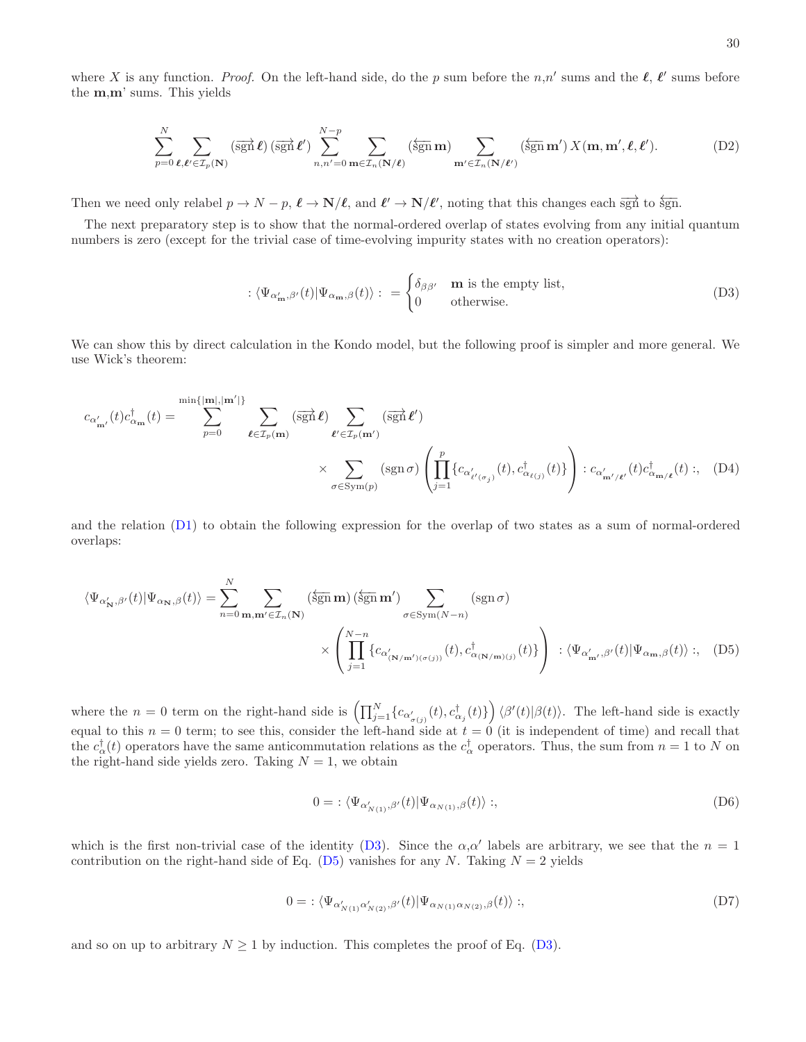$$
\sum_{p=0}^{N} \sum_{\ell,\ell' \in \mathcal{I}_p(\mathbf{N})} (\overrightarrow{\operatorname{sgn}} \ell) (\overrightarrow{\operatorname{sgn}} \ell') \sum_{n,n'=0}^{N-p} \sum_{\mathbf{m} \in \mathcal{I}_n(\mathbf{N}/\ell)} (\overleftarrow{\operatorname{sgn}} \mathbf{m}) \sum_{\mathbf{m}' \in \mathcal{I}_n(\mathbf{N}/\ell')} (\overleftarrow{\operatorname{sgn}} \mathbf{m}') X(\mathbf{m}, \mathbf{m}', \ell, \ell').
$$
 (D2)

Then we need only relabel  $p \to N - p$ ,  $\ell \to N/\ell$ , and  $\ell' \to N/\ell'$ , noting that this changes each  $\overrightarrow{sgn}$  to  $\overleftarrow{sgn}$ .

the m,m' sums. This yields

The next preparatory step is to show that the normal-ordered overlap of states evolving from any initial quantum numbers is zero (except for the trivial case of time-evolving impurity states with no creation operators):

<span id="page-29-1"></span>
$$
\langle \Psi_{\alpha'_{\mathbf{m}},\beta'}(t) | \Psi_{\alpha_{\mathbf{m}},\beta}(t) \rangle : = \begin{cases} \delta_{\beta\beta'} & \mathbf{m} \text{ is the empty list,} \\ 0 & \text{otherwise.} \end{cases}
$$
 (D3)

We can show this by direct calculation in the Kondo model, but the following proof is simpler and more general. We use Wick's theorem:

$$
c_{\alpha'_{\mathbf{m}'}}(t)c^{\dagger}_{\alpha_{\mathbf{m}}}(t) = \sum_{p=0}^{\min\{|\mathbf{m}|,|\mathbf{m}'|\}} \sum_{\ell \in \mathcal{I}_p(\mathbf{m})} (\overrightarrow{\operatorname{sgn}} \ell) \sum_{\ell' \in \mathcal{I}_p(\mathbf{m}')} (\overrightarrow{\operatorname{sgn}} \ell')
$$

$$
\times \sum_{\sigma \in \operatorname{Sym}(p)} (\operatorname{sgn} \sigma) \left( \prod_{j=1}^p \{ c_{\alpha'_{\ell'(\sigma_j)}}(t), c^{\dagger}_{\alpha_{\ell(j)}}(t) \} \right) : c_{\alpha'_{\mathbf{m}'/\ell'}}(t)c^{\dagger}_{\alpha_{\mathbf{m}/\ell}}(t) : , \quad (D4)
$$

and the relation [\(D1\)](#page-28-2) to obtain the following expression for the overlap of two states as a sum of normal-ordered overlaps:

$$
\langle \Psi_{\alpha'_{\mathbf{N}},\beta'}(t) | \Psi_{\alpha_{\mathbf{N}},\beta}(t) \rangle = \sum_{n=0}^{N} \sum_{\mathbf{m}, \mathbf{m'} \in \mathcal{I}_n(\mathbf{N})} (\overleftarrow{\text{sgn}} \mathbf{m}) (\overleftarrow{\text{sgn}} \mathbf{m'}) \sum_{\sigma \in \text{Sym}(N-n)} (\text{sgn} \sigma)
$$

$$
\times \left( \prod_{j=1}^{N-n} \{ c_{\alpha'_{(\mathbf{N}/\mathbf{m'})(\sigma(j))}}(t), c^{\dagger}_{\alpha_{(\mathbf{N}/\mathbf{m})(j)}}(t) \} \right) : \langle \Psi_{\alpha'_{\mathbf{m'}},\beta'}(t) | \Psi_{\alpha_{\mathbf{m}},\beta}(t) \rangle ; \quad (D5)
$$

where the  $n = 0$  term on the right-hand side is  $\left(\prod_{j=1}^{N} \{c_{\alpha'_{\sigma(j)}}(t), c^{\dagger}_{\alpha_j}(t)\}\right) \langle \beta'(t)|\beta(t)\rangle$ . The left-hand side is exactly equal to this  $n = 0$  term; to see this, consider the left-hand side at  $t = 0$  (it is independent of time) and recall that the  $c_{\alpha}^{\dagger}(t)$  operators have the same anticommutation relations as the  $c_{\alpha}^{\dagger}$  operators. Thus, the sum from  $n = 1$  to N on the right-hand side yields zero. Taking  $N = 1$ , we obtain

<span id="page-29-0"></span>
$$
0 = \langle \Psi_{\alpha'_{N(1)}, \beta'}(t) | \Psi_{\alpha_{N(1)}, \beta}(t) \rangle ;,
$$
\n(D6)

which is the first non-trivial case of the identity [\(D3\)](#page-29-1). Since the  $\alpha, \alpha'$  labels are arbitrary, we see that the  $n = 1$ contribution on the right-hand side of Eq. [\(D5\)](#page-29-0) vanishes for any N. Taking  $N = 2$  yields

$$
0 = \langle \Psi_{\alpha'_{N(1)}\alpha'_{N(2)},\beta'}(t) | \Psi_{\alpha_{N(1)}\alpha_{N(2)},\beta}(t) \rangle ;,\tag{D7}
$$

and so on up to arbitrary  $N \geq 1$  by induction. This completes the proof of Eq. [\(D3\)](#page-29-1).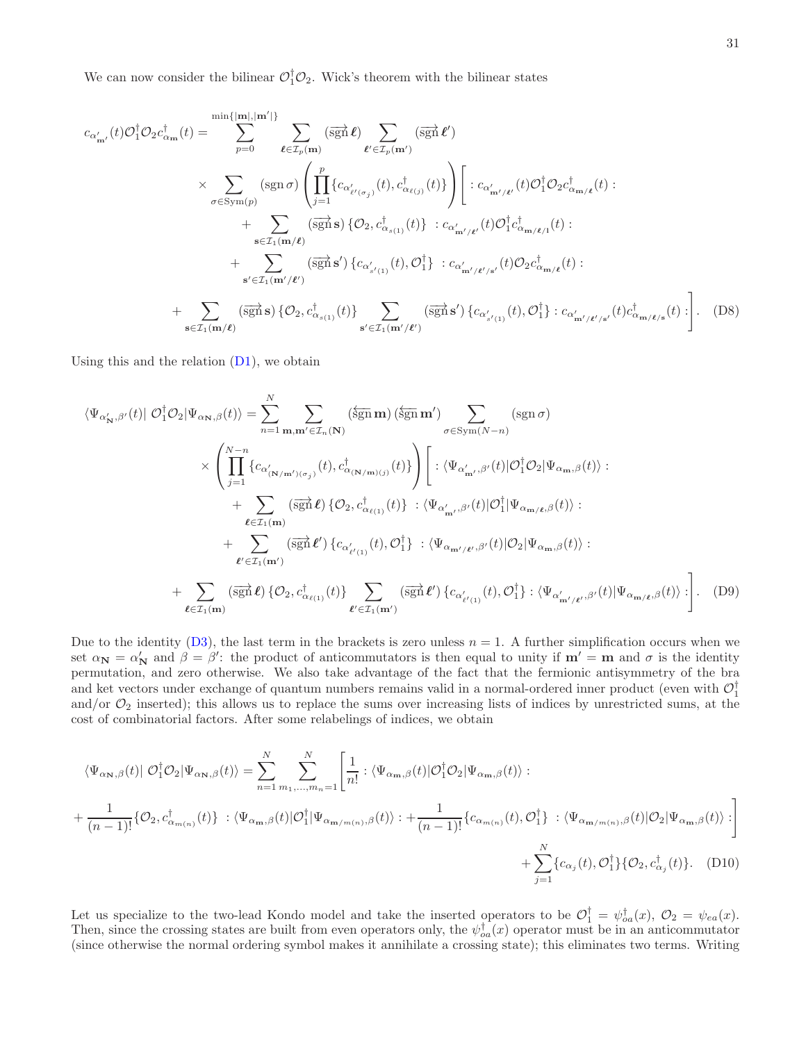We can now consider the bilinear  $\mathcal{O}_1^{\dagger} \mathcal{O}_2$ . Wick's theorem with the bilinear states

$$
c_{\alpha'_{m'}}(t)\mathcal{O}_1^{\dagger}\mathcal{O}_2 c_{\alpha_m}^{\dagger}(t) = \sum_{p=0}^{\min\{|m|,|m'|\}} \sum_{\ell \in \mathcal{I}_p(m)} (\overrightarrow{sgn} \ell) \sum_{\ell' \in \mathcal{I}_p(m')} (\overrightarrow{sgn} \ell') \times \sum_{\sigma \in \text{Sym}(p)} (\text{sgn}\,\sigma) \left( \prod_{j=1}^p \{c_{\alpha'_{\ell'(\sigma_j)}}(t), c_{\alpha_{\ell(j)}}^{\dagger}(t)\} \right) \left[ : c_{\alpha'_{m'/\ell'}}(t)\mathcal{O}_1^{\dagger}\mathcal{O}_2 c_{\alpha_{m/\ell}}^{\dagger}(t) : \right. \\ \left. + \sum_{\mathbf{s} \in \mathcal{I}_1(m/\ell)} (\overrightarrow{sgn} \, \mathbf{s}) \{ \mathcal{O}_2, c_{\alpha_{s(1)}}^{\dagger}(t)\} : c_{\alpha'_{m'/\ell'}}(t)\mathcal{O}_1^{\dagger} c_{\alpha_{m/\ell}}^{\dagger}(t) : \right. \\ \left. + \sum_{\mathbf{s}' \in \mathcal{I}_1(m'/\ell')} (\overrightarrow{sgn} \, \mathbf{s}') \{ c_{\alpha'_{s'(1)}}(t), \mathcal{O}_1^{\dagger}\} : c_{\alpha'_{m'/\ell'/s'}}(t)\mathcal{O}_2 c_{\alpha_{m/\ell}}^{\dagger}(t) : \right. \\ \left. + \sum_{\mathbf{s} \in \mathcal{I}_1(m/\ell)} (\overrightarrow{sgn} \, \mathbf{s}) \{ \mathcal{O}_2, c_{\alpha_{s(1)}}^{\dagger}(t) \} \sum_{\mathbf{s}' \in \mathcal{I}_1(m'/\ell')} (\overrightarrow{sgn} \, \mathbf{s}') \{ c_{\alpha'_{s'(1)}}(t), \mathcal{O}_1^{\dagger}\} : c_{\alpha'_{m'/\ell'/s'}}(t)c_{\alpha_{m/\ell/s}}^{\dagger}(t) : \right]. \tag{D8}
$$

Using this and the relation  $(D1)$ , we obtain

$$
\langle \Psi_{\alpha'_{\mathbf{N}},\beta'}(t)| \mathcal{O}_{1}^{\dagger} \mathcal{O}_{2} | \Psi_{\alpha_{\mathbf{N}},\beta}(t) \rangle = \sum_{n=1}^{N} \sum_{\mathbf{m},\mathbf{m'} \in \mathcal{I}_{n}(\mathbf{N})} (\overleftarrow{\mathbf{sgn}} \mathbf{m}') \sum_{\sigma \in \text{Sym}(N-n)} (\text{sgn } \sigma)
$$

$$
\times \left( \prod_{j=1}^{N-n} \{ c_{\alpha'_{(\mathbf{N}/\mathbf{m'})(\sigma_{j})}}(t), c_{\alpha(\mathbf{N}/\mathbf{m})(j)}^{\dagger}(t) \} \right) \left[ : \langle \Psi_{\alpha'_{\mathbf{m'}},\beta'}(t) | \mathcal{O}_{1}^{\dagger} \mathcal{O}_{2} | \Psi_{\alpha_{\mathbf{m}},\beta}(t) \rangle : \right. \\
\left. + \sum_{\ell \in \mathcal{I}_{1}(\mathbf{m})} (\overrightarrow{\mathbf{sgn}} \ell) \{ \mathcal{O}_{2}, c_{\alpha_{\ell(1)}}^{\dagger}(t) \} : \langle \Psi_{\alpha'_{\mathbf{m'}},\beta'}(t) | \mathcal{O}_{1}^{\dagger} | \Psi_{\alpha_{\mathbf{m}}/\ell}, \beta}(t) \rangle : \right. \\
\left. + \sum_{\ell' \in \mathcal{I}_{1}(\mathbf{m}')} (\overrightarrow{\mathbf{sgn}} \ell') \{ c_{\alpha'_{\ell'(1)}}(t), \mathcal{O}_{1}^{\dagger} \} : \langle \Psi_{\alpha_{\mathbf{m'}/\ell'},\beta'}(t) | \mathcal{O}_{2} | \Psi_{\alpha_{\mathbf{m}},\beta}(t) \rangle : \right. \\
\left. + \sum_{\ell \in \mathcal{I}_{1}(\mathbf{m}')} (\overrightarrow{\mathbf{sgn}} \ell) \{ \mathcal{O}_{2}, c_{\alpha_{\ell(1)}}^{\dagger}(t) \} \sum_{\ell' \in \mathcal{I}_{1}(\mathbf{m}')} (\overrightarrow{\mathbf{sgn}} \ell') \{ c_{\alpha'_{\ell'(1)}}(t), \mathcal{O}_{1}^{\dagger} \} : \langle \Psi_{\alpha'_{\mathbf{m'}/\ell'},\beta'}(t) | \Psi_{\alpha_{\mathbf{m'}/\ell},\beta}(t) \rangle : \right]. \tag{D9}
$$

Due to the identity  $(D3)$ , the last term in the brackets is zero unless  $n = 1$ . A further simplification occurs when we set  $\alpha_{\mathbf{N}} = \alpha'_{\mathbf{N}}$  and  $\beta = \beta'$ : the product of anticommutators is then equal to unity if  $\mathbf{m'} = \mathbf{m}$  and  $\sigma$  is the identity permutation, and zero otherwise. We also take advantage of the fact that the fermionic antisymmetry of the bra and ket vectors under exchange of quantum numbers remains valid in a normal-ordered inner product (even with  $\mathcal{O}_1^{\dagger}$ and/or  $\mathcal{O}_2$  inserted); this allows us to replace the sums over increasing lists of indices by unrestricted sums, at the cost of combinatorial factors. After some relabelings of indices, we obtain

$$
\langle \Psi_{\alpha_{\mathbf{N}},\beta}(t) | \mathcal{O}_1^{\dagger} \mathcal{O}_2 | \Psi_{\alpha_{\mathbf{N}},\beta}(t) \rangle = \sum_{n=1}^{N} \sum_{m_1,...,m_n=1}^{N} \left[ \frac{1}{n!} : \langle \Psi_{\alpha_{\mathbf{m}},\beta}(t) | \mathcal{O}_1^{\dagger} \mathcal{O}_2 | \Psi_{\alpha_{\mathbf{m}},\beta}(t) \rangle : \right.
$$
  
+ 
$$
\frac{1}{(n-1)!} \{ \mathcal{O}_2, c_{\alpha_{m(n)}}^{\dagger}(t) \} : \langle \Psi_{\alpha_{\mathbf{m}},\beta}(t) | \mathcal{O}_1^{\dagger} | \Psi_{\alpha_{\mathbf{m}/m(n)},\beta}(t) \rangle : + \frac{1}{(n-1)!} \{ c_{\alpha_{m(n)}}(t), \mathcal{O}_1^{\dagger} \} : \langle \Psi_{\alpha_{\mathbf{m}/m(n)},\beta}(t) | \mathcal{O}_2 | \Psi_{\alpha_{\mathbf{m}},\beta}(t) \rangle : \right]
$$
  
+ 
$$
\sum_{j=1}^{N} \{ c_{\alpha_j}(t), \mathcal{O}_1^{\dagger} \} \{ \mathcal{O}_2, c_{\alpha_j}^{\dagger}(t) \} . \quad (D10)
$$

Let us specialize to the two-lead Kondo model and take the inserted operators to be  $\mathcal{O}_1^{\dagger} = \psi_{oa}^{\dagger}(x)$ ,  $\mathcal{O}_2 = \psi_{ea}(x)$ . Then, since the crossing states are built from even operators only, the  $\psi_{oa}^{\dagger}(x)$  operator must be in an anticommutator (since otherwise the normal ordering symbol makes it annihilate a crossing state); this eliminates two terms. Writing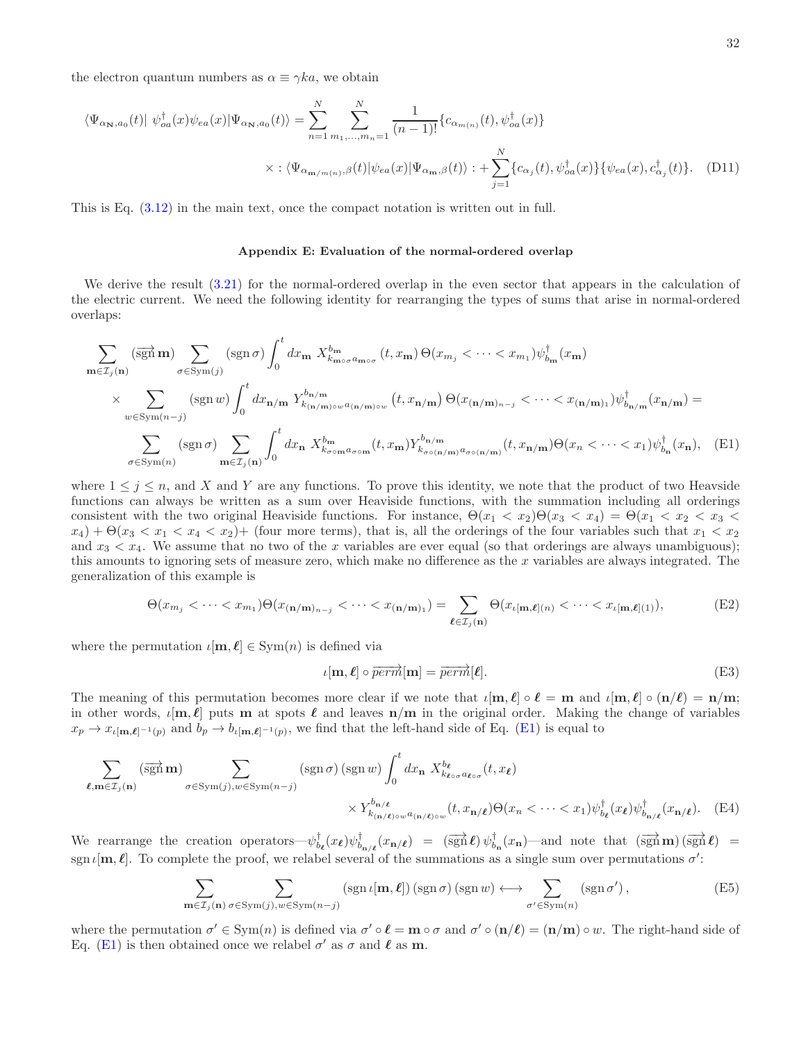the electron quantum numbers as  $\alpha \equiv \gamma k a$ , we obtain

$$
\langle \Psi_{\alpha_{\mathbf{N}},a_0}(t) | \psi_{oa}^{\dagger}(x) \psi_{ea}(x) | \Psi_{\alpha_{\mathbf{N}},a_0}(t) \rangle = \sum_{n=1}^{N} \sum_{m_1,...,m_n=1}^{N} \frac{1}{(n-1)!} \{c_{\alpha_{m(n)}}(t), \psi_{oa}^{\dagger}(x)\}
$$

$$
\times : \langle \Psi_{\alpha_{\mathbf{m}/m(n)},\beta}(t) | \psi_{ea}(x) | \Psi_{\alpha_{\mathbf{m}},\beta}(t) \rangle : + \sum_{j=1}^{N} \{c_{\alpha_j}(t), \psi_{oa}^{\dagger}(x)\} \{ \psi_{ea}(x), c_{\alpha_j}^{\dagger}(t) \}.
$$
 (D11)

This is Eq. [\(3.12\)](#page-12-1) in the main text, once the compact notation is written out in full.

# <span id="page-31-0"></span>Appendix E: Evaluation of the normal-ordered overlap

We derive the result [\(3.21\)](#page-13-0) for the normal-ordered overlap in the even sector that appears in the calculation of the electric current. We need the following identity for rearranging the types of sums that arise in normal-ordered overlaps:

$$
\sum_{\mathbf{m}\in\mathcal{I}_{j}(\mathbf{n})} (\overrightarrow{\operatorname{sgn}}\mathbf{m}) \sum_{\sigma\in\operatorname{Sym}(j)} (\operatorname{sgn}\sigma) \int_{0}^{t} dx_{\mathbf{m}} X_{k_{\mathbf{m}\circ\sigma}a_{\mathbf{m}\circ\sigma}}^{b_{\mathbf{m}}} (t, x_{\mathbf{m}}) \Theta(x_{m_{j}} < \cdots < x_{m_{1}}) \psi_{b_{\mathbf{m}}}^{\dagger} (x_{\mathbf{m}})
$$
\n
$$
\times \sum_{w\in\operatorname{Sym}(n-j)} (\operatorname{sgn} w) \int_{0}^{t} dx_{\mathbf{n}/\mathbf{m}} Y_{k_{(\mathbf{n}/\mathbf{m})\circ w}a_{(\mathbf{n}/\mathbf{m})\circ w}}^{b_{\mathbf{n}/\mathbf{m}}} (t, x_{\mathbf{n}/\mathbf{m}}) \Theta(x_{(\mathbf{n}/\mathbf{m})_{n-j}} < \cdots < x_{(\mathbf{n}/\mathbf{m})_{1}}) \psi_{b_{\mathbf{n}/\mathbf{m}}}^{\dagger} (x_{\mathbf{n}/\mathbf{m}}) =
$$
\n
$$
\sum_{\sigma\in\operatorname{Sym}(n)} (\operatorname{sgn}\sigma) \sum_{\mathbf{m}\in\mathcal{I}_{j}(\mathbf{n})} \int_{0}^{t} dx_{\mathbf{n}} X_{k_{\sigma\circ\mathbf{m}}a_{\sigma\circ\mathbf{m}}}^{b_{\mathbf{m}}} (t, x_{\mathbf{m}}) Y_{k_{\sigma\circ(\mathbf{n}/\mathbf{m})}a_{\sigma\circ(\mathbf{n}/\mathbf{m}})}^{b_{\mathbf{n}/\mathbf{m}}} (t, x_{\mathbf{n}/\mathbf{m}}) \Theta(x_{n} < \cdots < x_{1}) \psi_{b_{\mathbf{n}}}^{\dagger} (x_{\mathbf{n}}), \quad \text{(E1)}
$$

where  $1 \leq j \leq n$ , and X and Y are any functions. To prove this identity, we note that the product of two Heavside functions can always be written as a sum over Heaviside functions, with the summation including all orderings consistent with the two original Heaviside functions. For instance,  $\Theta(x_1 < x_2)\Theta(x_3 < x_4) = \Theta(x_1 < x_2 < x_3$  $x_4$ ) +  $\Theta(x_3 < x_1 < x_4 < x_2$ ) + (four more terms), that is, all the orderings of the four variables such that  $x_1 < x_2$ and  $x_3 < x_4$ . We assume that no two of the x variables are ever equal (so that orderings are always unambiguous); this amounts to ignoring sets of measure zero, which make no difference as the  $x$  variables are always integrated. The generalization of this example is

$$
\Theta(x_{m_j} < \cdots < x_{m_1})\Theta(x_{(\mathbf{n/m})_{n-j}} < \cdots < x_{(\mathbf{n/m})_1}) = \sum_{\ell \in \mathcal{I}_j(\mathbf{n})} \Theta(x_{\ell[\mathbf{m},\ell](n)} < \cdots < x_{\ell[\mathbf{m},\ell](1)}),\tag{E2}
$$

where the permutation  $\iota[\mathbf{m}, \ell] \in \text{Sym}(n)$  is defined via

<span id="page-31-1"></span>
$$
\iota[\mathbf{m}, \ell] \circ \overrightarrow{perm}[\mathbf{m}] = \overrightarrow{perm}[\ell]. \tag{E3}
$$

The meaning of this permutation becomes more clear if we note that  $\iota[\mathbf{m}, \ell] \circ \ell = \mathbf{m}$  and  $\iota[\mathbf{m}, \ell] \circ (\mathbf{n}/\ell) = \mathbf{n}/\mathbf{m}$ ; in other words,  $\iota[m,\ell]$  puts m at spots  $\ell$  and leaves  $n/m$  in the original order. Making the change of variables  $x_p \to x_{\iota[m,\ell]^{-1}(p)}$  and  $b_p \to b_{\iota[m,\ell]^{-1}(p)}$ , we find that the left-hand side of Eq. [\(E1\)](#page-31-1) is equal to

$$
\sum_{\ell,m\in\mathcal{I}_j(n)} (\overrightarrow{\operatorname{sgn}}\,m) \sum_{\sigma \in \operatorname{Sym}(j), w \in \operatorname{Sym}(n-j)} (\operatorname{sgn}\sigma) (\operatorname{sgn} w) \int_0^t dx_n \; X_{k_{\ell\circ\sigma}a_{\ell\circ\sigma}}^{b_{\ell}}(t, x_{\ell}) \times Y_{k_{(\sigma/\ell)\circ w}a_{(\sigma/\ell)\circ w}}^{b_{\sigma/\ell}}(t, x_{\mu/\ell}) \Theta(x_n < \cdots < x_1) \psi_{b_{\ell}}^{\dagger}(x_{\ell}) \psi_{b_{\pi/\ell}}^{\dagger}(x_{\pi/\ell}). \tag{E4}
$$

We rearrange the creation operators— $\psi_{b_{\mathbf{k}}}(x_{\mathbf{k}})\psi_{b_{\mathbf{n}}/\ell}^{\dagger}(x_{\mathbf{n}}/\ell) = (\overrightarrow{\text{sgn}}\ell)\psi_{b_{\mathbf{n}}}^{\dagger}(x_{\mathbf{n}})$ —and note that  $(\overrightarrow{\text{sgn}}\mathbf{m})(\overrightarrow{\text{sgn}}\ell) =$ sgn  $\iota[m,\ell]$ . To complete the proof, we relabel several of the summations as a single sum over permutations  $\sigma'$ :

$$
\sum_{\mathbf{m}\in\mathcal{I}_j(\mathbf{n})}\sum_{\sigma\in\text{Sym}(j),w\in\text{Sym}(n-j)}\left(\text{sgn}\,\iota[\mathbf{m},\boldsymbol{\ell}]\right)\left(\text{sgn}\,\sigma\right)\left(\text{sgn}\,w\right)\longleftrightarrow\sum_{\sigma'\in\text{Sym}(n)}\left(\text{sgn}\,\sigma'\right),\tag{E5}
$$

where the permutation  $\sigma' \in \text{Sym}(n)$  is defined via  $\sigma' \circ \ell = \mathbf{m} \circ \sigma$  and  $\sigma' \circ (\mathbf{n}/\ell) = (\mathbf{n}/\mathbf{m}) \circ w$ . The right-hand side of Eq. [\(E1\)](#page-31-1) is then obtained once we relabel  $\sigma'$  as  $\sigma$  and  $\ell$  as  $m$ .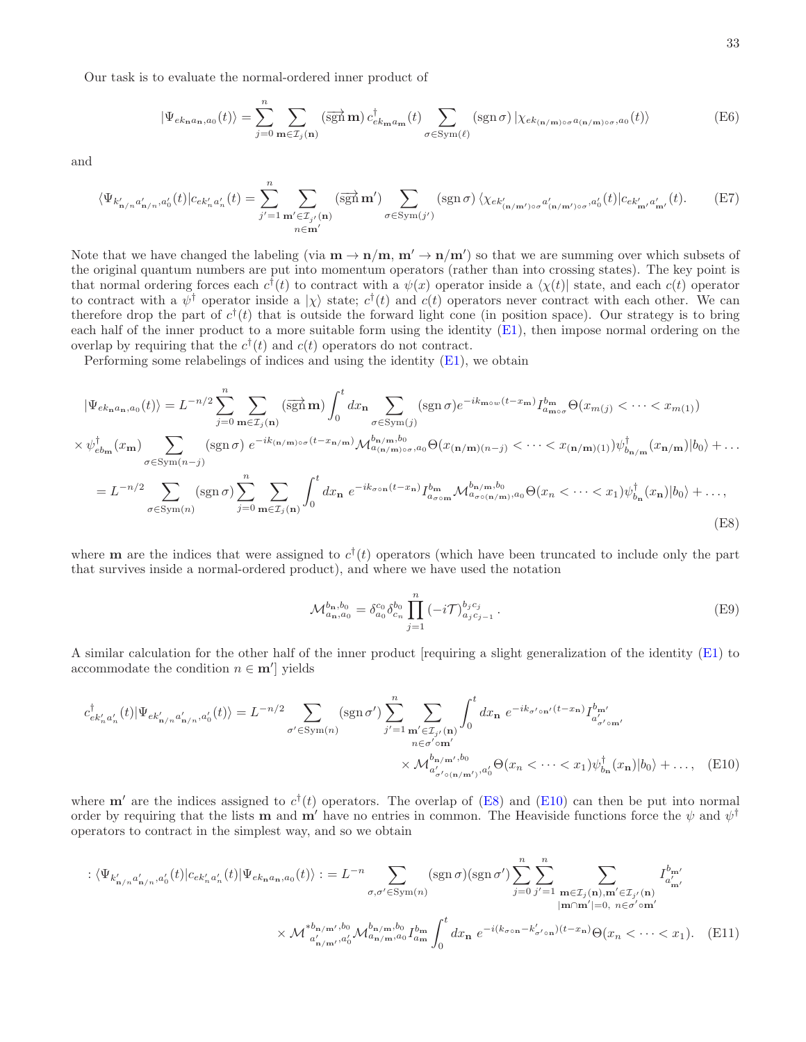Our task is to evaluate the normal-ordered inner product of

$$
|\Psi_{ek_{\mathbf{n}}a_{\mathbf{n}},a_{0}}(t)\rangle = \sum_{j=0}^{n} \sum_{\mathbf{m}\in\mathcal{I}_{j}(\mathbf{n})} (\overrightarrow{\text{sgn}}\,\mathbf{m}) \, c_{ek_{\mathbf{m}}a_{\mathbf{m}}}^{\dagger}(t) \sum_{\sigma \in \text{Sym}(\ell)} (\text{sgn}\,\sigma) \, |\chi_{ek_{(\mathbf{n}/\mathbf{m})\circ\sigma}a_{(\mathbf{n}/\mathbf{m})\circ\sigma},a_{0}}(t)\rangle \tag{E6}
$$

and

$$
\langle \Psi_{k'_{\mathbf{n}/n}a'_{\mathbf{n}/n},a'_{0}}(t)|c_{ek'_{n}a'_{n}}(t) = \sum_{j'=1}^{n} \sum_{\substack{\mathbf{m}' \in \mathcal{I}_{j'}(\mathbf{n}) \\ n \in \mathbf{m}'}} (\overrightarrow{\operatorname{sgn}} \mathbf{m}') \sum_{\sigma \in \operatorname{Sym}(j')} (\operatorname{sgn} \sigma) \langle \chi_{ek'_{(\mathbf{n}/\mathbf{m}') \circ \sigma} a'_{(\mathbf{n}/\mathbf{m}') \circ \sigma},a'_{0}}(t)|c_{ek'_{\mathbf{m}'}a'_{\mathbf{m}'}}(t). \tag{E7}
$$

Note that we have changed the labeling (via  $\mathbf{m} \to \mathbf{n}/\mathbf{m}$ ,  $\mathbf{m}' \to \mathbf{n}/\mathbf{m}'$ ) so that we are summing over which subsets of the original quantum numbers are put into momentum operators (rather than into crossing states). The key point is that normal ordering forces each  $c^{\dagger}(t)$  to contract with a  $\psi(x)$  operator inside a  $\chi(t)$  state, and each  $c(t)$  operator to contract with a  $\psi^{\dagger}$  operator inside a  $|\chi\rangle$  state;  $c^{\dagger}(t)$  and  $c(t)$  operators never contract with each other. We can therefore drop the part of  $c^{\dagger}(t)$  that is outside the forward light cone (in position space). Our strategy is to bring each half of the inner product to a more suitable form using the identity [\(E1\)](#page-31-1), then impose normal ordering on the overlap by requiring that the  $c^{\dagger}(t)$  and  $c(t)$  operators do not contract.

Performing some relabelings of indices and using the identity  $(E1)$ , we obtain

$$
|\Psi_{ek_{\mathbf{n}}a_{\mathbf{n}},a_{0}}(t)\rangle = L^{-n/2} \sum_{j=0}^{n} \sum_{\mathbf{m}\in\mathcal{I}_{j}(\mathbf{n})} (\overrightarrow{\text{sgn}} \mathbf{m}) \int_{0}^{t} dx_{\mathbf{n}} \sum_{\sigma \in \text{Sym}(j)} (\text{sgn}\,\sigma) e^{-ik_{\mathbf{m}\circ w}(t-x_{\mathbf{m}})} I_{a_{\mathbf{m}\circ\sigma}}^{b_{\mathbf{m}}} \Theta(x_{m(j)} < \cdots < x_{m(1)})
$$
  
\n
$$
\times \psi_{eb_{\mathbf{m}}}^{\dagger}(x_{\mathbf{m}}) \sum_{\sigma \in \text{Sym}(n-j)} (\text{sgn}\,\sigma) e^{-ik_{(\mathbf{n}/\mathbf{m})\circ\sigma}(t-x_{\mathbf{n}/\mathbf{m}})} \mathcal{M}_{a_{(\mathbf{n}/\mathbf{m})\circ\sigma},a_{0}}^{b_{\mathbf{n}/\mathbf{m}},b_{0}} \Theta(x_{(\mathbf{n}/\mathbf{m})(n-j)} < \cdots < x_{(\mathbf{n}/\mathbf{m})(1)}) \psi_{b_{\mathbf{n}/\mathbf{m}}}^{\dagger}(x_{\mathbf{n}/\mathbf{m}}) |b_{0}\rangle + \cdots
$$
  
\n
$$
= L^{-n/2} \sum_{\sigma \in \text{Sym}(n)} (\text{sgn}\,\sigma) \sum_{j=0}^{n} \sum_{\mathbf{m}\in\mathcal{I}_{j}(\mathbf{n})} \int_{0}^{t} dx_{\mathbf{n}} e^{-ik_{\sigma\circ\mathbf{n}}(t-x_{\mathbf{n}})} I_{a_{\sigma\circ\mathbf{m}}}^{b_{\mathbf{m}}} \mathcal{M}_{a_{\sigma\circ(\mathbf{n}/\mathbf{m}),a_{0}}^{b_{\mathbf{n}/\mathbf{m}},b_{0}} \Theta(x_{n} < \cdots < x_{1}) \psi_{b_{\mathbf{n}}}^{\dagger}(x_{\mathbf{n}}) |b_{0}\rangle + \cdots,
$$
  
\n(E8)

where **m** are the indices that were assigned to  $c^{\dagger}(t)$  operators (which have been truncated to include only the part that survives inside a normal-ordered product), and where we have used the notation

<span id="page-32-1"></span><span id="page-32-0"></span>
$$
\mathcal{M}_{a_{n},a_{0}}^{b_{n},b_{0}} = \delta_{a_{0}}^{c_{0}} \delta_{c_{n}}^{b_{0}} \prod_{j=1}^{n} (-i\mathcal{T})_{a_{j}c_{j-1}}^{b_{j}c_{j}}.
$$
 (E9)

A similar calculation for the other half of the inner product [requiring a slight generalization of the identity [\(E1\)](#page-31-1) to accommodate the condition  $n \in \mathbf{m}'$  yields

$$
c_{ek'_na'_n}^{\dagger}(t)|\Psi_{ek'_{\mathbf{n}/n}a'_{\mathbf{n}/n},a'_0}(t)\rangle = L^{-n/2} \sum_{\sigma' \in \text{Sym}(n)} (\text{sgn }\sigma') \sum_{j'=1}^n \sum_{\substack{\mathbf{m}' \in \mathcal{I}_{j'}(\mathbf{n}) \\ n \in \sigma' \text{ om}'}} \int_0^t dx_\mathbf{n} \ e^{-ik_{\sigma' \circ \mathbf{n}'}(t-x_\mathbf{n})} I_{a'_{\sigma' \circ \mathbf{m}'}}^{b_{\mathbf{m}'}} \\ \times \mathcal{M}_{a'_{\sigma' \circ (\mathbf{n}/\mathbf{m}')},a'_0}^{b_{\mathbf{n}/\mathbf{m}'}(b)} \Theta(x_n < \cdots < x_1) \psi_{b_\mathbf{n}}^{\dagger}(x_\mathbf{n})|b_0\rangle + \ldots, \tag{E10}
$$

where  $\mathbf{m}'$  are the indices assigned to  $c^{\dagger}(t)$  operators. The overlap of [\(E8\)](#page-32-0) and [\(E10\)](#page-32-1) can then be put into normal order by requiring that the lists **m** and **m'** have no entries in common. The Heaviside functions force the  $\psi$  and  $\psi^{\dagger}$ operators to contract in the simplest way, and so we obtain

$$
\begin{split} \n& \left. \langle \Psi_{k'_{\mathbf{n}/n}a'_{\mathbf{n}/n},a'_{0}}(t) | c_{ek'_{n}a'_{n}}(t) | \Psi_{ek_{\mathbf{n}}a_{\mathbf{n},a_{0}}}(t) \rangle \right. \\
& \left. \left. \langle \Psi_{k'_{\mathbf{n}/n}a'_{\mathbf{n}/n},a'_{0}}(t) | c_{ek'_{n}a'_{n}}(t) | \Psi_{ek_{\mathbf{n}}a_{\mathbf{n},a_{0}}}(t) \rangle \right. \\
& \left. \right. \\
&\left. \langle \Psi_{k'_{\mathbf{n}/m}a'_{\mathbf{n}}} \right\rangle_{\mathcal{J} \right) = 0 \, \text{sign}(\sigma) \sum_{j=0}^{n} \sum_{j'=1}^{n} \sum_{\mathbf{m} \in \mathcal{I}_{j}(\mathbf{n}), \mathbf{m}' \in \mathcal{I}_{j'}(\mathbf{n})} I_{a'_{\mathbf{n}'}}^{b_{\mathbf{m}'}} \\ \n& \times \mathcal{M}^{*b_{\mathbf{n}/m},b_{0}}_{a'_{\mathbf{n}/m},a_{0}} \mathcal{M}^{b_{\mathbf{n}/m},b_{0}}_{a_{\mathbf{n}/m},a_{0}} I_{a_{\mathbf{m}}}^{b_{\mathbf{m}}} \int_{0}^{t} dx_{\mathbf{n}} \ e^{-i(k_{\sigma \circ \mathbf{n}} - k'_{\sigma' \circ \mathbf{n}})(t-x_{\mathbf{n}})} \Theta(x_{n} < \cdots < x_{1}).\n\end{split} \tag{E11}
$$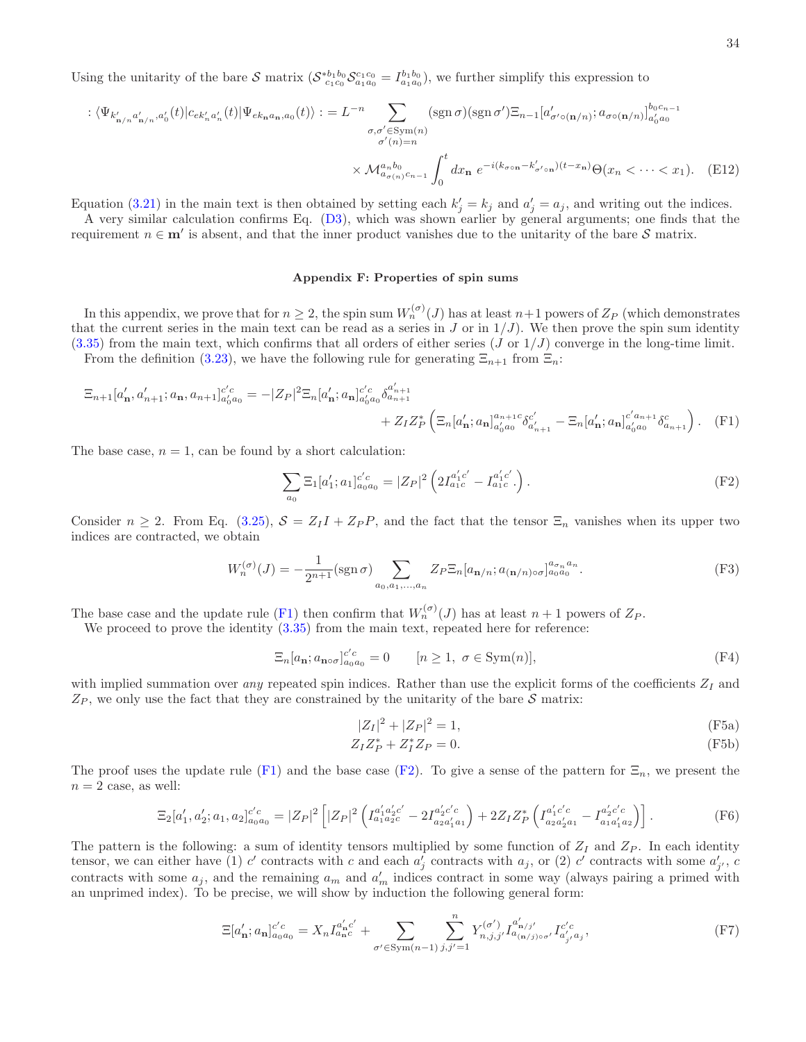Using the unitarity of the bare S matrix  $(S_{c_1c_0}^{*b_1b_0}S_{a_1a_0}^{c_1c_0} = I_{a_1a_0}^{b_1b_0}),$  we further simplify this expression to

$$
\langle \Psi_{k'_{\mathbf{n}/n}a'_{\mathbf{n}/n},a'_{0}}(t)|c_{ek'_{n}a'_{n}}(t)|\Psi_{ek_{\mathbf{n}}a_{\mathbf{n}},a_{0}}(t)\rangle := L^{-n}\sum_{\substack{\sigma,\sigma' \in \text{Sym}(n) \\ \sigma'(n)=n}}(\text{sgn }\sigma)(\text{sgn }\sigma')\Xi_{n-1}[a'_{\sigma' \circ (\mathbf{n}/n)};a_{\sigma \circ (\mathbf{n}/n)}]_{a'_{0}a_{0}}^{b_{0}c_{n-1}} \times \mathcal{M}_{a_{\sigma(n)}c_{n-1}}^{a_{n}b_{0}} \int_{0}^{t} dx_{\mathbf{n}} e^{-i(k_{\sigma \circ \mathbf{n}}-k'_{\sigma' \circ \mathbf{n}})(t-x_{\mathbf{n}})}\Theta(x_{n} < \cdots < x_{1}).
$$
 (E12)

Equation [\(3.21\)](#page-13-0) in the main text is then obtained by setting each  $k'_j = k_j$  and  $a'_j = a_j$ , and writing out the indices.

A very similar calculation confirms Eq. [\(D3\)](#page-29-1), which was shown earlier by general arguments; one finds that the requirement  $n \in \mathbf{m}'$  is absent, and that the inner product vanishes due to the unitarity of the bare S matrix.

#### <span id="page-33-0"></span>Appendix F: Properties of spin sums

In this appendix, we prove that for  $n \geq 2$ , the spin sum  $W_n^{(\sigma)}(J)$  has at least  $n+1$  powers of  $Z_P$  (which demonstrates that the current series in the main text can be read as a series in J or in  $1/J$ ). We then prove the spin sum identity  $(3.35)$  from the main text, which confirms that all orders of either series (J or  $1/J$ ) converge in the long-time limit. From the definition [\(3.23\)](#page-13-3), we have the following rule for generating  $\Xi_{n+1}$  from  $\Xi_n$ :

$$
\Xi_{n+1}[a'_{\mathbf{n}}, a'_{n+1}; a_{\mathbf{n}}, a_{n+1}]^{c'c}_{a'_{0}a_{0}} = -|Z_{P}|^{2}\Xi_{n}[a'_{\mathbf{n}}; a_{\mathbf{n}}]^{c'c}_{a'_{0}a_{0}}\delta^{a'_{n+1}}_{a_{n+1}} + Z_{I}Z_{P}^{*}\left(\Xi_{n}[a'_{\mathbf{n}}; a_{\mathbf{n}}]^{a_{n+1}c}_{a'_{0}a_{0}}\delta^{c'}_{a'_{n+1}} - \Xi_{n}[a'_{\mathbf{n}}; a_{\mathbf{n}}]^{c'a_{n+1}}_{a'_{0}a_{0}}\delta^{c'}_{a_{n+1}}\right).
$$
(F1)

The base case,  $n = 1$ , can be found by a short calculation:

<span id="page-33-2"></span><span id="page-33-1"></span>
$$
\sum_{a_0} \Xi_1[a'_1; a_1]_{a_0 a_0}^{c'c} = |Z_P|^2 \left( 2I_{a_1c}^{a'_1c'} - I_{a_1c}^{a'_1c'} \right).
$$
 (F2)

Consider  $n \geq 2$ . From Eq. [\(3.25\)](#page-14-2),  $S = Z_I I + Z_P P$ , and the fact that the tensor  $\Xi_n$  vanishes when its upper two indices are contracted, we obtain

$$
W_n^{(\sigma)}(J) = -\frac{1}{2^{n+1}} (\text{sgn}\,\sigma) \sum_{a_0, a_1, \dots, a_n} Z_P \Xi_n [a_{\mathbf{n}/n}; a_{(\mathbf{n}/n)\circ\sigma}]_{a_0 a_0}^{a_{\sigma_n} a_n}.
$$
 (F3)

The base case and the update rule [\(F1\)](#page-33-1) then confirm that  $W_n^{(\sigma)}(J)$  has at least  $n+1$  powers of  $Z_P$ .

We proceed to prove the identity  $(3.35)$  from the main text, repeated here for reference:

<span id="page-33-4"></span>
$$
\Xi_n[a_{\mathbf{n}}; a_{\mathbf{n}\circ\sigma}]_{a_0 a_0}^{c'c} = 0 \qquad [n \ge 1, \ \sigma \in \text{Sym}(n)], \tag{F4}
$$

with implied summation over any repeated spin indices. Rather than use the explicit forms of the coefficients  $Z_I$  and  $Z_P$ , we only use the fact that they are constrained by the unitarity of the bare  $S$  matrix:

$$
|Z_I|^2 + |Z_P|^2 = 1,
$$
 (F5a)

$$
Z_I Z_P^* + Z_I^* Z_P = 0. \tag{F5b}
$$

The proof uses the update rule [\(F1\)](#page-33-1) and the base case [\(F2\)](#page-33-2). To give a sense of the pattern for  $\Xi_n$ , we present the  $n = 2$  case, as well:

$$
\Xi_2[a'_1, a'_2; a_1, a_2]_{a_0 a_0}^{c'c} = |Z_P|^2 \left[ |Z_P|^2 \left( I_{a_1 a_2 c}^{a'_1 a'_2 c'} - 2 I_{a_2 a'_1 a_1}^{a'_2 c'c} \right) + 2 Z_I Z_P^* \left( I_{a_2 a'_2 a_1}^{a'_1 c'c} - I_{a_1 a'_1 a_2}^{a'_2 c'c} \right) \right]. \tag{F6}
$$

The pattern is the following: a sum of identity tensors multiplied by some function of  $Z_I$  and  $Z_P$ . In each identity tensor, we can either have (1) c' contracts with c and each  $a'_j$  contracts with  $a_j$ , or (2) c' contracts with some  $a'_{j'}$ , c contracts with some  $a_j$ , and the remaining  $a_m$  and  $a'_m$  indices contract in some way (always pairing a primed with an unprimed index). To be precise, we will show by induction the following general form:

<span id="page-33-3"></span>
$$
\Xi[a'_{n};a_{n}]_{a_{0}a_{0}}^{c'c} = X_{n}I_{a_{n}c}^{a'_{n}c'} + \sum_{\sigma' \in \text{Sym}(n-1)} \sum_{j,j'=1}^{n} Y_{n,j,j'}^{(\sigma')} I_{a_{(n/j)\circ\sigma'}}^{a'_{n/j'}} I_{a'_{j'}a_{j}}^{c'c}, \tag{F7}
$$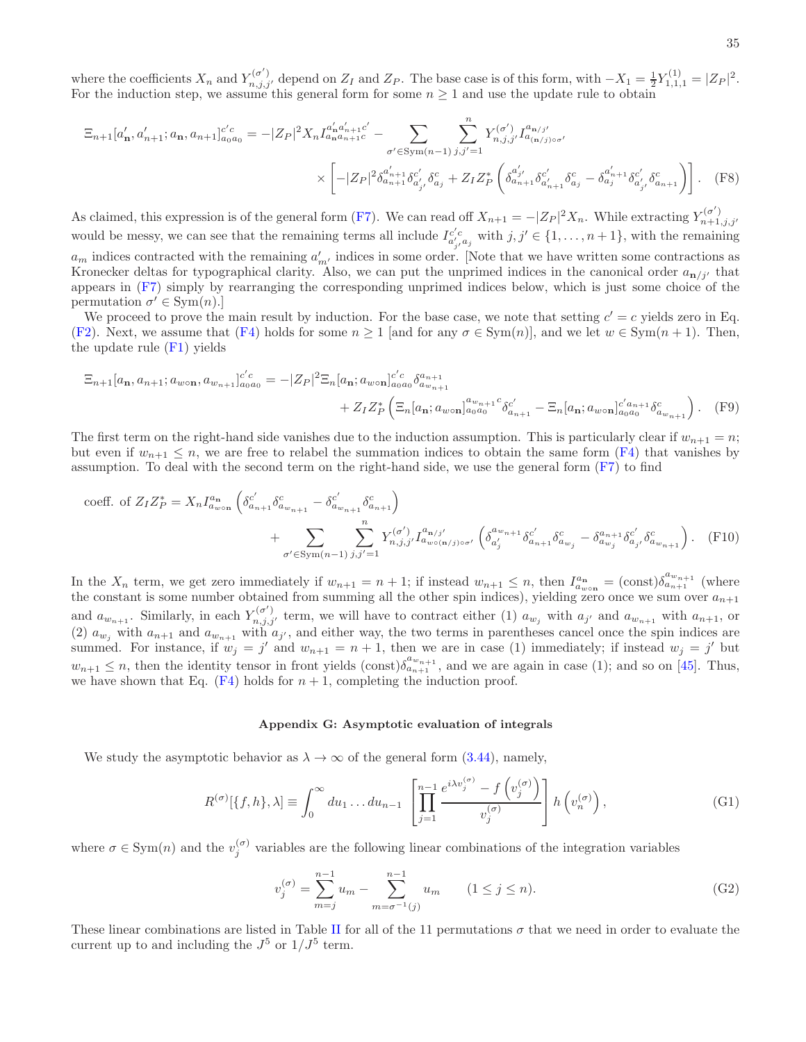where the coefficients  $X_n$  and  $Y_{n,j,j'}^{(\sigma')}$  depend on  $Z_I$  and  $Z_P$ . The base case is of this form, with  $-X_1 = \frac{1}{2} Y_{1,1,1}^{(1)} = |Z_P|^2$ . For the induction step, we assume this general form for some  $n \geq 1$  and use the update rule to obtain

$$
\Xi_{n+1}[a'_{n}, a'_{n+1}; a_{n}, a_{n+1}]_{a_{0}a_{0}}^{c'c} = -|Z_{P}|^{2} X_{n} I_{a_{n}a_{n+1}c}^{a'_{n}a'_{n+1}c'} - \sum_{\sigma' \in \text{Sym}(n-1)} \sum_{j,j'=1}^{n} Y_{n,j,j'}^{(\sigma')} I_{a_{n,j}j}^{a_{n,j'}} \times \left[ -|Z_{P}|^{2} \delta_{a_{n+1}a_{n+1}c_{a'_{j'}}}^{a'_{n+1}} \delta_{a'_{j'}}^{c'} \delta_{a_{j}}^{c} + Z_{I} Z_{P}^{*} \left( \delta_{a_{n+1}a_{n+1}c_{a'_{n+1}}}^{a'_{n,j}} \delta_{a'_{n}}^{c'} - \delta_{a_{j}a_{n+1}c_{a'_{n'}}}^{a'_{n+1}} \delta_{a'_{j'}}^{c'} \delta_{a_{n+1}}^{c} \right) \right]. \tag{F8}
$$

As claimed, this expression is of the general form [\(F7\)](#page-33-3). We can read off  $X_{n+1} = -|Z_P|^2 X_n$ . While extracting  $Y_{n+1,j,j'}^{(\sigma')}$ would be messy, we can see that the remaining terms all include  $I_{a'_{j},a_{j}}^{c'c}$  with  $j,j' \in \{1,\ldots,n+1\}$ , with the remaining  $a_m$  indices contracted with the remaining  $a'_{m'}$  indices in some order. [Note that we have written some contractions as Kronecker deltas for typographical clarity. Also, we can put the unprimed indices in the canonical order  $a_{n/ii'}$  that appears in [\(F7\)](#page-33-3) simply by rearranging the corresponding unprimed indices below, which is just some choice of the permutation  $\sigma' \in \text{Sym}(n)$ .

We proceed to prove the main result by induction. For the base case, we note that setting  $c' = c$  yields zero in Eq. [\(F2\)](#page-33-2). Next, we assume that [\(F4\)](#page-33-4) holds for some  $n \ge 1$  [and for any  $\sigma \in \text{Sym}(n)$ ], and we let  $w \in \text{Sym}(n + 1)$ . Then, the update rule [\(F1\)](#page-33-1) yields

$$
\Xi_{n+1}[a_{n}, a_{n+1}; a_{w \text{on}}, a_{w_{n+1}}]_{a_{0}a_{0}}^{c'c} = -|Z_{P}|^{2} \Xi_{n}[a_{n}; a_{w \text{on}}]_{a_{0}a_{0}}^{c'c} \delta_{a_{w_{n+1}}}^{a_{n+1}}
$$
\n
$$
+ Z_{I}Z_{P}^{*}\left(\Xi_{n}[a_{n}; a_{w \text{on}}]_{a_{0}a_{0}}^{a_{w_{n+1}}} \delta_{a_{n+1}}^{c'} - \Xi_{n}[a_{n}; a_{w \text{on}}]_{a_{0}a_{0}}^{c'a_{n+1}} \delta_{a_{w_{n+1}}}^{c'}\right). \tag{F9}
$$

The first term on the right-hand side vanishes due to the induction assumption. This is particularly clear if  $w_{n+1} = n$ ; but even if  $w_{n+1} \leq n$ , we are free to relabel the summation indices to obtain the same form [\(F4\)](#page-33-4) that vanishes by assumption. To deal with the second term on the right-hand side, we use the general form [\(F7\)](#page-33-3) to find

coeff. of 
$$
Z_IZ_P^* = X_n I_{a_{w \circ n}}^{a_n} \left( \delta_{a_{n+1}}^{c'} \delta_{a_{w_{n+1}}}^{c} - \delta_{a_{w_{n+1}}}^{c'} \delta_{a_{n+1}}^c \right)
$$
  
+ 
$$
\sum_{\sigma' \in \text{Sym}(n-1)} \sum_{j,j'=1}^n Y_{n,j,j'}^{(\sigma')} I_{a_{w \circ (n/j)\circ\sigma'}}^{a_{n/j'}} \left( \delta_{a'_j}^{a_{w_{n+1}}} \delta_{a_{m_j}}^{c'} - \delta_{a_{w_j}}^{a_{n+1}} \delta_{a'_{j'}}^{c'} \delta_{a_{w_{n+1}}}^{c} \right).
$$
 (F10)

In the  $X_n$  term, we get zero immediately if  $w_{n+1} = n+1$ ; if instead  $w_{n+1} \leq n$ , then  $I_{a_{w \circ n}}^{a_n} = (\text{const}) \delta_{a_{n+1}}^{a_{w_{n+1}}}$  (where the constant is some number obtained from summing all the other spin indices), yielding zero once we sum over  $a_{n+1}$ and  $a_{w_{n+1}}$ . Similarly, in each  $Y_{n,j,j'}^{(\sigma')}$  term, we will have to contract either (1)  $a_{w_j}$  with  $a_{j'}$  and  $a_{w_{n+1}}$  with  $a_{n+1}$ , or (2)  $a_{w_j}$  with  $a_{n+1}$  and  $a_{w_{n+1}}$  with  $a_{j'}$ , and either way, the two terms in parentheses cancel once the spin indices are summed. For instance, if  $w_j = j'$  and  $w_{n+1} = n+1$ , then we are in case (1) immediately; if instead  $w_j = j'$  but  $w_{n+1} \leq n$ , then the identity tensor in front yields  $(\text{const})\delta_{a_{n+1}}^{a_{w_{n+1}}}$ , and we are again in case (1); and so on [\[45](#page-42-27)]. Thus, we have shown that Eq.  $(F4)$  holds for  $n + 1$ , completing the induction proof.

#### <span id="page-34-0"></span>Appendix G: Asymptotic evaluation of integrals

We study the asymptotic behavior as  $\lambda \to \infty$  of the general form [\(3.44\)](#page-17-1), namely,

$$
R^{(\sigma)}[\{f,h\},\lambda] \equiv \int_0^\infty du_1 \dots du_{n-1} \left[ \prod_{j=1}^{n-1} \frac{e^{i\lambda v_j^{(\sigma)}} - f(v_j^{(\sigma)})}{v_j^{(\sigma)}} \right] h(v_n^{(\sigma)}) ,\tag{G1}
$$

where  $\sigma \in \text{Sym}(n)$  and the  $v_j^{(\sigma)}$  variables are the following linear combinations of the integration variables

$$
v_j^{(\sigma)} = \sum_{m=j}^{n-1} u_m - \sum_{m=\sigma^{-1}(j)}^{n-1} u_m \qquad (1 \le j \le n). \tag{G2}
$$

These linear combinations are listed in Table [II](#page-35-0) for all of the 11 permutations  $\sigma$  that we need in order to evaluate the current up to and including the  $J^5$  or  $1/J^5$  term.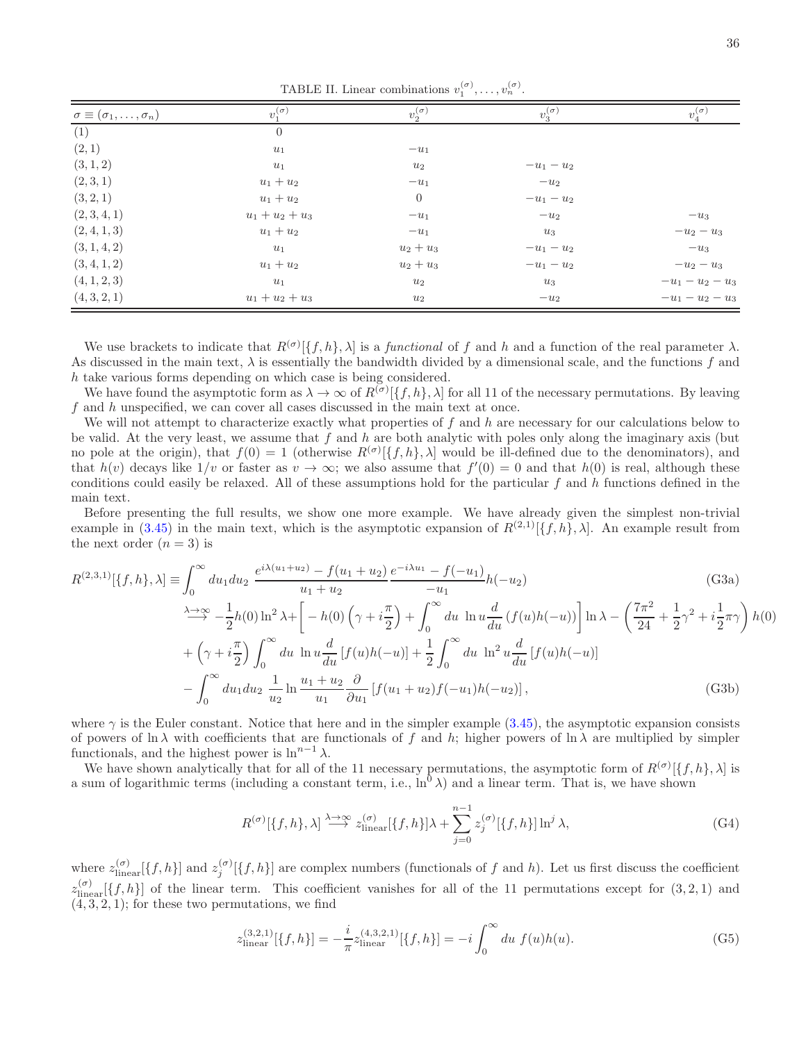<span id="page-35-0"></span>TABLE II. Linear combinations  $v_1^{(\sigma)}, \ldots, v_n^{(\sigma)}$ .

| $\sigma \equiv (\sigma_1, \ldots, \sigma_n)$ | $v_1^{(\sigma)}$  | $v_2^{(\sigma)}$ | $v_3^{(\sigma)}$ | $v_4^{(\sigma)}$ |
|----------------------------------------------|-------------------|------------------|------------------|------------------|
| (1)                                          | $\overline{0}$    |                  |                  |                  |
| (2,1)                                        | $u_1$             | $-u_1$           |                  |                  |
| (3, 1, 2)                                    | $u_1$             | $u_2$            | $-u_1-u_2$       |                  |
| (2,3,1)                                      | $u_1 + u_2$       | $-u_1$           | $-u_2$           |                  |
| (3, 2, 1)                                    | $u_1 + u_2$       | $\boldsymbol{0}$ | $-u_1-u_2$       |                  |
| (2,3,4,1)                                    | $u_1 + u_2 + u_3$ | $-u_1$           | $-u_2$           | $-u_3$           |
| (2,4,1,3)                                    | $u_1 + u_2$       | $-u_1$           | $u_3$            | $-u_2-u_3$       |
| (3, 1, 4, 2)                                 | $u_1$             | $u_2 + u_3$      | $-u_1-u_2$       | $-u_3$           |
| (3, 4, 1, 2)                                 | $u_1 + u_2$       | $u_2 + u_3$      | $-u_1-u_2$       | $-u_2-u_3$       |
| (4, 1, 2, 3)                                 | $u_1$             | $u_2$            | $u_3$            | $-u_1-u_2-u_3$   |
| (4,3,2,1)                                    | $u_1 + u_2 + u_3$ | $u_2$            | $-u_2$           | $-u_1-u_2-u_3$   |

We use brackets to indicate that  $R^{(\sigma)}[\{f, h\}, \lambda]$  is a *functional* of f and h and a function of the real parameter  $\lambda$ . As discussed in the main text,  $\lambda$  is essentially the bandwidth divided by a dimensional scale, and the functions f and h take various forms depending on which case is being considered.

We have found the asymptotic form as  $\lambda \to \infty$  of  $R^{(\sigma)}[\{f, h\}, \lambda]$  for all 11 of the necessary permutations. By leaving f and h unspecified, we can cover all cases discussed in the main text at once.

We will not attempt to characterize exactly what properties of  $f$  and  $h$  are necessary for our calculations below to be valid. At the very least, we assume that f and h are both analytic with poles only along the imaginary axis (but no pole at the origin), that  $f(0) = 1$  (otherwise  $R^{(\sigma)}[\{f, h\}, \lambda]$  would be ill-defined due to the denominators), and that  $h(v)$  decays like  $1/v$  or faster as  $v \to \infty$ ; we also assume that  $f'(0) = 0$  and that  $h(0)$  is real, although these conditions could easily be relaxed. All of these assumptions hold for the particular  $f$  and  $h$  functions defined in the main text.

Before presenting the full results, we show one more example. We have already given the simplest non-trivial example in [\(3.45\)](#page-17-2) in the main text, which is the asymptotic expansion of  $R^{(2,1)}[\{f,h\},\lambda]$ . An example result from the next order  $(n = 3)$  is

$$
R^{(2,3,1)}[\{f,h\},\lambda] \equiv \int_0^\infty du_1 du_2 \frac{e^{i\lambda(u_1+u_2)} - f(u_1+u_2)}{u_1+u_2} \frac{e^{-i\lambda u_1} - f(-u_1)}{-u_1}h(-u_2)
$$
(G3a)  
\n
$$
\xrightarrow{\lambda \to \infty} -\frac{1}{2}h(0)\ln^2 \lambda + \left[-h(0)\left(\gamma + i\frac{\pi}{2}\right) + \int_0^\infty du \ln u \frac{d}{du}(f(u)h(-u))\right] \ln \lambda - \left(\frac{7\pi^2}{24} + \frac{1}{2}\gamma^2 + i\frac{1}{2}\pi\gamma\right)h(0)
$$
\n
$$
+ \left(\gamma + i\frac{\pi}{2}\right) \int_0^\infty du \ln u \frac{d}{du}[f(u)h(-u)] + \frac{1}{2} \int_0^\infty du \ln^2 u \frac{d}{du}[f(u)h(-u)]
$$
\n
$$
- \int_0^\infty du_1 du_2 \frac{1}{u_2} \ln \frac{u_1+u_2}{u_1} \frac{\partial}{\partial u_1}[f(u_1+u_2)f(-u_1)h(-u_2)], \tag{G3b}
$$

where  $\gamma$  is the Euler constant. Notice that here and in the simpler example [\(3.45\)](#page-17-2), the asymptotic expansion consists of powers of ln  $\lambda$  with coefficients that are functionals of f and h; higher powers of ln  $\lambda$  are multiplied by simpler functionals, and the highest power is  $\ln^{n-1} \lambda$ .

We have shown analytically that for all of the 11 necessary permutations, the asymptotic form of  $R^{(\sigma)}[\{f, h\}, \lambda]$  is a sum of logarithmic terms (including a constant term, i.e.,  $\ln^0 \lambda$ ) and a linear term. That is, we have shown

<span id="page-35-1"></span>
$$
R^{(\sigma)}[\{f,h\},\lambda] \stackrel{\lambda \to \infty}{\longrightarrow} z_{\text{linear}}^{(\sigma)}[\{f,h\}]\lambda + \sum_{j=0}^{n-1} z_j^{(\sigma)}[\{f,h\}] \ln^j \lambda,
$$
 (G4)

where  $z_{\text{linear}}^{(\sigma)}[\{f, h\}]$  and  $z_j^{(\sigma)}[\{f, h\}]$  are complex numbers (functionals of f and h). Let us first discuss the coefficient  $z_{\text{linear}}^{(\sigma)}[\{f, h\}]$  of the linear term. This coefficient vanishes for all of the 11 permutations except for  $(3, 2, 1)$  and  $(4, 3, 2, 1)$ ; for these two permutations, we find

$$
z_{\text{linear}}^{(3,2,1)}[\{f,h\}] = -\frac{i}{\pi} z_{\text{linear}}^{(4,3,2,1)}[\{f,h\}] = -i \int_0^\infty du \ f(u)h(u). \tag{G5}
$$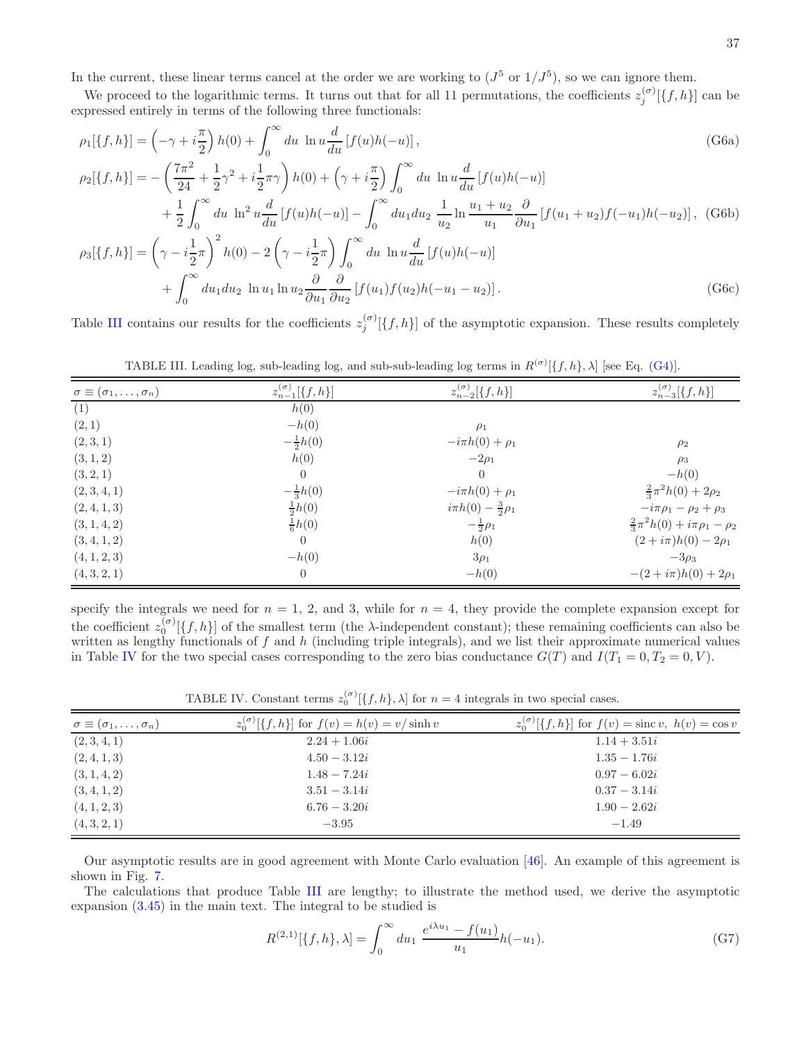In the current, these linear terms cancel at the order we are working to  $(J^5 \text{ or } 1/J^5)$ , so we can ignore them.

We proceed to the logarithmic terms. It turns out that for all 11 permutations, the coefficients  $z_j^{(\sigma)}[\{f, h\}]$  can be expressed entirely in terms of the following three functionals:

$$
\rho_1[\{f, h\}] = \left(-\gamma + i\frac{\pi}{2}\right)h(0) + \int_0^\infty du \ln u \frac{d}{du} [f(u)h(-u)],
$$
\n
$$
\rho_2[\{f, h\}] = -\left(\frac{7\pi^2}{24} + \frac{1}{2}\gamma^2 + i\frac{1}{2}\pi\gamma\right)h(0) + \left(\gamma + i\frac{\pi}{2}\right)\int_0^\infty du \ln u \frac{d}{du}[f(u)h(-u)]
$$
\n
$$
+ \frac{1}{2}\int_0^\infty du \ln^2 u \frac{d}{du}[f(u)h(-u)] - \int_0^\infty du_1 du_2 \frac{1}{u_2} \ln \frac{u_1 + u_2}{u_1} \frac{\partial}{\partial u_1}[f(u_1 + u_2)f(-u_1)h(-u_2)],
$$
\n
$$
\rho_3[\{f, h\}] = \left(\gamma - i\frac{1}{2}\pi\right)^2 h(0) - 2\left(\gamma - i\frac{1}{2}\pi\right)\int_0^\infty du \ln u \frac{d}{du}[f(u)h(-u)]
$$
\n
$$
+ \int_0^\infty du_1 du_2 \ln u_1 \ln u_2 \frac{\partial}{\partial u_1} \frac{\partial}{\partial u_2}[f(u_1)f(u_2)h(-u_1 - u_2)].
$$
\n(G6c)

Table [III](#page-36-0) contains our results for the coefficients  $z_i^{(\sigma)}$  $j^{(o)}[\{f,h\}]$  of the asymptotic expansion. These results completely

<span id="page-36-0"></span>

|  | TABLE III. Leading log, sub-leading log, and sub-sub-leading log terms in $R^{(\sigma)}[\{f, h\}, \lambda]$ [see Eq. (G4)]. |  |  |  |  |  |
|--|-----------------------------------------------------------------------------------------------------------------------------|--|--|--|--|--|

| $\sigma \equiv (\sigma_1, \ldots, \sigma_n)$ | $z_{n-1}^{(\sigma)}[\{f,h\}]$ | $z_{n-2}^{(\sigma)}[\{f,h\}]$   | $z_{n-3}^{(\sigma)}[\{f,h\}]$                |
|----------------------------------------------|-------------------------------|---------------------------------|----------------------------------------------|
| (1)                                          | h(0)                          |                                 |                                              |
| (2,1)                                        | $-h(0)$                       | $\rho_1$                        |                                              |
| (2,3,1)                                      | $-\frac{1}{2}h(0)$            | $-i\pi h(0) + \rho_1$           | $\rho_2$                                     |
| (3, 1, 2)                                    | h(0)                          | $-2\rho_1$                      | $\rho_3$                                     |
| (3, 2, 1)                                    | $\overline{0}$                | $\Omega$                        | $-h(0)$                                      |
| (2,3,4,1)                                    | $-\frac{1}{3}h(0)$            | $-i\pi h(0) + \rho_1$           | $\frac{2}{3}\pi^2h(0)+2\rho_2$               |
| (2,4,1,3)                                    | $\frac{1}{2}h(0)$             | $i\pi h(0) - \frac{3}{2}\rho_1$ | $-i\pi \rho_1 - \rho_2 + \rho_3$             |
| (3, 1, 4, 2)                                 | $\frac{1}{6}h(0)$             | $-\frac{1}{2}\rho_1$            | $\frac{2}{3}\pi^2h(0) + i\pi\rho_1 - \rho_2$ |
| (3, 4, 1, 2)                                 | $\overline{0}$                | h(0)                            | $(2 + i\pi)h(0) - 2\rho_1$                   |
| (4, 1, 2, 3)                                 | $-h(0)$                       | $3\rho_1$                       | $-3\rho_3$                                   |
| (4,3,2,1)                                    | $\overline{0}$                | $-h(0)$                         | $-(2+i\pi)h(0) + 2\rho_1$                    |
|                                              |                               |                                 |                                              |

specify the integrals we need for  $n = 1, 2,$  and 3, while for  $n = 4$ , they provide the complete expansion except for the coefficient  $z_0^{(\sigma)}[\{f, h\}]$  of the smallest term (the  $\lambda$ -independent constant); these remaining coefficients can also be written as lengthy functionals of  $f$  and  $h$  (including triple integrals), and we list their approximate numerical values in Table [IV](#page-36-1) for the two special cases corresponding to the zero bias conductance  $G(T)$  and  $I(T_1 = 0, T_2 = 0, V)$ .

<span id="page-36-1"></span>TABLE IV. Constant terms  $z_0^{(\sigma)}[\{f,h\},\lambda]$  for  $n=4$  integrals in two special cases.

| $\sigma \equiv (\sigma_1, \ldots, \sigma_n)$ | $z_0^{(\sigma)}[\{f,h\}]$ for $f(v) = h(v) = v/\sinh v$ | $z_0^{(\sigma)}[\{f,h\}]$ for $f(v) = \text{sinc } v$ , $h(v) = \cos v$ |
|----------------------------------------------|---------------------------------------------------------|-------------------------------------------------------------------------|
| (2,3,4,1)                                    | $2.24 + 1.06i$                                          | $1.14 + 3.51i$                                                          |
| (2,4,1,3)                                    | $4.50 - 3.12i$                                          | $1.35 - 1.76i$                                                          |
| (3, 1, 4, 2)                                 | $1.48 - 7.24i$                                          | $0.97 - 6.02i$                                                          |
| (3, 4, 1, 2)                                 | $3.51 - 3.14i$                                          | $0.37 - 3.14i$                                                          |
| (4, 1, 2, 3)                                 | $6.76 - 3.20i$                                          | $1.90 - 2.62i$                                                          |
| (4, 3, 2, 1)                                 | $-3.95$                                                 | $-1.49$                                                                 |

Our asymptotic results are in good agreement with Monte Carlo evaluation [\[46\]](#page-42-28). An example of this agreement is shown in Fig. [7.](#page-37-0)

The calculations that produce Table [III](#page-36-0) are lengthy; to illustrate the method used, we derive the asymptotic expansion [\(3.45\)](#page-17-2) in the main text. The integral to be studied is

<span id="page-36-2"></span>
$$
R^{(2,1)}[\{f,h\},\lambda] = \int_0^\infty du_1 \; \frac{e^{i\lambda u_1} - f(u_1)}{u_1} h(-u_1). \tag{G7}
$$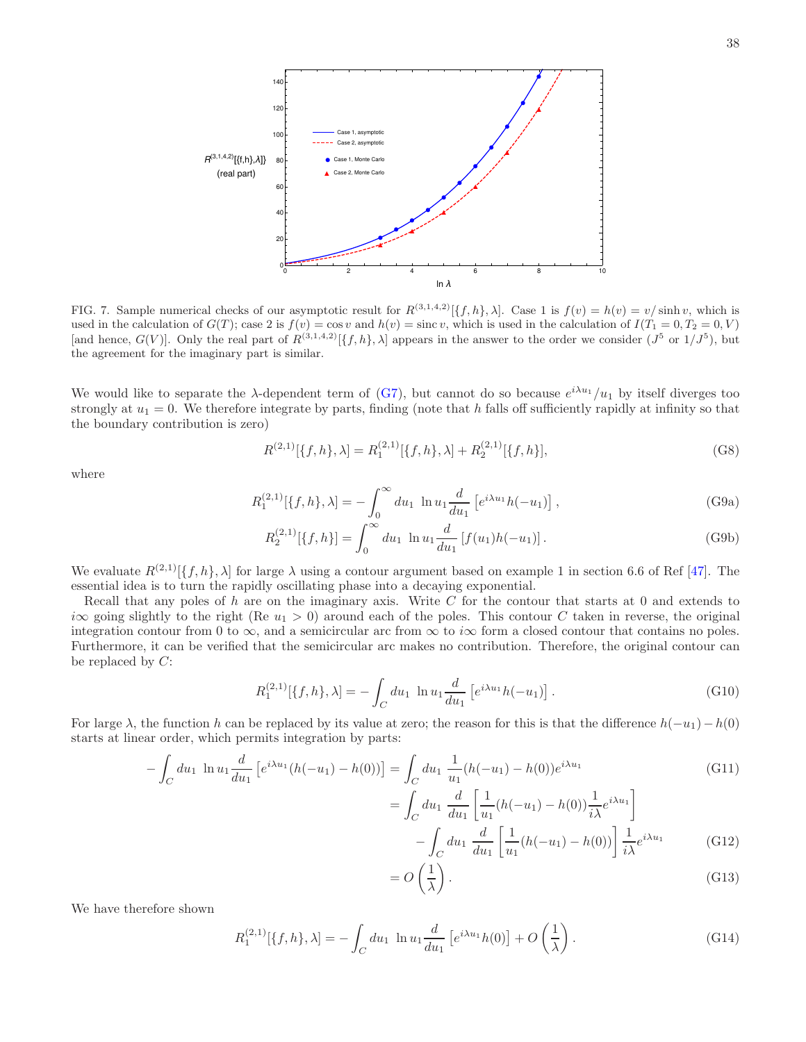

<span id="page-37-0"></span>FIG. 7. Sample numerical checks of our asymptotic result for  $R^{(3,1,4,2)}[\{f, h\}, \lambda]$ . Case 1 is  $f(v) = h(v) = v/\sinh v$ , which is used in the calculation of  $G(T)$ ; case 2 is  $f(v) = \cos v$  and  $h(v) = \sin c v$ , which is used in the calculation of  $I(T_1 = 0, T_2 = 0, V)$ [and hence,  $G(V)$ ]. Only the real part of  $R^{(3,1,4,2)}[\{f,h\},\lambda]$  appears in the answer to the order we consider  $(J^5 \text{ or } 1/J^5)$ , but the agreement for the imaginary part is similar.

We would like to separate the  $\lambda$ -dependent term of [\(G7\)](#page-36-2), but cannot do so because  $e^{i\lambda u_1}/u_1$  by itself diverges too strongly at  $u_1 = 0$ . We therefore integrate by parts, finding (note that h falls off sufficiently rapidly at infinity so that the boundary contribution is zero)

$$
R^{(2,1)}[\{f,h\},\lambda] = R_1^{(2,1)}[\{f,h\},\lambda] + R_2^{(2,1)}[\{f,h\}],
$$
\n(G8)

where

$$
R_1^{(2,1)}[\{f,h\},\lambda] = -\int_0^\infty du_1 \ln u_1 \frac{d}{du_1} \left[ e^{i\lambda u_1} h(-u_1) \right],\tag{G9a}
$$

$$
R_2^{(2,1)}[\{f,h\}] = \int_0^\infty du_1 \ln u_1 \frac{d}{du_1} [f(u_1)h(-u_1)].
$$
 (G9b)

We evaluate  $R^{(2,1)}[\{f, h\}, \lambda]$  for large  $\lambda$  using a contour argument based on example 1 in section 6.6 of Ref [\[47\]](#page-42-29). The essential idea is to turn the rapidly oscillating phase into a decaying exponential.

Recall that any poles of h are on the imaginary axis. Write  $C$  for the contour that starts at 0 and extends to i $\infty$  going slightly to the right (Re  $u_1 > 0$ ) around each of the poles. This contour C taken in reverse, the original integration contour from 0 to  $\infty$ , and a semicircular arc from  $\infty$  to i $\infty$  form a closed contour that contains no poles. Furthermore, it can be verified that the semicircular arc makes no contribution. Therefore, the original contour can be replaced by  $C$ :

$$
R_1^{(2,1)}[\{f,h\},\lambda] = -\int_C du_1 \ln u_1 \frac{d}{du_1} \left[ e^{i\lambda u_1} h(-u_1) \right]. \tag{G10}
$$

For large  $\lambda$ , the function h can be replaced by its value at zero; the reason for this is that the difference  $h(-u_1)-h(0)$ starts at linear order, which permits integration by parts:

$$
-\int_C du_1 \ln u_1 \frac{d}{du_1} \left[ e^{i\lambda u_1} (h(-u_1) - h(0)) \right] = \int_C du_1 \frac{1}{u_1} (h(-u_1) - h(0)) e^{i\lambda u_1}
$$
(G11)

<span id="page-37-1"></span>
$$
= \int_C du_1 \frac{d}{du_1} \left[ \frac{1}{u_1} (h(-u_1) - h(0)) \frac{1}{i\lambda} e^{i\lambda u_1} \right] - \int_C du_1 \frac{d}{du_1} \left[ \frac{1}{u_1} (h(-u_1) - h(0)) \right] \frac{1}{i\lambda} e^{i\lambda u_1}
$$
(G12)

$$
=O\left(\frac{1}{\lambda}\right). \tag{G13}
$$

We have therefore shown

$$
R_1^{(2,1)}[\{f,h\},\lambda] = -\int_C du_1 \ln u_1 \frac{d}{du_1} \left[e^{i\lambda u_1} h(0)\right] + O\left(\frac{1}{\lambda}\right). \tag{G14}
$$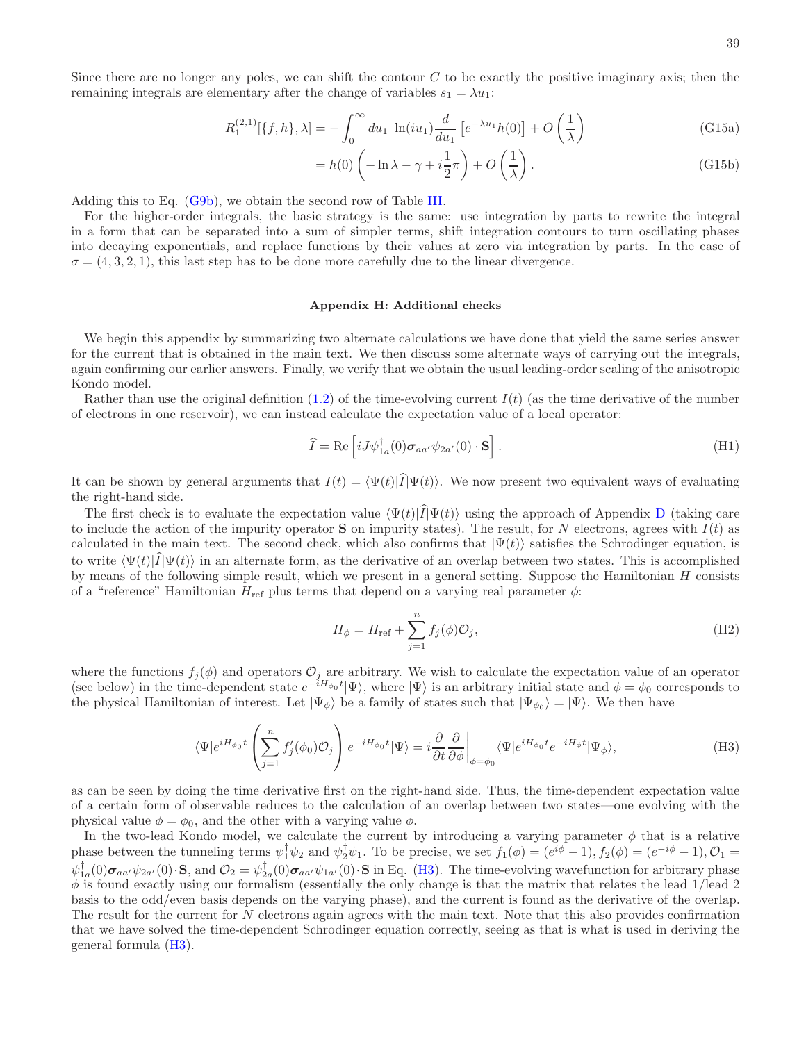Since there are no longer any poles, we can shift the contour  $C$  to be exactly the positive imaginary axis; then the remaining integrals are elementary after the change of variables  $s_1 = \lambda u_1$ :

$$
R_1^{(2,1)}[\{f,h\},\lambda] = -\int_0^\infty du_1 \ln(iu_1)\frac{d}{du_1} \left[e^{-\lambda u_1}h(0)\right] + O\left(\frac{1}{\lambda}\right)
$$
(G15a)

$$
= h(0) \left( -\ln \lambda - \gamma + i \frac{1}{2} \pi \right) + O\left(\frac{1}{\lambda}\right). \tag{G15b}
$$

Adding this to Eq. [\(G9b\)](#page-37-1), we obtain the second row of Table [III.](#page-36-0)

For the higher-order integrals, the basic strategy is the same: use integration by parts to rewrite the integral in a form that can be separated into a sum of simpler terms, shift integration contours to turn oscillating phases into decaying exponentials, and replace functions by their values at zero via integration by parts. In the case of  $\sigma = (4, 3, 2, 1)$ , this last step has to be done more carefully due to the linear divergence.

### <span id="page-38-0"></span>Appendix H: Additional checks

We begin this appendix by summarizing two alternate calculations we have done that yield the same series answer for the current that is obtained in the main text. We then discuss some alternate ways of carrying out the integrals, again confirming our earlier answers. Finally, we verify that we obtain the usual leading-order scaling of the anisotropic Kondo model.

Rather than use the original definition  $(1.2)$  of the time-evolving current  $I(t)$  (as the time derivative of the number of electrons in one reservoir), we can instead calculate the expectation value of a local operator:

$$
\hat{I} = \text{Re}\left[iJ\psi_{1a}^{\dagger}(0)\boldsymbol{\sigma}_{aa'}\psi_{2a'}(0)\cdot\mathbf{S}\right].\tag{H1}
$$

It can be shown by general arguments that  $I(t) = \langle \Psi(t)|\hat{I}|\Psi(t)\rangle$ . We now present two equivalent ways of evaluating the right-hand side.

The first check is to evaluate the expectation value  $\langle \Psi(t)|\hat{I}|\Psi(t)\rangle$  using the approach of Appendix [D](#page-28-0) (taking care to include the action of the impurity operator **S** on impurity states). The result, for N electrons, agrees with  $I(t)$  as calculated in the main text. The second check, which also confirms that  $|\Psi(t)\rangle$  satisfies the Schrodinger equation, is to write  $\langle \Psi(t)|\hat{I}|\Psi(t)\rangle$  in an alternate form, as the derivative of an overlap between two states. This is accomplished by means of the following simple result, which we present in a general setting. Suppose the Hamiltonian H consists of a "reference" Hamiltonian  $H_{\text{ref}}$  plus terms that depend on a varying real parameter  $\phi$ :

$$
H_{\phi} = H_{\text{ref}} + \sum_{j=1}^{n} f_j(\phi) \mathcal{O}_j,
$$
\n(H2)

where the functions  $f_j(\phi)$  and operators  $\mathcal{O}_j$  are arbitrary. We wish to calculate the expectation value of an operator (see below) in the time-dependent state  $e^{-iH_{\phi_0}t}|\Psi\rangle$ , where  $|\Psi\rangle$  is an arbitrary initial state and  $\phi = \phi_0$  corresponds to the physical Hamiltonian of interest. Let  $|\Psi_{\phi}\rangle$  be a family of states such that  $|\Psi_{\phi_0}\rangle = |\Psi\rangle$ . We then have

<span id="page-38-1"></span>
$$
\langle \Psi | e^{iH_{\phi_0}t} \left( \sum_{j=1}^n f'_j(\phi_0) \mathcal{O}_j \right) e^{-iH_{\phi_0}t} |\Psi \rangle = i \frac{\partial}{\partial t} \frac{\partial}{\partial \phi} \bigg|_{\phi = \phi_0} \langle \Psi | e^{iH_{\phi_0}t} e^{-iH_{\phi}t} |\Psi_{\phi} \rangle, \tag{H3}
$$

as can be seen by doing the time derivative first on the right-hand side. Thus, the time-dependent expectation value of a certain form of observable reduces to the calculation of an overlap between two states—one evolving with the physical value  $\phi = \phi_0$ , and the other with a varying value  $\phi$ .

In the two-lead Kondo model, we calculate the current by introducing a varying parameter  $\phi$  that is a relative phase between the tunneling terms  $\psi_1^{\dagger} \psi_2$  and  $\psi_2^{\dagger} \psi_1$ . To be precise, we set  $f_1(\phi) = (e^{i\phi} - 1), f_2(\phi) = (e^{-i\phi} - 1), \mathcal{O}_1 =$  $\psi_{1a}^{\dagger}(0)\sigma_{aa'}\psi_{2a'}(0)\cdot\mathbf{S}$ , and  $\mathcal{O}_2=\psi_{2a}^{\dagger}(0)\sigma_{aa'}\psi_{1a'}(0)\cdot\mathbf{S}$  in Eq. [\(H3\)](#page-38-1). The time-evolving wavefunction for arbitrary phase  $\phi$  is found exactly using our formalism (essentially the only change is that the matrix that relates the lead 1/lead 2 basis to the odd/even basis depends on the varying phase), and the current is found as the derivative of the overlap. The result for the current for N electrons again agrees with the main text. Note that this also provides confirmation that we have solved the time-dependent Schrodinger equation correctly, seeing as that is what is used in deriving the general formula [\(H3\)](#page-38-1).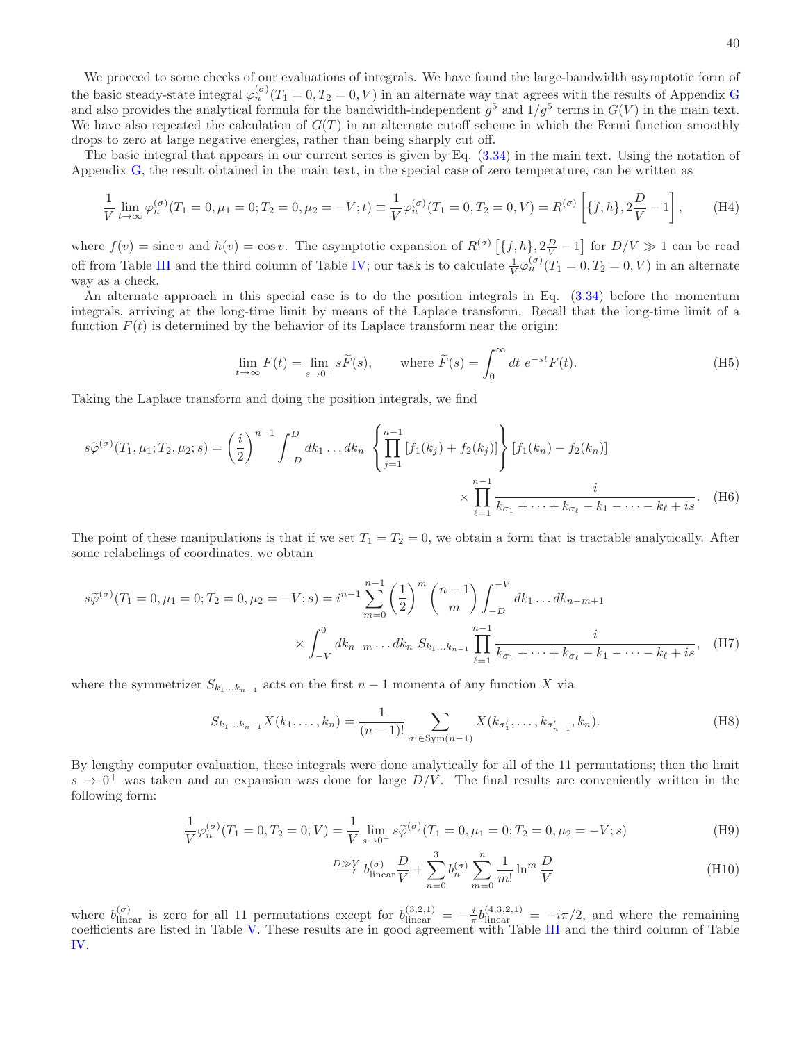We proceed to some checks of our evaluations of integrals. We have found the large-bandwidth asymptotic form of the basic steady-state integral  $\varphi_n^{(\sigma)}(T_1 = 0, T_2 = 0, V)$  in an alternate way that agrees with the results of Appendix [G](#page-34-0) and also provides the analytical formula for the bandwidth-independent  $g^5$  and  $1/g^5$  terms in  $G(V)$  in the main text. We have also repeated the calculation of  $G(T)$  in an alternate cutoff scheme in which the Fermi function smoothly drops to zero at large negative energies, rather than being sharply cut off.

The basic integral that appears in our current series is given by Eq. [\(3.34\)](#page-15-1) in the main text. Using the notation of Appendix [G,](#page-34-0) the result obtained in the main text, in the special case of zero temperature, can be written as

$$
\frac{1}{V} \lim_{t \to \infty} \varphi_n^{(\sigma)}(T_1 = 0, \mu_1 = 0; T_2 = 0, \mu_2 = -V; t) \equiv \frac{1}{V} \varphi_n^{(\sigma)}(T_1 = 0, T_2 = 0, V) = R^{(\sigma)} \left[ \{f, h\}, 2\frac{D}{V} - 1 \right], \tag{H4}
$$

where  $f(v) = \text{sinc } v$  and  $h(v) = \cos v$ . The asymptotic expansion of  $R^{(\sigma)}(\lbrace f, h \rbrace, 2\frac{D}{V} - 1]$  for  $D/V \gg 1$  can be read off from Table [III](#page-36-0) and the third column of Table [IV;](#page-36-1) our task is to calculate  $\frac{1}{V}\varphi_n^{(\sigma)}(T_1=0,T_2=0,V)$  in an alternate way as a check.

An alternate approach in this special case is to do the position integrals in Eq. [\(3.34\)](#page-15-1) before the momentum integrals, arriving at the long-time limit by means of the Laplace transform. Recall that the long-time limit of a function  $F(t)$  is determined by the behavior of its Laplace transform near the origin:

$$
\lim_{t \to \infty} F(t) = \lim_{s \to 0^+} s\widetilde{F}(s), \qquad \text{where } \widetilde{F}(s) = \int_0^\infty dt \ e^{-st} F(t). \tag{H5}
$$

Taking the Laplace transform and doing the position integrals, we find

$$
s\widetilde{\varphi}^{(\sigma)}(T_1,\mu_1;T_2,\mu_2;s) = \left(\frac{i}{2}\right)^{n-1} \int_{-D}^{D} dk_1 \dots dk_n \left\{ \prod_{j=1}^{n-1} \left[ f_1(k_j) + f_2(k_j) \right] \right\} \left[ f_1(k_n) - f_2(k_n) \right] \times \prod_{\ell=1}^{n-1} \frac{i}{k_{\sigma_1} + \dots + k_{\sigma_\ell} - k_1 - \dots - k_\ell + i s}.
$$
 (H6)

The point of these manipulations is that if we set  $T_1 = T_2 = 0$ , we obtain a form that is tractable analytically. After some relabelings of coordinates, we obtain

$$
s\widetilde{\varphi}^{(\sigma)}(T_1 = 0, \mu_1 = 0; T_2 = 0, \mu_2 = -V; s) = i^{n-1} \sum_{m=0}^{n-1} \left(\frac{1}{2}\right)^m {n-1 \choose m} \int_{-D}^{-V} dk_1 \dots dk_{n-m+1}
$$

$$
\times \int_{-V}^0 dk_{n-m} \dots dk_n \ S_{k_1 \dots k_{n-1}} \prod_{\ell=1}^{n-1} \frac{i}{k_{\sigma_1} + \dots + k_{\sigma_\ell} - k_1 - \dots - k_\ell + i s}, \quad (H7)
$$

where the symmetrizer  $S_{k_1...k_{n-1}}$  acts on the first  $n-1$  momenta of any function X via

$$
S_{k_1...k_{n-1}}X(k_1,...,k_n) = \frac{1}{(n-1)!} \sum_{\sigma' \in \text{Sym}(n-1)} X(k_{\sigma'_1},...,k_{\sigma'_{n-1}},k_n).
$$
 (H8)

By lengthy computer evaluation, these integrals were done analytically for all of the 11 permutations; then the limit  $s \to 0^+$  was taken and an expansion was done for large  $D/V$ . The final results are conveniently written in the following form:

$$
\frac{1}{V}\varphi_n^{(\sigma)}(T_1 = 0, T_2 = 0, V) = \frac{1}{V} \lim_{s \to 0^+} s\widetilde{\varphi}^{(\sigma)}(T_1 = 0, \mu_1 = 0; T_2 = 0, \mu_2 = -V; s)
$$
\n(H9)

$$
\stackrel{D\gg V}{\longrightarrow} b_{\text{linear}}^{(\sigma)} \frac{D}{V} + \sum_{n=0}^{3} b_n^{(\sigma)} \sum_{m=0}^{n} \frac{1}{m!} \ln^m \frac{D}{V}
$$
 (H10)

where  $b_{\text{linear}}^{(\sigma)}$  is zero for all 11 permutations except for  $b_{\text{linear}}^{(3,2,1)} = -\frac{i}{\pi}b_{\text{linear}}^{(4,3,2,1)} = -i\pi/2$ , and where the remaining coefficients are listed in Table [V.](#page-40-1) These results are in good agreement with Table [III](#page-36-0) and the third column of Table [IV.](#page-36-1)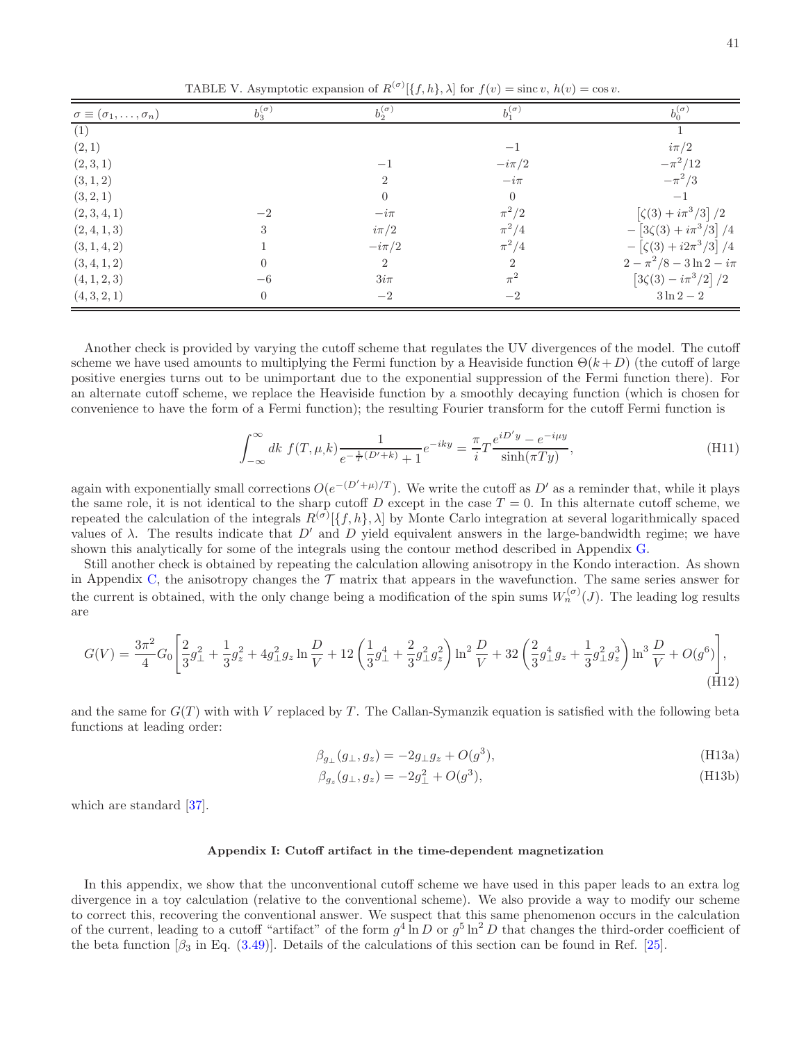<span id="page-40-1"></span>TABLE V. Asymptotic expansion of  $R^{(\sigma)}[\{f, h\}, \lambda]$  for  $f(v) = \text{sinc } v, h(v) = \cos v$ .

| $\sigma \equiv (\sigma_1, \ldots, \sigma_n)$ | $b_3^{(\sigma)}$ | $b_2^{(\sigma)}$ | $b_1^{(\sigma)}$ | $b_0^{(\sigma)}$                     |
|----------------------------------------------|------------------|------------------|------------------|--------------------------------------|
| (1)                                          |                  |                  |                  |                                      |
| (2,1)                                        |                  |                  | $-1$             | $i\pi/2$                             |
| (2,3,1)                                      |                  | $-1$             | $-i\pi/2$        | $-\pi^2/12$                          |
| (3, 1, 2)                                    |                  | $\overline{2}$   | $-i\pi$          | $-\pi^2/3$                           |
| (3, 2, 1)                                    |                  | $\overline{0}$   | $\theta$         | $-1$                                 |
| (2,3,4,1)                                    | $-2$             | $-i\pi$          | $\pi^2/2$        | $[\zeta(3) + i\pi^3/3]/2$            |
| (2,4,1,3)                                    | 3                | $i\pi/2$         | $\pi^2/4$        | $-\left[3\zeta(3)+i\pi^3/3\right]/4$ |
| (3, 1, 4, 2)                                 |                  | $-i\pi/2$        | $\pi^2/4$        | $-\left[\zeta(3)+i2\pi^3/3\right]/4$ |
| (3, 4, 1, 2)                                 | $\Omega$         | $\overline{2}$   | $\overline{2}$   | $2 - \pi^2/8 - 3\ln 2 - i\pi$        |
| (4, 1, 2, 3)                                 | $-6$             | $3i\pi$          | $\pi^2$          | $[3\zeta(3)-i\pi^3/2]/2$             |
| (4, 3, 2, 1)                                 | $\Omega$         | $-2$             | $-2$             | $3\ln 2-2$                           |

Another check is provided by varying the cutoff scheme that regulates the UV divergences of the model. The cutoff scheme we have used amounts to multiplying the Fermi function by a Heaviside function  $\Theta(k+D)$  (the cutoff of large positive energies turns out to be unimportant due to the exponential suppression of the Fermi function there). For an alternate cutoff scheme, we replace the Heaviside function by a smoothly decaying function (which is chosen for convenience to have the form of a Fermi function); the resulting Fourier transform for the cutoff Fermi function is

$$
\int_{-\infty}^{\infty} dk f(T, \mu, k) \frac{1}{e^{-\frac{1}{T}(D'+k)} + 1} e^{-iky} = \frac{\pi}{i} T \frac{e^{iD'y} - e^{-i\mu y}}{\sinh(\pi T y)},
$$
(H11)

again with exponentially small corrections  $O(e^{-(D'+\mu)/T})$ . We write the cutoff as D' as a reminder that, while it plays the same role, it is not identical to the sharp cutoff D except in the case  $T = 0$ . In this alternate cutoff scheme, we repeated the calculation of the integrals  $R^{(\sigma)}[\{f, h\}, \lambda]$  by Monte Carlo integration at several logarithmically spaced values of  $\lambda$ . The results indicate that  $D'$  and  $D$  yield equivalent answers in the large-bandwidth regime; we have shown this analytically for some of the integrals using the contour method described in Appendix [G.](#page-34-0)

Still another check is obtained by repeating the calculation allowing anisotropy in the Kondo interaction. As shown in Appendix [C,](#page-26-1) the anisotropy changes the  $\mathcal T$  matrix that appears in the wavefunction. The same series answer for the current is obtained, with the only change being a modification of the spin sums  $W_n^{(\sigma)}(J)$ . The leading log results are

$$
G(V) = \frac{3\pi^2}{4} G_0 \left[ \frac{2}{3} g_\perp^2 + \frac{1}{3} g_z^2 + 4g_\perp^2 g_z \ln \frac{D}{V} + 12 \left( \frac{1}{3} g_\perp^4 + \frac{2}{3} g_\perp^2 g_z^2 \right) \ln^2 \frac{D}{V} + 32 \left( \frac{2}{3} g_\perp^4 g_z + \frac{1}{3} g_\perp^2 g_z^3 \right) \ln^3 \frac{D}{V} + O(g^6) \right],
$$
\n(H12)

and the same for  $G(T)$  with with V replaced by T. The Callan-Symanzik equation is satisfied with the following beta functions at leading order:

$$
\beta_{g_{\perp}}(g_{\perp}, g_z) = -2g_{\perp}g_z + O(g^3), \tag{H13a}
$$

$$
\beta_{g_z}(g_{\perp}, g_z) = -2g_{\perp}^2 + O(g^3),\tag{H13b}
$$

which are standard [\[37\]](#page-42-20).

### <span id="page-40-0"></span>Appendix I: Cutoff artifact in the time-dependent magnetization

In this appendix, we show that the unconventional cutoff scheme we have used in this paper leads to an extra log divergence in a toy calculation (relative to the conventional scheme). We also provide a way to modify our scheme to correct this, recovering the conventional answer. We suspect that this same phenomenon occurs in the calculation of the current, leading to a cutoff "artifact" of the form  $g^4$  ln D or  $g^5$  ln<sup>2</sup> D that changes the third-order coefficient of the beta function  $\beta_3$  in Eq. [\(3.49\)](#page-18-4). Details of the calculations of this section can be found in Ref. [\[25\]](#page-42-8).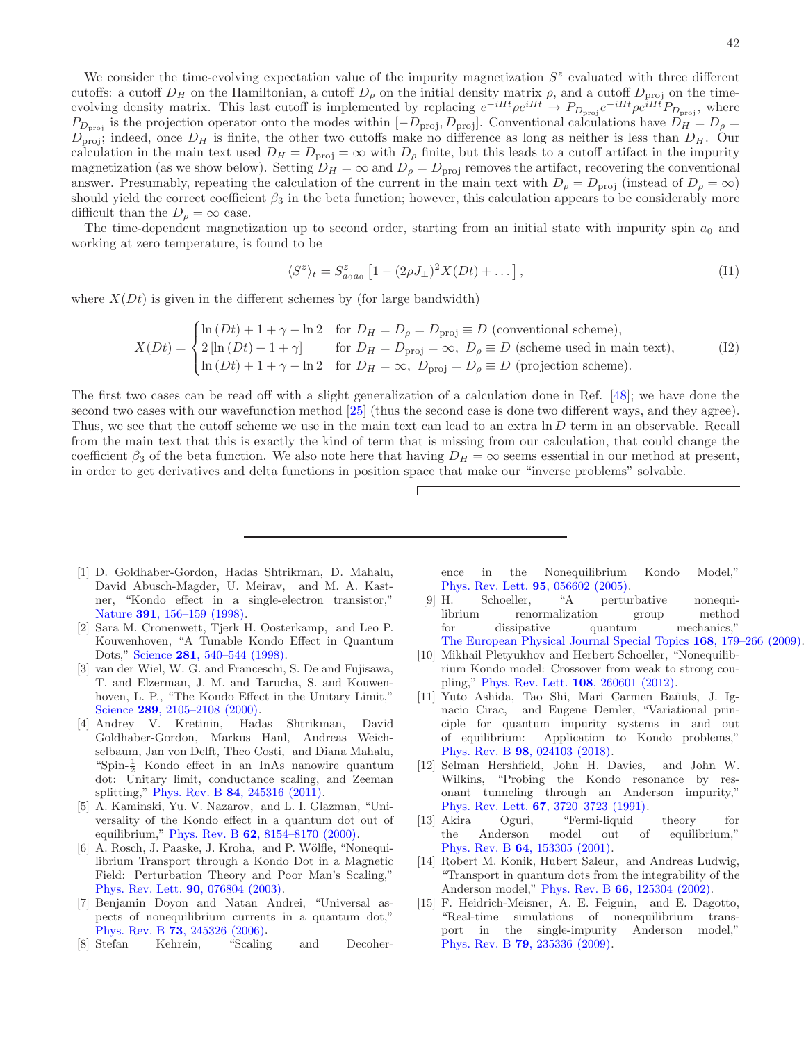We consider the time-evolving expectation value of the impurity magnetization  $S<sup>z</sup>$  evaluated with three different cutoffs: a cutoff  $D_H$  on the Hamiltonian, a cutoff  $D_\rho$  on the initial density matrix  $\rho$ , and a cutoff  $D_{\text{proj}}$  on the timeevolving density matrix. This last cutoff is implemented by replacing  $e^{-iHt}\rho e^{iHt} \to P_{D_{\text{proj}}}e^{-iHt}\rho e^{iHt}P_{D_{\text{proj}}}$ , where  $P_{D_{\text{proj}}}$  is the projection operator onto the modes within  $[-D_{\text{proj}}, D_{\text{proj}}]$ . Conventional calculations have  $D_H = D_\rho =$  $D_{\text{proj}}$ ; indeed, once  $D_H$  is finite, the other two cutoffs make no difference as long as neither is less than  $D_H$ . Our calculation in the main text used  $D_H = D_{\text{proj}} = \infty$  with  $D_\rho$  finite, but this leads to a cutoff artifact in the impurity magnetization (as we show below). Setting  $D_H = \infty$  and  $D_\rho = D_{\text{proj}}$  removes the artifact, recovering the conventional answer. Presumably, repeating the calculation of the current in the main text with  $D_\rho = D_{\text{proj}}$  (instead of  $D_\rho = \infty$ ) should yield the correct coefficient  $\beta_3$  in the beta function; however, this calculation appears to be considerably more difficult than the  $D_{\rho} = \infty$  case.

The time-dependent magnetization up to second order, starting from an initial state with impurity spin  $a_0$  and working at zero temperature, is found to be

$$
\langle S^z \rangle_t = S^z_{a_0 a_0} \left[ 1 - (2\rho J_\perp)^2 X(Dt) + \dots \right],\tag{I1}
$$

where  $X(Dt)$  is given in the different schemes by (for large bandwidth)

$$
X(Dt) = \begin{cases} \ln(Dt) + 1 + \gamma - \ln 2 & \text{for } D_H = D_\rho = D_{\text{proj}} \equiv D \text{ (conventional scheme)},\\ 2 [\ln(Dt) + 1 + \gamma] & \text{for } D_H = D_{\text{proj}} = \infty, \ D_\rho \equiv D \text{ (scheme used in main text)},\\ \ln(Dt) + 1 + \gamma - \ln 2 & \text{for } D_H = \infty, \ D_{\text{proj}} = D_\rho \equiv D \text{ (projection scheme)}. \end{cases}
$$
(I2)

The first two cases can be read off with a slight generalization of a calculation done in Ref. [\[48](#page-42-30)]; we have done the second two cases with our wavefunction method [\[25\]](#page-42-8) (thus the second case is done two different ways, and they agree). Thus, we see that the cutoff scheme we use in the main text can lead to an extra ln D term in an observable. Recall from the main text that this is exactly the kind of term that is missing from our calculation, that could change the coefficient  $\beta_3$  of the beta function. We also note here that having  $D_H = \infty$  seems essential in our method at present, in order to get derivatives and delta functions in position space that make our "inverse problems" solvable.

 $\Gamma$ 

- <span id="page-41-0"></span>[1] D. Goldhaber-Gordon, Hadas Shtrikman, D. Mahalu, David Abusch-Magder, U. Meirav, and M. A. Kastner, "Kondo effect in a single-electron transistor," Nature 391[, 156–159 \(1998\).](http://dx.doi.org/10.1038/34373)
- [2] Sara M. Cronenwett, Tjerk H. Oosterkamp, and Leo P. Kouwenhoven, "A Tunable Kondo Effect in Quantum Dots," Science 281[, 540–544 \(1998\).](http://dx.doi.org/ 10.1126/science.281.5376.540)
- [3] van der Wiel, W. G. and Franceschi, S. De and Fujisawa, T. and Elzerman, J. M. and Tarucha, S. and Kouwenhoven, L. P., "The Kondo Effect in the Unitary Limit," Science 289, 2105-2108 (2000).
- <span id="page-41-1"></span>[4] Andrey V. Kretinin, Hadas Shtrikman, David Goldhaber-Gordon, Markus Hanl, Andreas Weichselbaum, Jan von Delft, Theo Costi, and Diana Mahalu, "Spin- $\frac{1}{2}$  Kondo effect in an InAs nanowire quantum dot: Unitary limit, conductance scaling, and Zeeman splitting," Phys. Rev. B 84[, 245316 \(2011\).](http://dx.doi.org/ 10.1103/PhysRevB.84.245316)
- <span id="page-41-2"></span>[5] A. Kaminski, Yu. V. Nazarov, and L. I. Glazman, "Universality of the Kondo effect in a quantum dot out of equilibrium," Phys. Rev. B 62[, 8154–8170 \(2000\).](http://dx.doi.org/ 10.1103/PhysRevB.62.8154)
- <span id="page-41-12"></span>[6] A. Rosch, J. Paaske, J. Kroha, and P. Wölfle, "Nonequilibrium Transport through a Kondo Dot in a Magnetic Field: Perturbation Theory and Poor Man's Scaling," [Phys. Rev. Lett.](http://dx.doi.org/10.1103/PhysRevLett.90.076804) 90, 076804 (2003).
- <span id="page-41-3"></span>[7] Benjamin Doyon and Natan Andrei, "Universal aspects of nonequilibrium currents in a quantum dot," Phys. Rev. B 73[, 245326 \(2006\).](http://dx.doi.org/10.1103/PhysRevB.73.245326)
- <span id="page-41-4"></span>[8] Stefan Kehrein, "Scaling and Decoher-

ence in the Nonequilibrium Kondo Model," [Phys. Rev. Lett.](http://dx.doi.org/ 10.1103/PhysRevLett.95.056602) 95, 056602 (2005).

- <span id="page-41-5"></span>[9] H. Schoeller, "A perturbative nonequilibrium renormalization group method for dissipative quantum mechanics," [The European Physical Journal Special Topics](http://dx.doi.org/10.1140/epjst/e2009-00962-3) 168, 179–266 (2009).
- <span id="page-41-6"></span>[10] Mikhail Pletyukhov and Herbert Schoeller, "Nonequilibrium Kondo model: Crossover from weak to strong coupling," [Phys. Rev. Lett.](http://dx.doi.org/10.1103/PhysRevLett.108.260601) 108, 260601 (2012).
- <span id="page-41-7"></span>[11] Yuto Ashida, Tao Shi, Mari Carmen Bañuls, J. Ignacio Cirac, and Eugene Demler, "Variational principle for quantum impurity systems in and out of equilibrium: Application to Kondo problems," Phys. Rev. B 98[, 024103 \(2018\).](http://dx.doi.org/10.1103/PhysRevB.98.024103)
- <span id="page-41-8"></span>[12] Selman Hershfield, John H. Davies, and John W. Wilkins, "Probing the Kondo resonance by resonant tunneling through an Anderson impurity," Phys. Rev. Lett. 67[, 3720–3723 \(1991\).](http://dx.doi.org/10.1103/PhysRevLett.67.3720)
- <span id="page-41-9"></span>[13] Akira Oguri, "Fermi-liquid theory for the Anderson model out of equilibrium," Phys. Rev. B 64[, 153305 \(2001\).](http://dx.doi.org/ 10.1103/PhysRevB.64.153305)
- <span id="page-41-10"></span>[14] Robert M. Konik, Hubert Saleur, and Andreas Ludwig, "Transport in quantum dots from the integrability of the Anderson model," Phys. Rev. B 66[, 125304 \(2002\).](http://dx.doi.org/10.1103/PhysRevB.66.125304)
- <span id="page-41-11"></span>[15] F. Heidrich-Meisner, A. E. Feiguin, and E. Dagotto, "Real-time simulations of nonequilibrium transport in the single-impurity Anderson model," Phys. Rev. B 79[, 235336 \(2009\).](http://dx.doi.org/10.1103/PhysRevB.79.235336)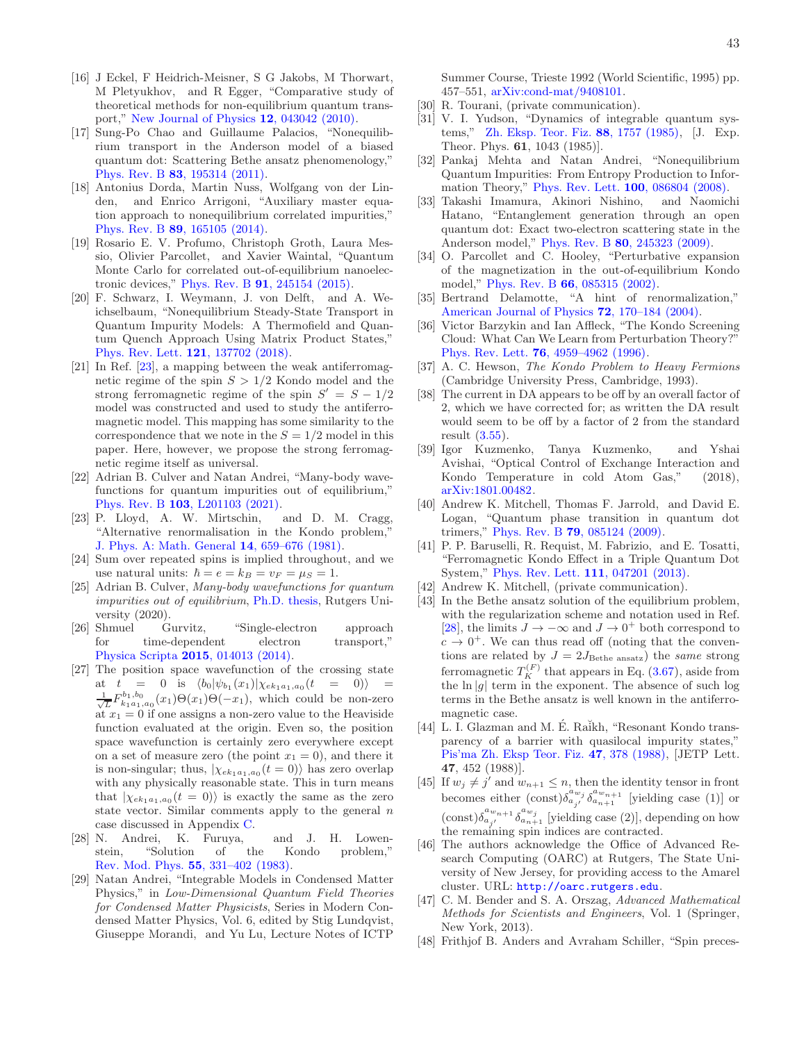- <span id="page-42-0"></span>[16] J Eckel, F Heidrich-Meisner, S G Jakobs, M Thorwart, M Pletyukhov, and R Egger, "Comparative study of theoretical methods for non-equilibrium quantum transport," [New Journal of Physics](http://dx.doi.org/ 10.1088/1367-2630/12/4/043042) 12, 043042 (2010).
- <span id="page-42-1"></span>[17] Sung-Po Chao and Guillaume Palacios, "Nonequilibrium transport in the Anderson model of a biased quantum dot: Scattering Bethe ansatz phenomenology," Phys. Rev. B 83[, 195314 \(2011\).](http://dx.doi.org/ 10.1103/PhysRevB.83.195314)
- <span id="page-42-2"></span>[18] Antonius Dorda, Martin Nuss, Wolfgang von der Linden, and Enrico Arrigoni, "Auxiliary master equation approach to nonequilibrium correlated impurities," Phys. Rev. B 89[, 165105 \(2014\).](http://dx.doi.org/10.1103/PhysRevB.89.165105)
- <span id="page-42-3"></span>[19] Rosario E. V. Profumo, Christoph Groth, Laura Messio, Olivier Parcollet, and Xavier Waintal, "Quantum Monte Carlo for correlated out-of-equilibrium nanoelectronic devices," Phys. Rev. B 91[, 245154 \(2015\).](http://dx.doi.org/10.1103/PhysRevB.91.245154)
- <span id="page-42-4"></span>[20] F. Schwarz, I. Weymann, J. von Delft, and A. Weichselbaum, "Nonequilibrium Steady-State Transport in Quantum Impurity Models: A Thermofield and Quantum Quench Approach Using Matrix Product States," [Phys. Rev. Lett.](http://dx.doi.org/ 10.1103/PhysRevLett.121.137702) 121, 137702 (2018).
- <span id="page-42-5"></span>[21] In Ref. [\[23](#page-42-31)], a mapping between the weak antiferromagnetic regime of the spin  $S > 1/2$  Kondo model and the strong ferromagnetic regime of the spin  $S' = S - 1/2$ model was constructed and used to study the antiferromagnetic model. This mapping has some similarity to the correspondence that we note in the  $S = 1/2$  model in this paper. Here, however, we propose the strong ferromagnetic regime itself as universal.
- <span id="page-42-6"></span>[22] Adrian B. Culver and Natan Andrei, "Many-body wavefunctions for quantum impurities out of equilibrium," Phys. Rev. B 103[, L201103 \(2021\).](http://dx.doi.org/10.1103/PhysRevB.103.L201103)<br>P. Lloyd, A. W. Mirtschin, and D. M. Cragg,
- <span id="page-42-31"></span> $[23]$  P. Lloyd, A. W. Mirtschin, "Alternative renormalisation in the Kondo problem," [J. Phys. A: Math. General](http://dx.doi.org/ 10.1088/0305-4470/14/3/014) 14, 659–676 (1981).
- <span id="page-42-7"></span>[24] Sum over repeated spins is implied throughout, and we use natural units:  $\hbar = e = k_B = v_F = \mu_S = 1$ .
- <span id="page-42-8"></span>[25] Adrian B. Culver, Many-body wavefunctions for quantum impurities out of equilibrium, [Ph.D. thesis,](http://dx.doi.org/ 10.7282/t3-574w-gn97) Rutgers University (2020).
- <span id="page-42-9"></span>[26] Shmuel Gurvitz, "Single-electron approach for time-dependent electron transport," Physica Scripta 2015[, 014013 \(2014\).](http://dx.doi.org/10.1088/0031-8949/2015/T165/014013)
- <span id="page-42-10"></span>[27] The position space wavefunction of the crossing state at  $t = 0$  is  $\langle b_0 | \psi_{b_1}(x_1) | \chi_{ek_1a_1,a_0}(t = 0) \rangle =$  $\frac{1}{\sqrt{L}}F_{k_1a_1,a_0}^{b_1,b_0}(x_1)\Theta(x_1)\Theta(-x_1)$ , which could be non-zero at  $x_1 = 0$  if one assigns a non-zero value to the Heaviside function evaluated at the origin. Even so, the position space wavefunction is certainly zero everywhere except on a set of measure zero (the point  $x_1 = 0$ ), and there it is non-singular; thus,  $|\chi_{ek_1a_1,a_0}(t=0)\rangle$  has zero overlap with any physically reasonable state. This in turn means that  $|\chi_{ek_1a_1,a_0}(t=0)\rangle$  is exactly the same as the zero state vector. Similar comments apply to the general  $n$ case discussed in Appendix [C.](#page-26-1)
- <span id="page-42-11"></span>[28] N. Andrei, K. Furuya, and J. H. Lowenstein, "Solution of the Kondo problem," [Rev. Mod. Phys.](http://dx.doi.org/10.1103/RevModPhys.55.331) 55, 331–402 (1983).
- <span id="page-42-12"></span>[29] Natan Andrei, "Integrable Models in Condensed Matter Physics," in Low-Dimensional Quantum Field Theories for Condensed Matter Physicists, Series in Modern Condensed Matter Physics, Vol. 6, edited by Stig Lundqvist, Giuseppe Morandi, and Yu Lu, Lecture Notes of ICTP

Summer Course, Trieste 1992 (World Scientific, 1995) pp. 457–551, [arXiv:cond-mat/9408101.](http://arxiv.org/abs/cond-mat/9408101)

- <span id="page-42-13"></span>[30] R. Tourani, (private communication).
- <span id="page-42-14"></span>[31] V. I. Yudson, "Dynamics of integrable quantum systems," [Zh. Eksp. Teor. Fiz.](http://jetp.ac.ru/cgi-bin/dn/e_061_05_1043.pdf) 88, 1757 (1985), [J. Exp. Theor. Phys. 61, 1043 (1985)].
- <span id="page-42-15"></span>[32] Pankaj Mehta and Natan Andrei, "Nonequilibrium Quantum Impurities: From Entropy Production to Information Theory," [Phys. Rev. Lett.](http://dx.doi.org/10.1103/PhysRevLett.100.086804) 100, 086804 (2008).
- <span id="page-42-16"></span>[33] Takashi Imamura, Akinori Nishino, and Naomichi Hatano, "Entanglement generation through an open quantum dot: Exact two-electron scattering state in the Anderson model," Phys. Rev. B 80[, 245323 \(2009\).](http://dx.doi.org/10.1103/PhysRevB.80.245323)
- <span id="page-42-17"></span>[34] O. Parcollet and C. Hooley, "Perturbative expansion of the magnetization in the out-of-equilibrium Kondo model," Phys. Rev. B 66[, 085315 \(2002\).](http://dx.doi.org/10.1103/PhysRevB.66.085315)
- <span id="page-42-18"></span>[35] Bertrand Delamotte, "A hint of renormalization," [American Journal of Physics](http://dx.doi.org/10.1119/1.1624112) 72, 170–184 (2004).
- <span id="page-42-19"></span>[36] Victor Barzykin and Ian Affleck, "The Kondo Screening Cloud: What Can We Learn from Perturbation Theory?" Phys. Rev. Lett. 76[, 4959–4962 \(1996\).](http://dx.doi.org/10.1103/PhysRevLett.76.4959)
- <span id="page-42-20"></span>[37] A. C. Hewson, The Kondo Problem to Heavy Fermions (Cambridge University Press, Cambridge, 1993).
- <span id="page-42-21"></span>[38] The current in DA appears to be off by an overall factor of 2, which we have corrected for; as written the DA result would seem to be off by a factor of 2 from the standard result [\(3.55\)](#page-19-1).
- <span id="page-42-22"></span>[39] Igor Kuzmenko, Tanya Kuzmenko, and Yshai Avishai, "Optical Control of Exchange Interaction and Kondo Temperature in cold Atom Gas," (2018), [arXiv:1801.00482.](http://arxiv.org/abs/1801.00482)
- [40] Andrew K. Mitchell, Thomas F. Jarrold, and David E. Logan, "Quantum phase transition in quantum dot trimers," Phys. Rev. B 79[, 085124 \(2009\).](http://dx.doi.org/ 10.1103/PhysRevB.79.085124)
- <span id="page-42-23"></span>[41] P. P. Baruselli, R. Requist, M. Fabrizio, and E. Tosatti, "Ferromagnetic Kondo Effect in a Triple Quantum Dot System," [Phys. Rev. Lett.](http://dx.doi.org/10.1103/PhysRevLett.111.047201) 111, 047201 (2013).
- <span id="page-42-24"></span>[42] Andrew K. Mitchell, (private communication).
- <span id="page-42-25"></span>[43] In the Bethe ansatz solution of the equilibrium problem, with the regularization scheme and notation used in Ref. [\[28](#page-42-11)], the limits  $J \to -\infty$  and  $J \to 0^+$  both correspond to  $c \rightarrow 0^+$ . We can thus read off (noting that the conventions are related by  $J = 2J_{\text{Bethe ansatz}}$  the same strong ferromagnetic  $T_K^{(F)}$  that appears in Eq. [\(3.67\)](#page-22-0), aside from the  $\ln |g|$  term in the exponent. The absence of such log terms in the Bethe ansatz is well known in the antiferromagnetic case.
- <span id="page-42-26"></span>[44] L. I. Glazman and M. É. Raikh, "Resonant Kondo transparency of a barrier with quasilocal impurity states," [Pis'ma Zh. Eksp Teor. Fiz.](http://www.jetpletters.ac.ru/ps/1095/article_16538.pdf) 47, 378 (1988), [JETP Lett. 47, 452 (1988)].
- <span id="page-42-27"></span>[45] If  $w_j \neq j'$  and  $w_{n+1} \leq n$ , then the identity tensor in front becomes either  $(\text{const})\delta_{a_{j'}}^{a_{w_j}}\delta_{a_{n+1}}^{a_{w_{n+1}}}$  [yielding case (1)] or  $(\text{const})\delta_{a_{j'}}^{a_{w_{n+1}}} \delta_{a_{n+1}}^{a_{w_j}}$  [yielding case (2)], depending on how the remaining spin indices are contracted.
- <span id="page-42-28"></span>[46] The authors acknowledge the Office of Advanced Research Computing (OARC) at Rutgers, The State University of New Jersey, for providing access to the Amarel cluster. URL: <http://oarc.rutgers.edu>.
- <span id="page-42-29"></span>[47] C. M. Bender and S. A. Orszag, Advanced Mathematical Methods for Scientists and Engineers, Vol. 1 (Springer, New York, 2013).
- <span id="page-42-30"></span>[48] Frithjof B. Anders and Avraham Schiller, "Spin preces-